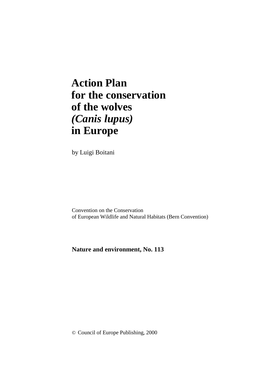# **Action Plan for the conservation of the wolves**  *(Canis lupus)*  **in Europe**

by Luigi Boitani

 Convention on the Conservation of European Wildlife and Natural Habitats (Bern Convention)

**Nature and environment, No. 113** 

© Council of Europe Publishing, 2000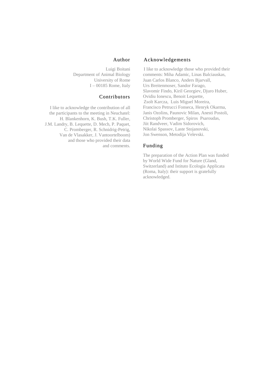#### Author

Luigi Boitani Department of Animal Biology University of Rome  $I - 00185$  Rome, Italy

#### Contributors

I like to acknowledge the contribution of all the participants to the meeting in Neuchatel: H. Blankenhorn, K. Bush, T.K. Fuller, J.M. Landry, B. Lequette, D. Mech, P. Paquet, C. Promberger, R. Schnidrig-Petrig, Van de Vlasakker, J. Vantoortelboom) and those who provided their data and comments.

#### Acknowledgements

I like to acknowledge those who provided their comments: Miha Adamic, Linas Balciauskas, Juan Carlos Blanco, Anders Bjarvall, Urs Breitenmoser, Sandor Farago, Slavomir Findo, Kiril Georgiev, Djuro Huber, Ovidiu Ionescu, Benoit Lequette, Zsolt Karcza, Luis Miguel Moreira, Francisco Petrucci Fonseca, Henryk Okarma, Janis Ozolins, Paunovic Milan, Anesti Postoli, Christoph Promberger, Spiros Psaroudas, Jiit Randveer, Vadim Sidorovich, Nikolai Spassov, Laste Stojanovski, Jon Swenson, Metodija Velevski.

#### Funding

The preparation of the Action Plan was funded by World Wide Fund for Nature (Gland, Switzerland) and Istituto Ecologia Applicata (Roma, Italy): their support is gratefully acknowledged.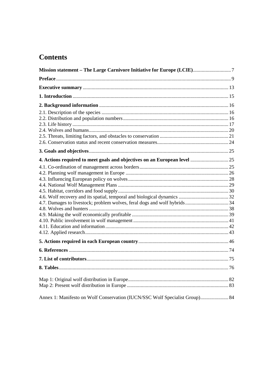## **Contents**

| Annex 1: Manifesto on Wolf Conservation (IUCN/SSC Wolf Specialist Group) 84 |  |
|-----------------------------------------------------------------------------|--|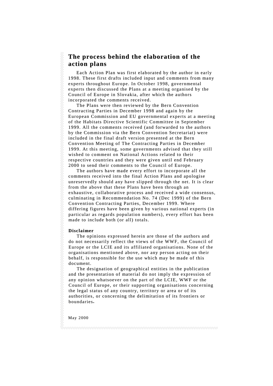## **The process behind the elaboration of the action plans**

Each Action Plan was first elaborated by the author in early 1998. These first drafts included input and comments from many experts throughout Europe. In October 1998, governmental experts then discussed the Plans at a meeting organised by the Council of Europe in Slovakia, after which the authors incorporated the comments received.

The Plans were then reviewed by the Bern Convention Contracting Parties in December 1998 and again by the European Commission and EU governmental experts at a meeting of the Habitats Directive Scientific Committee in September 1999. All the comments received (and forwarded to the authors by the Commission via the Bern Convention Secretariat) were included in the final draft version presented at the Bern Convention Meeting of The Contracting Parties in December 1999. At this meeting, some governments advised that they still wished to comment on National Actions related to their respective countries and they were given until end February 2000 to send their comments to the Council of Europe.

The authors have made every effort to incorporate all the comments received into the final Action Plans and apologise unreservedly should any have slipped through the net. It is clear from the above that these Plans have been through an exhaustive, collaborative process and received a wide consensus, culminating in Recommendation No. 74 (Dec 1999) of the Bern Convention Contracting Parties, December 1999. Where differing figures have been given by various national experts (in particular as regards population numbers), every effort has been made to include both (or all) totals.

#### **Dis cl aimer**

The opinions expressed herein are those of the authors and do not necessarily reflect the views of the WWF, the Council of Europe or the LCIE and its affiliated organisations. None of the organisations mentioned above, nor any person acting on their behalf, is responsible for the use which may be made of this document.

The designation of geographical entities in the publication and the presentation of material do not imply the expression of any opinion whatsoever on the part of the LCIE, WWF or the Council of Europe, or their supporting organisations concerning the legal status of any country, territory or area or of its authorities, or concerning the delimitation of its frontiers or boundari es**.**

May 2000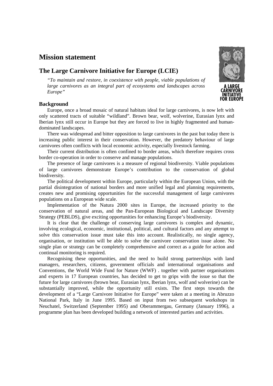## **Mission statement**

## **The Large Carnivore Initiative for Europe (LCIE)**

*"To maintain and restore, in coexistence with people, viable populations of large carnivores as an integral part of ecosystems and landscapes across Europe"* 



#### **Background**

Europe, once a broad mosaic of natural habitats ideal for large carnivores, is now left with only scattered tracts of suitable "wildland". Brown bear, wolf, wolverine, Eurasian lynx and Iberian lynx still occur in Europe but they are forced to live in highly fragmented and humandominated landscapes.

There was widespread and bitter opposition to large carnivores in the past but today there is increasing public interest in their conservation. However, the predatory behaviour of large carnivores often conflicts with local economic activity, especially livestock farming.

Their current distribution is often confined to border areas, which therefore requires cross border co-operation in order to conserve and manage populations.

The presence of large carnivores is a measure of regional biodiversity. Viable populations of large carnivores demonstrate Europe's contribution to the conservation of global biodiversity.

The political development within Europe, particularly within the European Union, with the partial disintegration of national borders and more unified legal and planning requirements, creates new and promising opportunities for the successful management of large carnivores populations on a European wide scale.

Implementation of the Natura 2000 sites in Europe, the increased priority to the conservation of natural areas, and the Pan-European Biological and Landscape Diversity Strategy (PEBLDS), give exciting opportunities for enhancing Europe's biodiversity.

It is clear that the challenge of conserving large carnivores is complex and dynamic, involving ecological, economic, institutional, political, and cultural factors and any attempt to solve this conservation issue must take this into account. Realistically, no single agency, organisation, or institution will be able to solve the carnivore conservation issue alone. No single plan or strategy can be completely comprehensive and correct as a guide for action and continual monitoring is required.

Recognising these opportunities, and the need to build strong partnerships with land managers, researchers, citizens, government officials and international organisations and Conventions, the World Wide Fund for Nature (WWF) . together with partner organisations and experts in 17 European countries, has decided to get to grips with the issue so that the future for large carnivores (brown bear, Eurasian lynx, Iberian lynx, wolf and wolverine) can be substantially improved, while the opportunity still exists. The first steps towards the development of a "Large Carnivore Initiative for Europe" were taken at a meeting in Abruzzo National Park, Italy in June 1995. Based on input from two subsequent workshops in Neuchatel, Switzerland (September 1995) and Oberammergau, Germany (January 1996), a programme plan has been developed building a network of interested parties and activities.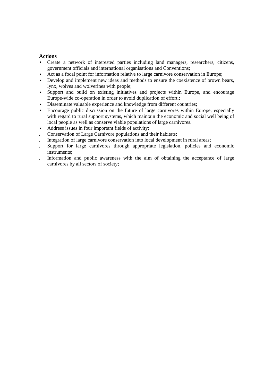#### **Actions**

- Create a network of interested parties including land managers, researchers, citizens, government officials and international organisations and Conventions;
- Act as a focal point for information relative to large carnivore conservation in Europe;
- Develop and implement new ideas and methods to ensure the coexistence of brown bears, lynx, wolves and wolverines with people;
- Support and build on existing initiatives and projects within Europe, and encourage Europe-wide co-operation in order to avoid duplication of effort.;
- Disseminate valuable experience and knowledge from different countries;
- Encourage public discussion on the future of large carnivores within Europe, especially with regard to rural support systems, which maintain the economic and social well being of local people as well as conserve viable populations of large carnivores.
- Address issues in four important fields of activity:
- *.* Conservation of Large Carnivore populations and their habitats;
- Integration of large carnivore conservation into local development in rural areas;
- Support for large carnivores through appropriate legislation, policies and economic instruments;
- Information and public awareness with the aim of obtaining the acceptance of large carnivores by all sectors of society;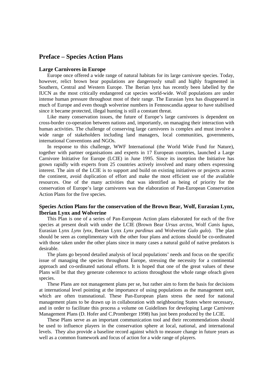#### **Preface – Species Action Plans**

#### **Large Carnivores in Europe**

Europe once offered a wide range of natural habitats for its large carnivore species. Today, however, relict brown bear populations are dangerously small and highly fragmented in Southern, Central and Western Europe. The Iberian lynx has recently been labelled by the IUCN as the most critically endangered cat species world-wide. Wolf populations are under intense human pressure throughout most of their range. The Eurasian lynx has disappeared in much of Europe and even though wolverine numbers in Fennoscandia appear to have stabilised since it became protected, illegal hunting is still a constant threat.

Like many conservation issues, the future of Europe's large carnivores is dependent on cross-border co-operation between nations and, importantly, on managing their interaction with human activities. The challenge of conserving large carnivores is complex and must involve a wide range of stakeholders including land managers, local communities, governments, international Conventions and NGOs.

In response to this challenge, WWF International (the World Wide Fund for Nature), together with partner organisations and experts in 17 European countries, launched a Large Carnivore Initiative for Europe (LCIE) in June 1995. Since its inception the Initiative has grown rapidly with experts from 25 countries actively involved and many others expressing interest. The aim of the LCIE is to support and build on existing initiatives or projects across the continent, avoid duplication of effort and make the most efficient use of the available resources. One of the many activities that was identified as being of priority for the conservation of Europe's large carnivores was the elaboration of Pan-European Conservation Action Plans for the five species.

#### **Species Action Plans for the conservation of the Brown Bear, Wolf, Eurasian Lynx, Iberian Lynx and Wolverine**

This Plan is one of a series of Pan-European Action plans elaborated for each of the five species at present dealt with under the LCIE (Brown Bear *Ursus arctos*, Wolf *Canis lupus*, Eurasian Lynx *Lynx lynx*, Iberian Lynx *Lynx pardinus* and Wolverine *Gulo gulo*). The plan should be seen as complimentary with the other four plans and actions should be co-ordinated with those taken under the other plans since in many cases a natural guild of native predators is desirable.

The plans go beyond detailed analysis of local populations' needs and focus on the specific issue of managing the species throughout Europe, stressing the necessity for a continental approach and co-ordinated national efforts. It is hoped that one of the great values of these Plans will be that they generate coherence to actions throughout the whole range ofeach given species.

These Plans are not management plans per se, but rather aim to form the basis for decisions at international level pointing at the importance of using populations as the management unit, which are often transnational. These Pan-European plans stress the need for national management plans to be drawn up in collaboration with neighbouring States where necessary, and in order to facilitate this process a volume on Guidelines for developing Large Carnivore Management Plans (D. Hofer and C.Promberger 1998) has just been produced by the LCIE.

These Plans serve as an important communication tool and their recommendations should be used to influence players in the conservation sphere at local, national, and international levels. They also provide a baseline record against which to measure change in future years as well as a common framework and focus of action for a wide range of players.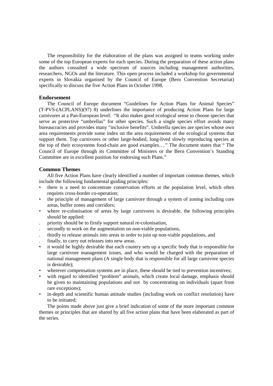The responsibility for the elaboration of the plans was assigned to teams working under some of the top European experts for each species. During the preparation of these action plans the authors consulted a wide spectrum of sources including management authorities, researchers, NGOs and the literature. This open process included a workshop for governmental experts in Slovakia organised by the Council of Europe (Bern Convention Secretariat) specifically to discuss the five Action Plans in October 1998.

#### **Endorsement**

The Council of Europe document "Guidelines for Action Plans for Animal Species" (T-PVS-(ACPLANS)(97) 8) underlines the importance of producing Action Plans for large carnivores at a Pan-European level: "It also makes good ecological sense to choose species that serve as protective "umbrellas" for other species. Such a single species effort avoids many bureaucracies and provides many "inclusive benefits". Umbrella species are species whose own area requirements provide some index on the area requirements of the ecological systems that support them. Top carnivores or other large-bodied, long-lived slowly reproducing species at the top of their ecosystems food-chain are good examples…." The document states that " The Council of Europe through its Committee of Ministers or the Bern Convention's Standing Committee are in excellent position for endorsing such Plans."

#### **Common Themes**

All five Action Plans have clearly identified a number of important common themes, which include the following fundamental guiding principles:

- there is a need to concentrate conservation efforts at the population level, which often requires cross-border co-operation;
- the principle of management of large carnivore through a system of zoning including core areas, buffer zones and corridors;
- where re-colonisation of areas by large carnivores is desirable, the following principles should be applied:
- priority should be to firstly support natural re-colonisation,
- *.* secondly to work on the augmentation on non-viable populations,
- *.* thirdly to release animals into areas in order to join up non-viable populations, and
- finally, to carry out releases into new areas.
- it would be highly desirable that each country sets up a specific body that is responsible for large carnivore management issues, and who would be charged with the preparation of national management plans (A single body that is responsible for all large carnivore species is desirable);
- wherever compensation systems are in place, these should be tied to prevention incentives;
- with regard to identified "problem" animals, which create local damage, emphasis should be given to maintaining populations and not by concentrating on individuals (apart from rare exceptions);
- in-depth and scientific human attitude studies (including work on conflict resolution) have to be initiated;

The points made above just give a brief indication of some of the more important common themes or principles that are shared by all five action plans that have been elaborated as part of the series.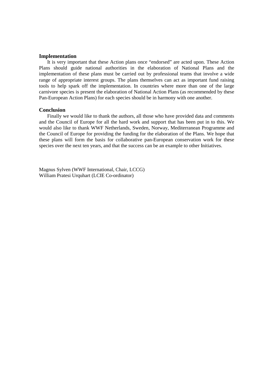#### **Implementation**

It is very important that these Action plans once "endorsed" are acted upon. These Action Plans should guide national authorities in the elaboration of National Plans and the implementation of these plans must be carried out by professional teams that involve a wide range of appropriate interest groups. The plans themselves can act as important fund raising tools to help spark off the implementation. In countries where more than one of the large carnivore species is present the elaboration of National Action Plans (as recommended by these Pan-European Action Plans) for each species should be in harmony with one another.

#### **Conclusion**

Finally we would like to thank the authors, all those who have provided data and comments and the Council of Europe for all the hard work and support that has been put in to this. We would also like to thank WWF Netherlands, Sweden, Norway, Mediterranean Programme and the Council of Europe for providing the funding for the elaboration of the Plans. We hope that these plans will form the basis for collaborative pan-European conservation work for these species over the next ten years, and that the success can be an example to other Initiatives.

Magnus Sylven (WWF International, Chair, LCCG) William Pratesi Urquhart (LCIE Co-ordinator)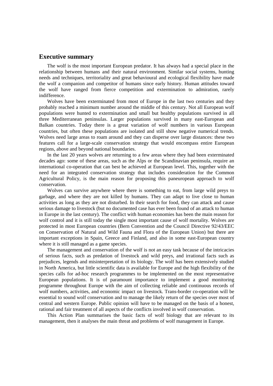#### **Executive summary**

The wolf is the most important European predator. It has always had a special place in the relationship between humans and their natural environment. Similar social systems, hunting needs and techniques, territoriality and great behavioural and ecological flexibility have made the wolf a companion and competitor of humans since early history. Human attitudes toward the wolf have ranged from fierce competition and extermination to admiration, rarely indifference.

Wolves have been exterminated from most of Europe in the last two centuries and they probably reached a minimum number around the middle of this century. Not all European wolf populations were hunted to extermination and small but healthy populations survived in all three Mediterranean peninsulas. Larger populations survived in many east-European and Balkan countries. Today there is a great variation of wolf numbers in various European countries, but often these populations are isolated and still show negative numerical trends. Wolves need large areas to roam around and they can disperse over large distances: these two features call for a large-scale conservation strategy that would encompass entire European regions, above and beyond national boundaries.

In the last 20 years wolves are returning to a few areas where they had been exterminated decades ago: some of these areas, such as the Alps or the Scandinavian peninsula, require an international co-operation that can best be achieved at European level. This, together with the need for an integrated conservation strategy that includes consideration for the Common Agricultural Policy, is the main reason for proposing this paneuropean approach to wolf conservation.

Wolves can survive anywhere where there is something to eat, from large wild preys to garbage, and where they are not killed by humans. They can adapt to live close to human activities as long as they are not disturbed. In their search for food, they can attack and cause serious damage to livestock (but no documented case has ever been found of an attack to human in Europe in the last century). The conflict with human economies has been the main reason for wolf control and it is still today the single most important cause of wolf mortality. Wolves are protected in most European countries (Bern Convention and the Council Directive 92/43/EEC on Conservation of Natural and Wild Fauna and Flora of the European Union) but there are important exceptions in Spain, Greece and Finland, and also in some east-European country where it is still managed as a game species.

The management and conservation of the wolf is not an easy task because of the intricacies of serious facts, such as predation of livestock and wild preys, and irrational facts such as prejudices, legends and misinterpretation of its biology. The wolf has been extensively studied in North America, but little scientific data is available for Europe and the high flexibility of the species calls for ad-hoc research programmes to be implemented on the most representative European populations. It is of paramount importance to implement a good monitoring programme throughout Europe with the aim of collecting reliable and continuous records of wolf numbers, activities, and economic impact on livestock. Trans-border co-operation will be essential to sound wolf conservation and to manage the likely return of the species over most of central and western Europe. Public opinion will have to be managed on the basis of a honest, rational and fair treatment of all aspects of the conflicts involved in wolf conservation.

This Action Plan summarises the basic facts of wolf biology that are relevant to its management, then it analyses the main threat and problems of wolf management in Europe.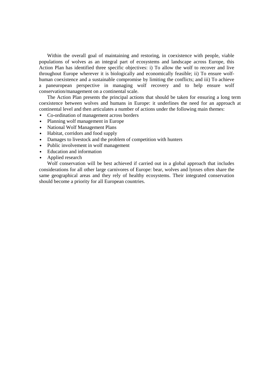Within the overall goal of maintaining and restoring, in coexistence with people, viable populations of wolves as an integral part of ecosystems and landscape across Europe, this Action Plan has identified three specific objectives: i) To allow the wolf to recover and live throughout Europe wherever it is biologically and economically feasible; ii) To ensure wolfhuman coexistence and a sustainable compromise by limiting the conflicts; and iii) To achieve a paneuropean perspective in managing wolf recovery and to help ensure wolf conservation/management on a continental scale.

The Action Plan presents the principal actions that should be taken for ensuring a long term coexistence between wolves and humans in Europe: it underlines the need for an approach at continental level and then articulates a number of actions under the following main themes:

- Co-ordination of management across borders
- Planning wolf management in Europe
- National Wolf Management Plans
- Habitat, corridors and food supply
- Damages to livestock and the problem of competition with hunters
- Public involvement in wolf management
- Education and information
- Applied research

Wolf conservation will be best achieved if carried out in a global approach that includes considerations for all other large carnivores of Europe: bear, wolves and lynxes often share the same geographical areas and they rely of healthy ecosystems. Their integrated conservation should become a priority for all European countries.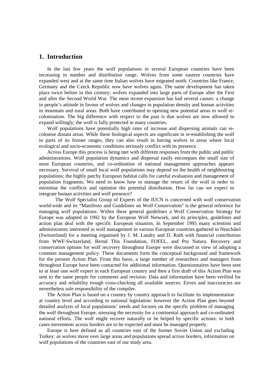### **1. Introduction**

In the last few years the wolf populations in several European countries have been increasing in number and distribution range. Wolves from some eastern countries have expanded west and at the same time Italian wolves have migrated north. Countries like France, Germany and the Czeck Republic now have wolves again. The same development has taken place twice before in this century; wolves expanded into large parts of Europe after the First and after the Second World War. The most recent expansion has had several causes: a change in people's attitude in favour of wolves and changes in population density and human activities in mountain and rural areas. Both have contributed to opening new potential areas to wolf recolonisation. The big difference with respect to the past is that wolves are now allowed to expand willingly; the wolf is fully protected in many countries.

Wolf populations have potentially high rates of increase and dispersing animals can recolonise distant areas. While these biological aspects are significant in re-establishing the wolf in parts of its former ranges, they can also result in having wolves in areas where local ecological and socio-economic conditions seriously conflict with its presence.

Across Europe this process is being met with different responses from the public and public administrations. Wolf population dynamics and dispersal easily encompass the small size of most European countries, and co-ordination of national management approaches appears necessary. Survival of small local wolf populations may depend on the health of neighbouring populations; the highly patchy European habitat calls for careful evaluation and management of population fragments. We need to know how to manage the return of the wolf in order to minimise the conflicts and optimise the potential distribution. How far can we expect to integrate human activities and wolf presence?

The Wolf Specialist Group of Experts of the IUCN is concerned with wolf conservation world-wide and its "Manifesto and Guidelines on Wolf Conservation" is the general reference for managing wolf populations. Within these general guidelines a Wolf Conservation Strategy for Europe was adopted in 1992 by the European Wolf Network, and its principles, guidelines and action plan deal with the specific European situation. In September 1995 many scientists and administrators interested in wolf management in various European countries gathered in Neuchâtel (Switzerland) for a meeting organised by J. M. Landry and D. Roth with financial contribution from WWF-Switzerland, Bernd This Foundation, FOFEL, and Pro Natura. Recovery and conservation options for wolf recovery throughout Europe were discussed in view of adopting a common management policy. These documents form the conceptual background and framework for the present Action Plan. From this basis, a large number of researchers and managers from throughout Europe have been contacted for additional information. Questionnaires have been sent to at least one wolf expert in each European country and then a first draft of this Action Plan was sent to the same people for comments and revision. Data and information have been verified for accuracy and reliability trough cross-checking all available sources. Errors and inaccuracies are nevertheless sole responsibility of the compiler.

The Action Plan is based on a country by country approach to facilitate its implementation at country level and according to national legislation: however the Action Plan goes beyond detailed analysis of local populations' needs and focuses on the specific problem of managing the wolf throughout Europe, stressing the necessity for a continental approach and co-ordinated national efforts. The wolf might recover naturally or be helped by specific actions: in both cases movements across borders are to be expected and must be managed properly.

Europe is here defined as all countries east of the former Soviet Union and excluding Turkey: as wolves move over large areas and populations spread across borders, information on wolf populations of the countries east of our study area.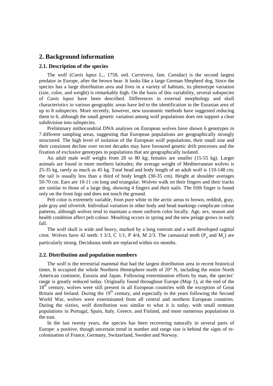#### **2. Background information**

#### **2.1. Description of the species**

The wolf (*Canis lupus* L., 1758, ord. *Carnivora*, fam. *Canidae*) is the second largest predator in Europe, after the brown bear. It looks like a large German Shepherd dog. Since the species has a large distribution area and lives in a variety of habitats, its phenotype variation (size, color, and weight) is remarkably high. On the basis of this variability, several subspecies of *Canis lupus* have been described. Differences in external morphology and skull characteristics in various geographic areas have led to the identification in the Eurasian area of up to 8 subspecies. More recently, however, new taxonomic methods have suggested reducing them to 6, although the small genetic variation among wolf populations does not support a clear subdivision into subspecies.

Preliminary mithocondrial DNA analyses on European wolves have shown 6 genotypes in 7 different sampling areas, suggesting that European populations are geographically strongly structured. The high level of isolation of the European wolf populations, their small size and their consistent decline over recent decades may have favoured genetic drift processes and the fixation of exclusive genotypes in populations that are geographically isolated.

An adult male wolf weighs from 20 to 80 kg; females are smaller (15-55 kg). Larger animals are found in more northern latitudes; the average weight of Mediterranean wolves is 25-35 kg, rarely as much as 45 kg. Total head and body length of an adult wolf is 110-148 cm; the tail is usually less than a third of body length (30-35 cm). Height at shoulder averages 50-70 cm. Ears are 10-11 cm long and triangular. Wolves walk on their fingers and their tracks are similar to those of a large dog, showing 4 fingers and their nails. The fifth finger is found only on the front legs and does not touch the ground.

Pelt color is extremely variable, from pure white in the arctic areas to brown, reddish, gray, pale gray and silverish. Individual variation in other body and head markings complicate colour patterns, although wolves tend to maintain a more uniform color locally. Age, sex, season and health condition affect pelt colour. Moulting occurs in spring and the new pelage grows in early fall.

The wolf skull is wide and heavy, marked by a long rostrum and a well developed sagittal crest. Wolves have 42 teeth: I 3/3, C 1/1, P 4/4, M 2/3. The carnassial teeth  $(P_4 \text{ and } M_1)$  are particularly strong. Deciduous teeth are replaced within six months.

#### **2.2. Distribution and population numbers**

The wolf is the terrestrial mammal that had the largest distribution area in recent historical times. It occupied the whole Northern Hemisphere north of 20° N, including the entire North American continent, Eurasia and Japan. Following extermination efforts by man, the species' range is greatly reduced today. Originally found throughout Europe (Map 1), at the end of the 18<sup>th</sup> century, wolves were still present in all European countries with the exception of Great Britain and Ireland. During the  $19<sup>th</sup>$  century, and especially in the years following the Second World War, wolves were exterminated from all central and northern European countries. During the sixties, wolf distribution was similar to what it is today, with small remnant populations in Portugal, Spain, Italy, Greece, and Finland, and more numerous populations in the east.

In the last twenty years, the species has been recovering naturally in several parts of Europe: a positive, though uncertain trend in number and range size is behind the signs of recolonisation of France, Germany, Switzerland, Sweden and Norway.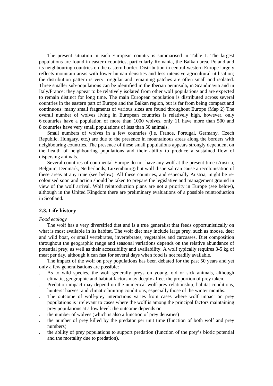The present situation in each European country is summarised in Table 1. The largest populations are found in eastern countries, particularly Romania, the Balkan area, Poland and its neighbouring countries on the eastern border. Distribution in central-western Europe largely reflects mountain areas with lower human densities and less intensive agricultural utilisation; the distribution pattern is very irregular and remaining patches are often small and isolated. Three smaller sub-populations can be identified in the Iberian peninsula, in Scandinavia and in Italy/France: they appear to be relatively isolated from other wolf populations and are expected to remain distinct for long time. The main European population is distributed across several countries in the eastern part of Europe and the Balkan region, but is far from being compact and continuous: many small fragments of various sizes are found throughout Europe (Map 2) The overall number of wolves living in European countries is relatively high, however, only 6 countries have a population of more than 1000 wolves, only 11 have more than 500 and 8 countries have very small populations of less than 50 animals.

Small numbers of wolves in a few countries (i.e. France, Portugal, Germany, Czech Republic, Hungary, etc.) are due to the presence in mountainous areas along the borders with neighbouring countries. The presence of these small populations appears strongly dependent on the health of neighbouring populations and their ability to produce a sustained flow of dispersing animals.

Several countries of continental Europe do not have any wolf at the present time (Austria, Belgium, Denmark, Netherlands, Luxembourg) but wolf dispersal can cause a recolonisation of these areas at any time (see below). All these countries, and especially Austria, might be recolonised soon and action should be taken to prepare the legislative and management ground in view of the wolf arrival. Wolf reintroduction plans are not a priority in Europe (see below), although in the United Kingdom there are preliminary evaluations of a possible reintroduction in Scotland.

#### **2.3. Life history**

#### *Food ecology*

The wolf has a very diversified diet and is a true generalist that feeds opportunistically on what is most available in its habitat. The wolf diet may include large prey, such as moose, deer and wild boar, or small vertebrates, invertebrates, vegetables and carcasses. Diet composition throughout the geographic range and seasonal variations depends on the relative abundance of potential prey, as well as their accessibility and availability. A wolf typically requires 3-5 kg of meat per day, although it can fast for several days when food is not readily available.

The impact of the wolf on prey populations has been debated for the past 50 years and yet only a few generalisations are possible:

- As to wild species, the wolf generally preys on young, old or sick animals, although climatic, geographic and habitat factors may deeply affect the proportion of prey taken.
- Predation impact may depend on the numerical wolf-prey relationship, habitat conditions, hunters' harvest and climatic limiting conditions, especially those of the winter months.
- The outcome of wolf-prey interactions varies from cases where wolf impact on prey populations is irrelevant to cases where the wolf is among the principal factors maintaining prey populations at a low level: the outcome depends on
- the number of wolves (which is also a function of prey densities)
- *.* the number of prey killed by the predator per unit time (function of both wolf and prey numbers)
- *.* the ability of prey populations to support predation (function of the prey's biotic potential and the mortality due to predation).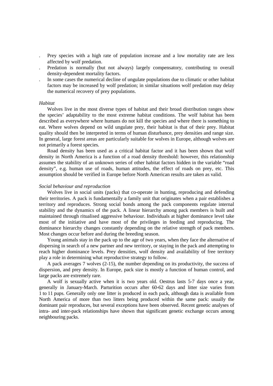- Prey species with a high rate of population increase and a low mortality rate are less affected by wolf predation.
- Predation is normally (but not always) largely compensatory, contributing to overall density-dependent mortality factors.
- In some cases the numerical decline of ungulate populations due to climatic or other habitat factors may be increased by wolf predation; in similar situations wolf predation may delay the numerical recovery of prey populations.

#### *Habitat*

Wolves live in the most diverse types of habitat and their broad distribution ranges show the species' adaptability to the most extreme habitat conditions. The wolf habitat has been described as everywhere where humans do not kill the species and where there is something to eat. Where wolves depend on wild ungulate prey, their habitat is that of their prey. Habitat quality should then be interpreted in terms of human disturbance, prey densities and range size. In general, large forest areas are particularly suitable for wolves in Europe, although wolves are not primarily a forest species.

Road density has been used as a critical habitat factor and it has been shown that wolf density in North America is a function of a road density threshold: however, this relationship assumes the stability of an unknown series of other habitat factors hidden in the variable "road density", e.g. human use of roads, human attitudes, the effect of roads on prey, etc. This assumption should be verified in Europe before North American results are taken as valid.

#### *Social behaviour and reproduction*

Wolves live in social units (packs) that co-operate in hunting, reproducing and defending their territories. A pack is fundamentally a family unit that originates when a pair establishes a territory and reproduces. Strong social bonds among the pack components regulate internal stability and the dynamics of the pack. A linear hierarchy among pack members is built and maintained through ritualised aggressive behaviour. Individuals at higher dominance level take most of the initiative and have most of the privileges in feeding and reproducing. The dominance hierarchy changes constantly depending on the relative strength of pack members. Most changes occur before and during the breeding season.

Young animals stay in the pack up to the age of two years, when they face the alternative of dispersing in search of a new partner and new territory, or staying in the pack and attempting to reach higher dominance levels. Prey densities, wolf density and availability of free territory play a role in determining what reproductive strategy to follow.

A pack averages 7 wolves (2-15), the number depending on its productivity, the success of dispersion, and prey density. In Europe, pack size is mostly a function of human control, and large packs are extremely rare.

A wolf is sexually active when it is two years old. Oestrus lasts 5-7 days once a year, generally in January-March. Parturition occurs after 60-62 days and litter size varies from 1 to 11 pups. Generally only one litter is produced in each pack, although data is available from North America of more than two litters being produced within the same pack: usually the dominant pair reproduces, but several exceptions have been observed. Recent genetic analyses of intra- and inter-pack relationships have shown that significant genetic exchange occurs among neighbouring packs.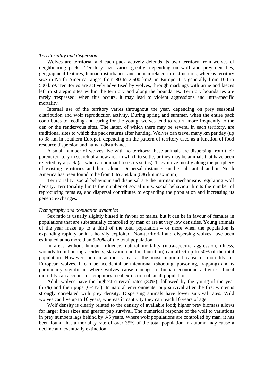#### *Territoriality and dispersion*

Wolves are territorial and each pack actively defends its own territory from wolves of neighbouring packs. Territory size varies greatly, depending on wolf and prey densities, geographical features, human disturbance, and human-related infrastructures, whereas territory size in North America ranges from 80 to 2,500 km2, in Europe it is generally from 100 to 500 km². Territories are actively advertised by wolves, through markings with urine and faeces left in strategic sites within the territory and along the boundaries. Territory boundaries are rarely trespassed; when this occurs, it may lead to violent aggressions and intra-specific mortality.

Internal use of the territory varies throughout the year, depending on prey seasonal distribution and wolf reproduction activity. During spring and summer, when the entire pack contributes to feeding and caring for the young, wolves tend to return more frequently to the den or the rendezvous sites. The latter, of which there may be several in each territory, are traditional sites to which the pack returns after hunting. Wolves can travel many km per day (up to 38 km in southern Europe), depending on the pattern of territory used as a function of food resource dispersion and human disturbance.

A small number of wolves live with no territory: these animals are dispersing from their parent territory in search of a new area in which to settle, or they may be animals that have been rejected by a pack (as when a dominant loses its status). They move mostly along the periphery of existing territories and hunt alone. Dispersal distance can be substantial and in North America has been found to be from 8 to 354 km (886 km maximum).

Territoriality, social behaviour and dispersal are the intrinsic mechanisms regulating wolf density. Territoriality limits the number of social units, social behaviour limits the number of reproducing females, and dispersal contributes to expanding the population and increasing its genetic exchanges.

#### *Demography and population dynamics*

Sex ratio is usually slightly biased in favour of males, but it can be in favour of females in populations that are substantially controlled by man or are at very low densities. Young animals of the year make up to a third of the total population – or more when the population is expanding rapidly or it is heavily exploited. Non-territorial and dispersing wolves have been estimated at no more than 5-20% of the total population.

In areas without human influence, natural mortality (intra-specific aggression, illness, wounds from hunting accidents, starvation and malnutrition) can affect up to 50% of the total population. However, human action is by far the most important cause of mortality for European wolves. It can be accidental or intentional (shooting, poisoning, trapping) and is particularly significant where wolves cause damage to human economic activities. Local mortality can account for temporary local extinction of small populations.

Adult wolves have the highest survival rates (80%), followed by the young of the year (55%) and then pups (6-43%). In natural environments, pup survival after the first winter is strongly correlated with prey density. Dispersing animals have lower survival rates. Wild wolves can live up to 10 years, whereas in captivity they can reach 16 years of age.

Wolf density is clearly related to the density of available food; higher prey biomass allows for larger litter sizes and greater pup survival. The numerical response of the wolf to variations in prey numbers lags behind by 3-5 years. Where wolf populations are controlled by man, it has been found that a mortality rate of over 35% of the total population in autumn may cause a decline and eventually extinction.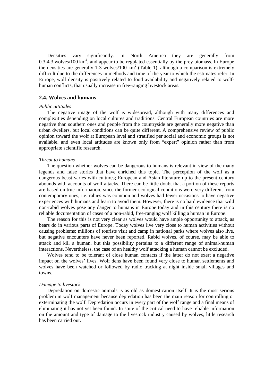Densities vary significantly. In North America they are generally from 0.3-4.3 wolves/100  $\text{km}^2$ , and appear to be regulated essentially by the prey biomass. In Europe the densities are generally  $1-3$  wolves/100 km<sup>2</sup> (Table 1), although a comparison is extremely difficult due to the differences in methods and time of the year to which the estimates refer. In Europe, wolf density is positively related to food availability and negatively related to wolfhuman conflicts, that usually increase in free-ranging livestock areas.

#### **2.4. Wolves and humans**

#### *Public attitudes*

The negative image of the wolf is widespread, although with many differences and complexities depending on local cultures and traditions. Central European countries are more negative than southern ones and people from the countryside are generally more negative than urban dwellers, but local conditions can be quite different. A comprehensive review of public opinion toward the wolf at European level and stratified per social and economic groups is not available, and even local attitudes are known only from "expert" opinion rather than from appropriate scientific research.

#### *Threat to humans*

The question whether wolves can be dangerous to humans is relevant in view of the many legends and false stories that have enriched this topic. The perception of the wolf as a dangerous beast varies with cultures; European and Asian literature up to the present century abounds with accounts of wolf attacks. There can be little doubt that a portion of these reports are based on true information, since the former ecological conditions were very different from contemporary ones, i.e. rabies was common and wolves had fewer occasions to have negative experiences with humans and learn to avoid them. However, there is no hard evidence that wild non-rabid wolves pose any danger to humans in Europe today and in this century there is no reliable documentation of cases of a non-rabid, free-ranging wolf killing a human in Europe.

The reason for this is not very clear as wolves would have ample opportunity to attack, as bears do in various parts of Europe. Today wolves live very close to human activities without causing problems; millions of tourists visit and camp in national parks where wolves also live, but negative encounters have never been reported. Rabid wolves, of course, may be able to attack and kill a human, but this possibility pertains to a different range of animal-human interactions. Nevertheless, the case of an healthy wolf attacking a human cannot be excluded.

Wolves tend to be tolerant of close human contacts if the latter do not exert a negative impact on the wolves' lives. Wolf dens have been found very close to human settlements and wolves have been watched or followed by radio tracking at night inside small villages and towns.

#### *Damage to livestock*

Depredation on domestic animals is as old as domestication itself. It is the most serious problem in wolf management because depredation has been the main reason for controlling or exterminating the wolf. Depredation occurs in every part of the wolf range and a final means of eliminating it has not yet been found. In spite of the critical need to have reliable information on the amount and type of damage to the livestock industry caused by wolves, little research has been carried out.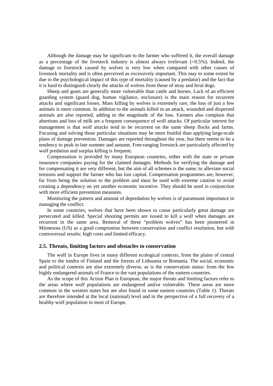Although the damage may be significant to the farmer who suffered it, the overall damage as a percentage of the livestock industry is almost always irrelevant  $\langle$ <0.5%). Indeed, the damage to livestock caused by wolves is very low when compared with other causes of livestock mortality and is often perceived as excessively important. This may to some extent be due to the psychological impact of this type of mortality (caused by a predator) and the fact that it is hard to distinguish clearly the attacks of wolves from those of stray and feral dogs.

Sheep and goats are generally more vulnerable than cattle and horses. Lack of an efficient guarding system (guard dog, human vigilance, enclosure) is the main reason for recurrent attacks and significant losses. Mass killing by wolves is extremely rare, the loss of just a few animals is more common. In addition to the animals killed in an attack, wounded and dispersed animals are also reported, adding to the magnitude of the loss. Farmers also complain that abortions and loss of milk are a frequent consequence of wolf attacks. Of particular interest for management is that wolf attacks tend to be recurrent on the same sheep flocks and farms. Focusing and solving those particular situations may be more fruitful than applying large-scale plans of damage prevention. Damages are reported throughout the year, but there seems to be a tendency to peak in late summer and autumn. Free-ranging livestock are particularly affected by wolf predation and surplus killing is frequent.

Compensation is provided by many European countries, either with the state or private insurance companies paying for the claimed damages. Methods for verifying the damage and for compensating it are very different, but the aim of all schemes is the same; to alleviate social tensions and support the farmer who has lost capital. Compensation programmes are, however, far from being the solution to the problem and must be used with extreme caution to avoid creating a dependency on yet another economic incentive. They should be used in conjunction with more efficient prevention measures.

Monitoring the pattern and amount of depredation by wolves is of paramount importance in managing the conflict.

In some countries, wolves that have been shown to cause particularly great damage are persecuted and killed. Special shooting permits are issued to kill a wolf when damages are recurrent in the same area. Removal of these "problem wolves" has been pioneered in Minnesota (US) as a good compromise between conservation and conflict resolution, but with controversial results: high costs and limited efficacy.

#### **2.5. Threats, limiting factors and obstacles to conservation**

The wolf in Europe lives in many different ecological contexts, from the plains of central Spain to the tundra of Finland and the forests of Lithuania or Romania. The social, economic and political contexts are also extremely diverse, as is the conservation status: from the few highly endangered animals of France to the vast populations of the eastern countries.

As the scope of this Action Plan is European, the major threats and limiting factors refer to the areas where wolf populations are endangered and/or vulnerable. These areas are more common in the western states but are also found in some eastern countries (Table 1). Threats are therefore intended at the local (national) level and in the perspective of a full recovery of a healthy wolf population in most of Europe.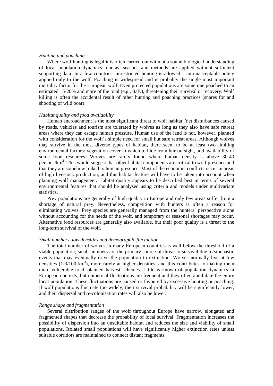#### *Hunting and poaching*

Where wolf hunting is legal it is often carried out without a sound biological understanding of local population dynamics: quotas, seasons and methods are applied without sufficient supporting data. In a few countries, unrestricted hunting is allowed – an unacceptable policy applied only to the wolf. Poaching is widespread and is probably the single most important mortality factor for the European wolf. Even protected populations are sometime poached to an estimated 15-20% and more of the total (e.g., Italy), threatening their survival or recovery. Wolf killing is often the accidental result of other hunting and poaching practices (snares for and shooting of wild boar).

#### *Habitat quality and food availability*

Human encroachment is the most significant threat to wolf habitat. Yet disturbances caused by roads, vehicles and tourism are tolerated by wolves as long as they also have safe retreat areas where they can escape human pressure. Human use of the land is not, however, planned with consideration for the wolf's simple need for small but safe retreat areas. Although wolves may survive in the most diverse types of habitat, there seem to be at least two limiting environmental factors: vegetation cover in which to hide from human sight, and availability of some food resources. Wolves are rarely found where human density is above 30-40 persons/km<sup>2</sup>. This would suggest that other habitat components are critical to wolf presence and that they are somehow linked to human presence. Most of the economic conflicts occur in areas of high livestock production, and this habitat feature will have to be taken into account when planning wolf management. Habitat quality appears to be described best in terms of several environmental features that should be analysed using criteria and models under multivariate statistics.

Prey populations are generally of high quality in Europe and only few areas suffer from a shortage of natural prey. Nevertheless, competition with hunters is often a reason for eliminating wolves. Prey species are generally managed from the hunters' perspective alone without accounting for the needs of the wolf, and temporary or seasonal shortages may occur. Alternative food resources are generally also available, but their poor quality is a threat to the long-term survival of the wolf.

#### *Small numbers, low densities and demographic fluctuation*

The total number of wolves in many European countries is well below the threshold of a viable population; small numbers are the primary source of threat to survival due to stochastic events that may eventually drive the population to extinction. Wolves normally live at low densities  $(1-3/100 \text{ km}^2)$ , more rarely at higher densities, and this contributes to making them more vulnerable to ill-planned harvest schemes. Little is known of population dynamics in European contexts, but numerical fluctuations are frequent and they often annihilate the entire local population. These fluctuations are caused or favoured by excessive hunting or poaching. If wolf populations fluctuate too widely, their survival probability will be significantly lower, and their dispersal and re-colonisation rates will also be lower.

#### *Range shape and fragmentation*

Several distribution ranges of the wolf throughout Europe have narrow, elongated and fragmented shapes that decrease the probability of local survival. Fragmentation increases the possibility of dispersion into an unsuitable habitat and reduces the size and viability of small populations. Isolated small populations will have significantly higher extinction rates unless suitable corridors are maintained to connect distant fragments.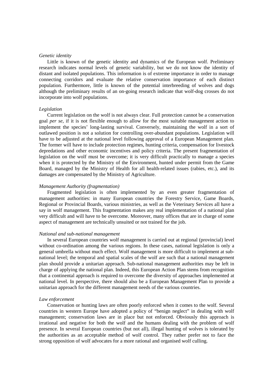#### *Genetic identity*

Little is known of the genetic identity and dynamics of the European wolf. Preliminary research indicates normal levels of genetic variability, but we do not know the identity of distant and isolated populations. This information is of extreme importance in order to manage connecting corridors and evaluate the relative conservation importance of each distinct population. Furthermore, little is known of the potential interbreeding of wolves and dogs although the preliminary results of an on-going research indicate that wolf-dog crosses do not incorporate into wolf populations.

#### *Legislation*

Current legislation on the wolf is not always clear. Full protection cannot be a conservation goal *per se*, if it is not flexible enough to allow for the most suitable management action to implement the species' long-lasting survival. Conversely, maintaining the wolf in a sort of outlawed position is not a solution for controlling over-abundant populations. Legislation will have to be adjusted at the national level following approval of a European Management plan. The former will have to include protection regimes, hunting criteria, compensation for livestock depredations and other economic incentives and policy criteria. The present fragmentation of legislation on the wolf must be overcome; it is very difficult practically to manage a species when it is protected by the Ministry of the Environment, hunted under permit from the Game Board, managed by the Ministry of Health for all health-related issues (rabies, etc.), and its damages are compensated by the Ministry of Agriculture.

#### *Management Authority (fragmentation)*

Fragmented legislation is often implemented by an even greater fragmentation of management authorities: in many European countries the Forestry Service, Game Boards, Regional or Provincial Boards, various ministries, as well as the Veterinary Services all have a say in wolf management. This fragmentation makes any real implementation of a national plan very difficult and will have to be overcome. Moreover, many offices that are in charge of some aspect of management are technically unsuited or not trained for the job.

#### *National and sub-national management*

In several European countries wolf management is carried out at regional (provincial) level without co-ordination among the various regions. In these cases, national legislation is only a general umbrella without much effect. Wolf management is more difficult to implement at subnational level; the temporal and spatial scales of the wolf are such that a national management plan should provide a unitarian approach. Sub-national management authorities may be left in charge of applying the national plan. Indeed, this European Action Plan stems from recognition that a continental approach is required to overcome the diversity of approaches implemented at national level. In perspective, there should also be a European Management Plan to provide a unitarian approach for the different management needs of the various countries.

#### *Law enforcement*

Conservation or hunting laws are often poorly enforced when it comes to the wolf. Several countries in western Europe have adopted a policy of "benign neglect" in dealing with wolf management; conservation laws are in place but not enforced. Obviously this approach is irrational and negative for both the wolf and the humans dealing with the problem of wolf presence. In several European countries (but not all), illegal hunting of wolves is tolerated by the authorities as an acceptable method of wolf control. They rather prefer not to face the strong opposition of wolf advocates for a more rational and organised wolf culling.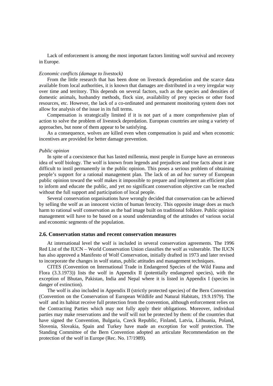Lack of enforcement is among the most important factors limiting wolf survival and recovery in Europe.

#### *Economic conflicts (damage to livestock)*

From the little research that has been done on livestock depredation and the scarce data available from local authorities, it is known that damages are distributed in a very irregular way over time and territory. This depends on several factors, such as the species and densities of domestic animals, husbandry methods, flock size, availability of prey species or other food resources, etc. However, the lack of a co-ordinated and permanent monitoring system does not allow for analysis of the issue in its full terms.

Compensation is strategically limited if it is not part of a more comprehensive plan of action to solve the problem of livestock depredation. European countries are using a variety of approaches, but none of them appear to be satisfying.

As a consequence, wolves are killed even when compensation is paid and when economic incentives are provided for better damage prevention.

#### *Public opinion*

In spite of a coexistence that has lasted millennia, most people in Europe have an erroneous idea of wolf biology. The wolf is known from legends and prejudices and true facts about it are difficult to instil permanently in the public opinion. This poses a serious problem of obtaining people's support for a rational management plan. The lack of an *ad hoc* survey of European public opinion toward the wolf makes it impossible to prepare and implement an efficient plan to inform and educate the public, and yet no significant conservation objective can be reached without the full support and participation of local people.

Several conservation organisations have wrongly decided that conservation can be achieved by selling the wolf as an innocent victim of human ferocity. This opposite image does as much harm to rational wolf conservation as the bad image built on traditional folklore. Public opinion management will have to be based on a sound understanding of the attitudes of various social and economic segments of the population.

#### **2.6. Conservation status and recent conservation measures**

At international level the wolf is included in several conservation agreements. The 1996 Red List of the IUCN – World Conservation Union classifies the wolf as vulnerable. The IUCN has also approved a Manifesto of Wolf Conservation, initially drafted in 1973 and later revised to incorporate the changes in wolf status, public attitudes and management techniques.

CITES (Convention on International Trade in Endangered Species of the Wild Fauna and Flora (3.3.1973)) lists the wolf in Appendix II (potentially endangered species), with the exception of Bhutan, Pakistan, India and Nepal where it is listed in Appendix I (species in danger of extinction).

The wolf is also included in Appendix II (strictly protected species) of the Bern Convention (Convention on the Conservation of European Wildlife and Natural Habitats, 19.9.1979). The wolf and its habitat receive full protection from the convention, although enforcement relies on the Contracting Parties which may not fully apply their obligations. Moreover, individual parties may make reservations and the wolf will not be protected by them: of the countries that have signed the Convention, Bulgaria, Czeck Republic, Finland, Latvia, Lithuania, Poland, Slovenia, Slovakia, Spain and Turkey have made an exception for wolf protection. The Standing Committee of the Bern Convention adopted an articulate Recommendation on the protection of the wolf in Europe (Rec. No. 17/1989).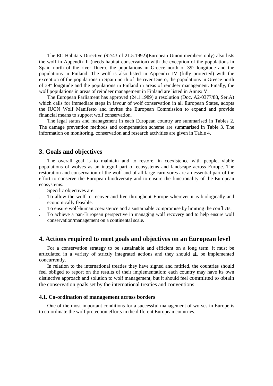The EC Habitats Directive (92/43 of 21.5.1992)(European Union members only) also lists the wolf in Appendix II (needs habitat conservation) with the exception of the populations in Spain north of the river Duero, the populations in Greece north of 39° longitude and the populations in Finland. The wolf is also listed in Appendix IV (fully protected) with the exception of the populations in Spain north of the river Duero, the populations in Greece north of 39° longitude and the populations in Finland in areas of reindeer management. Finally, the wolf populations in areas of reindeer management in Finland are listed in Annex V.

The European Parliament has approved (24.1.1989) a resolution (Doc. A2-0377/88, Ser.A) which calls for immediate steps in favour of wolf conservation in all European States, adopts the IUCN Wolf Manifesto and invites the European Commission to expand and provide financial means to support wolf conservation.

The legal status and management in each European country are summarised in Tables 2. The damage prevention methods and compensation scheme are summarised in Table 3. The information on monitoring, conservation and research activities are given in Table 4.

#### **3. Goals and objectives**

The overall goal is to maintain and to restore, in coexistence with people, viable populations of wolves as an integral part of ecosystems and landscape across Europe. The restoration and conservation of the wolf and of all large carnivores are an essential part of the effort to conserve the European biodiversity and to ensure the functionality of the European ecosystems.

Specific objectives are:

- *.* To allow the wolf to recover and live throughout Europe wherever it is biologically and economically feasible.
- *.* To ensure wolf-human coexistence and a sustainable compromise by limiting the conflicts.
- *.* To achieve a pan-European perspective in managing wolf recovery and to help ensure wolf conservation/management on a continental scale.

#### **4. Actions required to meet goals and objectives on an European level**

For a conservation strategy to be sustainable and efficient on a long term, it must be articulated in a variety of strictly integrated actions and they should all be implemented concurrently.

In relation to the international treaties they have signed and ratified, the countries should feel obliged to report on the results of their implementation: each country may have its own distinctive approach and solution to wolf management, but it should feel committed to obtain the conservation goals set by the international treaties and conventions.

#### **4.1. Co-ordination of management across borders**

One of the most important conditions for a successful management of wolves in Europe is to co-ordinate the wolf protection efforts in the different European countries.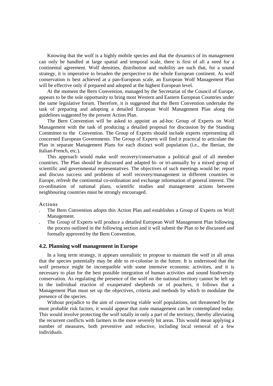Knowing that the wolf is a highly mobile species and that the dynamics of its management can only be handled at large spatial and temporal scale, there is first of all a need for a continental agreement. Wolf densities, distribution and mobility are such that, for a sound strategy, it is imperative to broaden the perspective to the whole European continent. As wolf conservation is best achieved at a pan-European scale, an European Wolf Management Plan will be effective only if prepared and adopted at the highest European level.

At the moment the Bern Convention, managed by the Secretariat of the Council of Europe, appears to be the sole opportunity to bring most Western and Eastern European Countries under the same legislative forum. Therefore, it is suggested that the Bern Convention undertake the task of preparing and adopting a detailed European Wolf Management Plan along the guidelines suggested by the present Action Plan.

The Bern Convention will be asked to appoint an ad-hoc Group of Experts on Wolf Management with the task of producing a detailed proposal for discussion by the Standing Committee to the Convention. The Group of Experts should include experts representing all concerned European Governments. The Group of Experts will find it practical to articulate the Plan in separate Management Plans for each distinct wolf population (i.e., the Iberian, the Italian-French, etc.).

This approach would make wolf recovery/conservation a political goal of all member countries. The Plan should be discussed and adapted bi- or tri-annually by a mixed group of scientific and governmental representatives. The objectives of such meetings would be: report and discuss success and problems of wolf recovery/management in different countries in Europe, refresh the continental co-ordination and exchange information of general interest. The co-ordination of national plans, scientific studies and management actions between neighbouring countries must be strongly encouraged.

#### Actions

- The Bern Convention adopts this Action Plan and establishes a Group of Experts on Wolf Management.
- The Group of Experts will produce a detailed European Wolf Management Plan following the process outlined in the following section and it will submit the Plan to be discussed and formally approved by the Bern Convention.

#### **4.2. Planning wolf management in Europe**

In a long term strategy, it appears unrealistic to propose to maintain the wolf in all areas that the species potentially may be able to re-colonise in the future. It is understood that the wolf presence might be incompatible with some intensive economic activities, and it is necessary to plan for the best possible integration of human activities and sound biodiversity conservation. As regulating the presence of the wolf on the national territory cannot be left up to the individual reaction of exasperated shepherds or of poachers, it follows that a Management Plan must set up the objectives, criteria and methods by which to modulate the presence of the species.

Without prejudice to the aim of conserving viable wolf populations, not threatened by the most probable risk factors, it would appear that zone management can be contemplated today. This would involve protecting the wolf totally in only a part of the territory, thereby alleviating the recurrent conflicts with farmers in the more severely hit areas. This would mean applying a number of measures, both preventive and reductive, including local removal of a few individuals.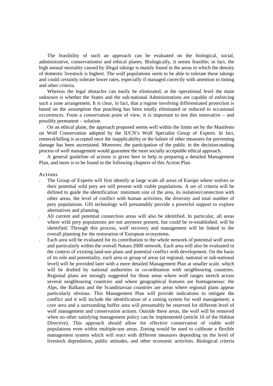The feasibility of such an approach can be evaluated on the biological, social, administrative, conservationist and ethical planes. Biologically, it seems feasible; in fact, the high annual mortality caused by illegal takings is mainly found in the areas in which the density of domestic livestock is highest. The wolf populations seem to be able to tolerate these takings and could certainly tolerate lower rates, especially if managed correctly with attention to timing and other criteria.

Whereas the legal obstacles can easily be eliminated, at the operational level the main unknown is whether the States and the sub-national Administrations are capable of enforcing such a zone arrangement. It is clear, in fact, that a regime involving differentiated protection is based on the assumption that poaching has been totally eliminated or reduced to occasional occurrences. From a conservation point of view, it is important to test this innovative – and possibly permanent – solution.

On an ethical plane, the approach proposed seems well within the limits set by the Manifesto on Wolf Conservation adopted by the IUCN's Wolf Specialist Group of Experts. In fact, removal/killing is accepted once the inapplicability or the failure of other measures for preventing damage has been ascertained. Moreover, the participation of the public in the decision-making process of wolf management would guarantee the most socially acceptable ethical approach.

A general guideline of actions is given here to help in preparing a detailed Management Plan, and more is to be found in the following chapters of this Action Plan.

#### Actions

- The Group of Experts will first identify at large scale all areas of Europe where wolves or their potential wild prey are still present with viable populations. A set of criteria will be defined to guide the identification: minimum size of the area, its isolation/connection with other areas, the level of conflict with human activities, the diversity and total number of prey populations. GIS technology will presumably provide a powerful support to explore alternatives and planning.
- All current and potential connection areas will also be identified. In particular, all areas where wild prey populations are not anymore present, but could be re-established, will be identified. Through this process, wolf recovery and management will be linked to the overall planning for the restoration of European ecosystems.
- *.* Each area will be evaluated for its contribution to the whole network of potential wolf areas and particularly within the overall Natura 2000 network. Each area will also be evaluated in the context of existing land-use plans and potential conflict with development. On the basis of its role and potentiality, each area or group of areas (at regional, national or sub-national level) will be provided later with a more detailed Management Plan at smaller scale, which will be drafted by national authorities in co-ordination with neighbouring countries. Regional plans are strongly suggested for those areas where wolf ranges stretch across several neighbouring countries and where geographical features are homogeneous: the Alps, the Balkans and the Scandinavian countries are areas where regional plans appear particularly obvious. This Management Plan will provide indications to mitigate the conflict and it will include the identification of a zoning system for wolf management; a core area and a surrounding buffer area will presumably be reserved for different level of wolf management and conservation actions. Outside these areas, the wolf will be removed when no other satisfying management policy can be implemented (article 16 of the Habitat Directive). This approach should allow for effective conservation of viable wolf populations even within multiple-use areas. Zoning would be used to calibrate a flexible management system which will react with different measures depending on the level of livestock depredation, public attitudes, and other economic activities. Biological criteria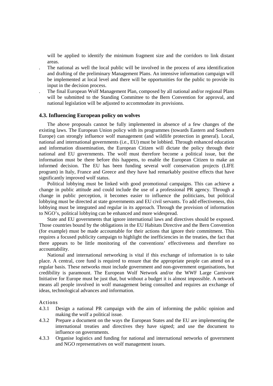will be applied to identify the minimum fragment size and the corridors to link distant areas.

- The national as well the local public will be involved in the process of area identification and drafting of the preliminary Management Plans. An intensive information campaign will be implemented at local level and there will be opportunities for the public to provide its input in the decision process.
- The final European Wolf Management Plan, composed by all national and/or regional Plans will be submitted to the Standing Committee to the Bern Convention for approval, and national legislation will be adjusted to accommodate its provisions.

#### **4.3. Influencing European policy on wolves**

The above proposals cannot be fully implemented in absence of a few changes of the existing laws. The European Union policy with its programmes (towards Eastern and Southern Europe) can strongly influence wolf management (and wildlife protection in general). Local, national and international governments (i.e., EU) must be lobbied. Through enhanced education and information dissemination, the European Citizen will dictate the policy through their national and EU governments. The wolf must therefore become a political issue, but the information must be there before this happens, to enable the European Citizen to make an informed decision. The EU has been funding several wolf conservation projects (LIFE program) in Italy, France and Greece and they have had remarkably positive effects that have significantly improved wolf status.

Political lobbying must be linked with good promotional campaigns. This can achieve a change in public attitude and could include the use of a professional PR agency. Through a change in public perception, it becomes easier to influence the politicians, but political lobbying must be directed at state governments and EU civil servants. To add effectiveness, this lobbying must be integrated and regular in its approach. Through the provision of information to NGO's, political lobbying can be enhanced and more widespread.

State and EU governments that ignore international laws and directives should be exposed. Those countries bound by the obligations in the EU Habitats Directive and the Bern Convention (for example) must be made accountable for their actions that ignore their commitment. This requires a focused publicity campaign to highlight the inefficiencies in the treaties, the fact that there appears to be little monitoring of the conventions' effectiveness and therefore no accountability.

National and international networking is vital if this exchange of information is to take place. A central, core fund is required to ensure that the appropriate people can attend on a regular basis. These networks must include government and non-government organisations, but credibility is paramount. The European Wolf Network and/or the WWF Large Carnivore Initiative for Europe must be just that, but without a budget it is almost impossible. A network means all people involved in wolf management being consulted and requires an exchange of ideas, technological advances and information.

#### Actions

- 4.3.1 Design a national PR campaign with the aim of informing the public opinion and making the wolf a political issue.
- 4.3.2 Prepare a document on the ways the European States and the EU are implementing the international treaties and directives they have signed; and use the document to influence on governments.
- 4.3.3 Organise logistics and funding for national and international networks of government and NGO representatives on wolf management issues.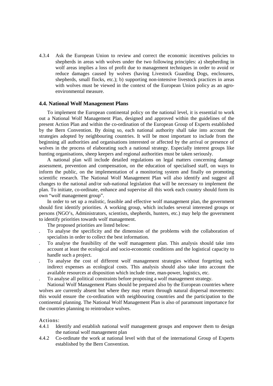4.3.4 Ask the European Union to review and correct the economic incentives policies to shepherds in areas with wolves under the two following principles: a) shepherding in wolf areas implies a loss of profit due to management techniques in order to avoid or reduce damages caused by wolves (having Livestock Guarding Dogs, enclosures, shepherds, small flocks, etc.); b) supporting non-intensive livestock practices in areas with wolves must be viewed in the context of the European Union policy as an agroenvironmental measure.

#### **4.4. National Wolf Management Plans**

To implement the European continental policy on the national level, it is essential to work out a National Wolf Management Plan, designed and approved within the guidelines of the present Action Plan and within the co-ordination of the European Group of Experts established by the Bern Convention. By doing so, each national authority shall take into account the strategies adopted by neighbouring countries. It will be most important to include from the beginning all authorities and organisations interested or affected by the arrival or presence of wolves in the process of elaborating such a national strategy. Especially interest groups like hunting organisations, sheep keepers and regional authorities must be taken seriously.

A national plan will include detailed regulations on legal matters concerning damage assessment, prevention and compensation, on the education of specialised staff, on ways to inform the public, on the implementation of a monitoring system and finally on promoting scientific research. The National Wolf Management Plan will also identify and suggest all changes to the national and/or sub-national legislation that will be necessary to implement the plan. To initiate, co-ordinate, enhance and supervise all this work each country should form its own "wolf management group".

In order to set up a realistic, feasible and effective wolf management plan, the government should first identify priorities. A working group, which includes several interested groups or persons (NGO's, Administrators, scientists, shepherds, hunters, etc.) may help the government to identify priorities towards wolf management.

The proposed priorities are listed below:

- *.* To analyse the specificity and the dimension of the problems with the collaboration of specialists in order to collect the best information.
- *.* To analyse the feasibility of the wolf management plan. This analysis should take into account at least the ecological and socio-economic conditions and the logistical capacity to handle such a project.
- To analyse the cost of different wolf management strategies without forgetting such indirect expenses as ecological costs. This analysis should also take into account the available resources at disposition which include time, man-power, logistics, etc.
- *.* To analyse all political constraints before proposing a wolf management strategy.

National Wolf Management Plans should be prepared also by the European countries where wolves are currently absent but where they may return through natural dispersal movements: this would ensure the co-ordination with neighbouring countries and the participation to the continental planning. The National Wolf Management Plan is also of paramount importance for the countries planning to reintroduce wolves.

#### Actions:

- 4.4.1 Identify and establish national wolf management groups and empower them to design the national wolf management plan
- 4.4.2 Co-ordinate the work at national level with that of the international Group of Experts established by the Bern Convention.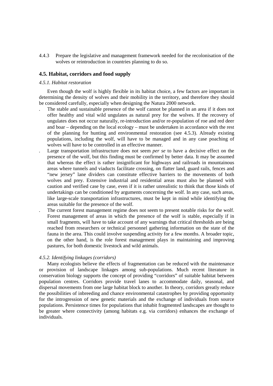4.4.3 Prepare the legislative and management framework needed for the recolonisation of the wolves or reintroduction in countries planning to do so.

#### **4.5. Habitat, corridors and food supply**

#### *4.5.1. Habitat restoration*

Even though the wolf is highly flexible in its habitat choice, a few factors are important in determining the density of wolves and their mobility in the territory, and therefore they should be considered carefully, especially when designing the Natura 2000 network.

- The stable and sustainable presence of the wolf cannot be planned in an area if it does not offer healthy and vital wild ungulates as natural prey for the wolves. If the recovery of ungulates does not occur naturally, re-introduction and/or re-population of roe and red deer and boar – depending on the local ecology – must be undertaken in accordance with the rest of the planning for hunting and environmental restoration (see 4.5.3). Already existing populations, including the wolf, will have to be managed and in any case poaching of wolves will have to be controlled in an effective manner.
- Large transportation infrastructure does not seem *per se* to have a decisive effect on the presence of the wolf, but this finding must be confirmed by better data. It may be assumed that whereas the effect is rather insignificant for highways and railroads in mountainous areas where tunnels and viaducts facilitate crossing, on flatter land, guard rails, fences and "new jersey" lane dividers can constitute effective barriers to the movements of both wolves and prey. Extensive industrial and residential areas must also be planned with caution and verified case by case, even if it is rather unrealistic to think that those kinds of undertakings can be conditioned by arguments concerning the wolf. In any case, such areas, like large-scale transportation infrastructures, must be kept in mind while identifying the areas suitable for the presence of the wolf.
- The current forest management regime does not seem to present notable risks for the wolf. Forest management of areas in which the presence of the wolf is stable, especially if in small fragments, will have to take account of any warnings that critical thresholds are being reached from researchers or technical personnel gathering information on the state of the fauna in the area. This could involve suspending activity for a few months. A broader topic, on the other hand, is the role forest management plays in maintaining and improving pastures, for both domestic livestock and wild animals.

#### *4.5.2. Identifying linkages (corridors)*

Many ecologists believe the effects of fragmentation can be reduced with the maintenance or provision of landscape linkages among sub-populations. Much recent literature in conservation biology supports the concept of providing "corridors" of suitable habitat between population centres. Corridors provide travel lanes to accommodate daily, seasonal, and dispersal movements from one large habitat block to another. In theory, corridors greatly reduce the possibilities of inbreeding and chance environmental catastrophes by providing opportunity for the introgression of new genetic materials and the exchange of individuals from source populations. Persistence times for populations that inhabit fragmented landscapes are thought to be greater where connectivity (among habitats e.g. via corridors) enhances the exchange of individuals.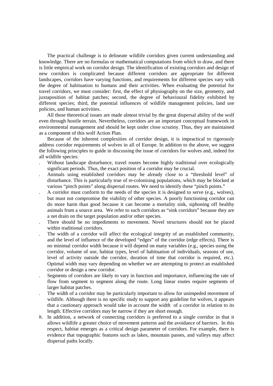The practical challenge is to delineate wildlife corridors given current understanding and knowledge. There are no formulas or mathematical computations from which to draw, and there is little empirical work on corridor design. The identification of existing corridors and design of new corridors is complicated because different corridors are appropriate for different landscapes, corridors have varying functions, and requirements for different species vary with the degree of habituation to humans and their activities. When evaluating the potential for travel corridors, we must consider: first, the effect of physiography on the size, geometry, and juxtaposition of habitat patches; second, the degree of behavioural fidelity exhibited by different species; third, the potential influences of wildlife management policies, land use policies, and human activities.

All these theoretical issues are made almost trivial by the great dispersal ability of the wolf even through hostile terrain. Nevertheless, corridors are an important conceptual framework in environmental management and should be kept under close scrutiny. Thus, they are maintained as a component of this wolf Action Plan.

Because of the inherent complexities of corridor design, it is impractical to rigorously address corridor requirements of wolves in all of Europe. In addition to the above, we suggest the following principles to guide in discussing the issue of corridors for wolves and, indeed for all wildlife species:

- *.* Without landscape disturbance, travel routes become highly traditional over ecologically significant periods. Thus, the exact position of a corridor may be crucial.
- Animals using established corridors may be already close to a "threshold level" of disturbance. This is particularly true of re-colonising populations, which may be blocked at various "pinch points" along dispersal routes. We need to identify these "pinch points."
- *.* A corridor must conform to the needs of the species it is designed to serve (e.g., wolves), but must not compromise the viability of other species. A poorly functioning corridor can do more harm than good because it can become a mortality sink, siphoning off healthy animals from a source area. We refer to such corridors as "sink corridors" because they are a net drain on the target population and/or other species.
- There should be no impediments to movement. Novel structures should not be placed within traditional corridors.
- The width of a corridor will affect the ecological integrity of an established community, and the level of influence of the developed "edges" of the corridor (edge effects). There is no minimal corridor width because it will depend on many variables (e.g., species using the corridor, volume of use, habitat types, level of habituation of individuals, seasons of use, level of activity outside the corridor, duration of time that corridor is required, etc.). Optimal width may vary depending on whether we are attempting to protect an established corridor or design a new corridor.
- Segments of corridors are likely to vary in function and importance, influencing the rate of flow from segment to segment along the route. Long linear routes require segments of larger habitat patches.
- The width of a corridor may be particularly important to allow for unimpeded movement of wildlife. Although there is no specific study to support any guideline for wolves, it appears that a cautionary approach would take in account the width of a corridor in relation to its length. Effective corridors may be narrow if they are short enough.
- *h.* In addition, a network of connecting corridors is preferred to a single corridor in that it allows wildlife a greater choice of movement patterns and the avoidance of barriers. In this respect, habitat emerges as a critical design parameter of corridors. For example, there is evidence that topographic features such as lakes, mountain passes, and valleys may affect dispersal paths locally.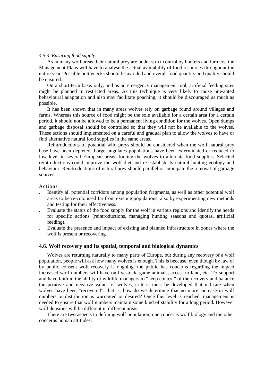#### *4.5.3. Ensuring food supply*

As in many wolf areas their natural prey are under strict control by hunters and farmers, the Management Plans will have to analyse the actual availability of food resources throughout the entire year. Possible bottlenecks should be avoided and overall food quantity and quality should be ensured.

On a short-term basis only, and as an emergency management tool, artificial feeding sites might be planned in restricted areas. As this technique is very likely to cause unwanted behavioural adaptation and also may facilitate poaching, it should be discouraged as much as possible.

It has been shown that in many areas wolves rely on garbage found around villages and farms. Whereas this source of food might be the sole available for a certain area for a certain period, it should not be allowed to be a permanent living condition for the wolves. Open dumps and garbage disposal should be controlled so that they will not be available to the wolves. These actions should implemented on a careful and gradual plan to allow the wolves to have or find alternative natural food supplies in the same areas.

Reintroductions of potential wild preys should be considered when the wolf natural prey base have been depleted. Large ungulates populations have been exterminated or reduced to low level in several European areas, forcing the wolves to alternate food supplies. Selected reintroductions could improve the wolf diet and re-establish its natural hunting ecology and behaviour. Reintroductions of natural prey should parallel or anticipate the removal of garbage sources.

#### Actions

- *.* Identify all potential corridors among population fragments, as well as other potential wolf areas to be re-colonised far from existing populations, also by experimenting new methods and testing for their effectiveness.
- Evaluate the status of the food supply for the wolf in various regions and identify the needs for specific actions (reintroductions, managing hunting seasons and quotas, artificial feeding).
- *.* Evaluate the presence and impact of existing and planned infrastructure in zones where the wolf is present or recovering.

#### **4.6. Wolf recovery and its spatial, temporal and biological dynamics**

Wolves are returning naturally to many parts of Europe, but during any recovery of a wolf population, people will ask how many wolves is enough. This is because, even though by law or by public consent wolf recovery is ongoing, the public has concerns regarding the impact increased wolf numbers will have on livestock, game animals, access to land, etc. To support and have faith in the ability of wildlife managers to "keep control" of the recovery and balance the positive and negative values of wolves, criteria must be developed that indicate when wolves have been "recovered", that is, how do we determine that no more increase in wolf numbers or distribution is warranted or desired? Once this level is reached, management is needed to ensure that wolf numbers maintain some kind of stability for a long period. However wolf densities will be different in different areas.

There are two aspects to defining wolf population; one concerns wolf biology and the other concerns human attitudes.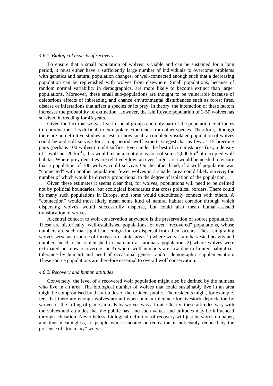#### *4.6.1. Biological aspects of recovery*

To ensure that a small population of wolves is viable and can be sustained for a long period, it must either have a sufficiently large number of individuals to overcome problems with genetics and natural population changes, or well-connected enough such that a decreasing population can be replenished with wolves from elsewhere. Small populations, because of random normal variability in demographics, are more likely to become extinct than larger populations. Moreover, these small sub-populations are thought to be vulnerable because of deleterious effects of inbreeding and chance environmental disturbances such as forest fires, disease or infestations that affect a species or its prey. In theory, the interaction of these factors increases the probability of extinction. However, the Isle Royale population of 2-50 wolves has survived inbreeding for 45 years.

Given the fact that wolves live in social groups and only part of the population contributes to reproduction, it is difficult to extrapolate experience from other species. Therefore, although there are no definitive studies or tests of how small a completely isolated population of wolves could be and still survive for a long period, wolf experts suggest that as few as 15 breeding pairs (perhaps 100 wolves) might suffice. Even under the best of circumstances (i.e., a density of 1 wolf per 20 km<sup>2</sup>), this would mean a contiguous area of some 2,000 km<sup>2</sup> of occupied wolf habitat. Where prey densities are relatively low, an even larger area would be needed to ensure that a population of 100 wolves could survive. On the other hand, if a wolf population was "connected" with another population, fewer wolves in a smaller area could likely survive, the number of which would be directly proportional to the degree of isolation of the population.

Given these estimates it seems clear that, for wolves, populations will need to be defined not by political boundaries, but ecological boundaries that cross political borders. There could be many such populations in Europe, and some would undoubtedly connect with others. A "connection" would most likely mean some kind of natural habitat corridor through which dispersing wolves would successfully disperse, but could also mean human-assisted translocation of wolves.

A central concern to wolf conservation anywhere is the preservation of source populations. These are historically, well-established populations, or even "recovered" populations, whose numbers are such that significant emigration or dispersal from them occurs. These emigrating wolves serve as a source of increase to "sink" areas 1) where wolves are harvested heavily and numbers need to be replenished to maintain a stationary population, 2) where wolves were extirpated but now recovering, or 3) where wolf numbers are low due to limited habitat (or tolerance by human) and need of occasional genetic and/or demographic supplementation. These source populations are therefore essential to overall wolf conservation.

#### *4.6.2. Recovery and human attitudes*

Conversely, the level of a recovered wolf population might also be defined by the humans who live in an area. The biological number of wolves that could sustainably live in an area might be compromised by the attitudes of the resident public. The residents might, for example, feel that there are enough wolves around when human tolerance for livestock depredation by wolves or the killing of game animals by wolves was a limit. Clearly, these attitudes vary with the values and attitudes that the public has, and such values and attitudes may be influenced through education. Nevertheless, biological definition of recovery will just be words on paper, and thus meaningless, to people whose income or recreation is noticeably reduced by the presence of "too many" wolves.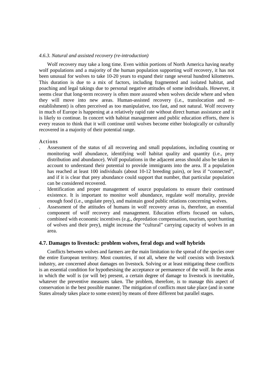#### *4.6.3. Natural and assisted recovery (re-introduction)*

Wolf recovery may take a long time. Even within portions of North America having nearby wolf populations and a majority of the human population supporting wolf recovery, it has not been unusual for wolves to take 10-20 years to expand their range several hundred kilometres. This duration is due to a mix of factors, including fragmented and isolated habitat, and poaching and legal takings due to personal negative attitudes of some individuals. However, it seems clear that long-term recovery is often more assured when wolves decide where and when they will move into new areas. Human-assisted recovery (i.e., translocation and reestablishment) is often perceived as too manipulative, too fast, and not natural. Wolf recovery in much of Europe is happening at a relatively rapid rate without direct human assistance and it is likely to continue. In concert with habitat management and public education efforts, there is every reason to think that it will continue until wolves become either biologically or culturally recovered in a majority of their potential range.

#### Actions

- *.* Assessment of the status of all recovering and small populations, including counting or monitoring wolf abundance, identifying wolf habitat quality and quantity (i.e., prey distribution and abundance). Wolf populations in the adjacent areas should also be taken in account to understand their potential to provide immigrants into the area. If a population has reached at least 100 individuals (about 10-12 breeding pairs), or less if "connected", and if it is clear that prey abundance could support that number, that particular population can be considered recovered.
- Identification and proper management of source populations to ensure their continued existence. It is important to monitor wolf abundance, regulate wolf mortality, provide enough food (i.e., ungulate prey), and maintain good public relations concerning wolves.
- *.* Assessment of the attitudes of humans in wolf recovery areas is, therefore, an essential component of wolf recovery and management. Education efforts focused on values, combined with economic incentives (e.g., depredation compensation, tourism, sport hunting of wolves and their prey), might increase the "cultural" carrying capacity of wolves in an area.

#### **4.7. Damages to livestock: problem wolves, feral dogs and wolf hybrids**

Conflicts between wolves and farmers are the main limitation to the spread of the species over the entire European territory. Most countries, if not all, where the wolf coexists with livestock industry, are concerned about damages on livestock. Solving or at least mitigating these conflicts is an essential condition for hypothesising the acceptance or permanence of the wolf. In the areas in which the wolf is (or will be) present, a certain degree of damage to livestock is inevitable, whatever the preventive measures taken. The problem, therefore, is to manage this aspect of conservation in the best possible manner. The mitigation of conflicts must take place (and in some States already takes place to some extent) by means of three different but parallel stages.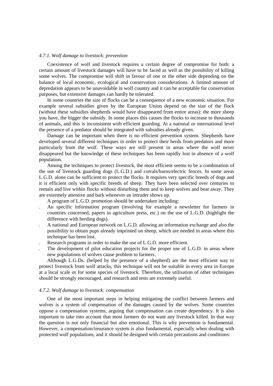#### *4.7.1. Wolf damage to livestock: prevention*

Coexistence of wolf and livestock requires a certain degree of compromise for both: a certain amount of livestock damages will have to be faced as well as the possibility of killing some wolves. The compromise will shift in favour of one or the other side depending on the balance of local economic, ecological and conservation considerations. A limited amount of depredation appears to be unavoidable in wolf country and it can be acceptable for conservation purposes, but extensive damages can hardly be tolerated.

In some countries the size of flocks can be a consequence of a new economic situation. For example several subsidies given by the European Union depend on the size of the flock (without these subsidies shepherds would have disappeared from entire areas): the more sheep you have, the bigger the subsidy. In some places this causes the flocks to increase to thousands of animals, and this is inconsistent with efficient guarding. At a national or international level the presence of a predator should be integrated with subsidies already given.

Damage can be important when there is no efficient prevention system. Shepherds have developed several different techniques in order to protect their herds from predators and more particularly from the wolf. These ways are still present in areas where the wolf never disappeared but the knowledge of these techniques has been rapidly lost in absence of a wolf population.

Among the techniques to protect livestock, the most efficient seems to be a combination of the use of livestock guarding dogs (L.G.D.) and corrals/barns/electric fences. In some areas L.G.D. alone can be sufficient to protect the flocks. It requires very specific breeds of dogs and it is efficient only with specific breeds of sheep. They have been selected over centuries to remain and live within flocks without disturbing them and to keep wolves and bear away. They are extremely attentive and bark whenever an intruder shows up.

A program of L.G.D. promotion should be undertaken including:

- *.* An specific information program (involving for example a newsletter for farmers in countries concerned, papers in agriculture press, etc.) on the use of L.G.D. (highlight the difference with herding dogs).
- *.* A national and European network on L.G.D. allowing an information exchange and also the possibility to obtain pups already imprinted on sheep, which are needed in areas where this technique has been lost.
- Research programs in order to make the use of L.G.D. more efficient.
- The development of pilot education projects for the proper use of L.G.D. in areas where new populations of wolves cause problem to farmers.

Although L.G.Ds. (helped by the presence of a shepherd) are the most efficient way to protect livestock from wolf attacks, this technique will not be suitable in every area in Europe at a local scale or for some species of livestock. Therefore, the utilisation of other techniques should be strongly encouraged, and research and tests are extremely useful.

#### *4.7.2. Wolf damage to livestock: compensation*

One of the most important steps in helping mitigating the conflict between farmers and wolves is a system of compensation of the damages caused by the wolves. Some countries oppose a compensation systems, arguing that compensation can create dependency. It is also important to take into account that most farmers do not want any livestock killed. In that way the question is not only financial but also emotional. This is why prevention is fundamental. However, a compensation/insurance system is also fundamental, especially when dealing with protected wolf populations, and it should be designed with certain precautions and conditions: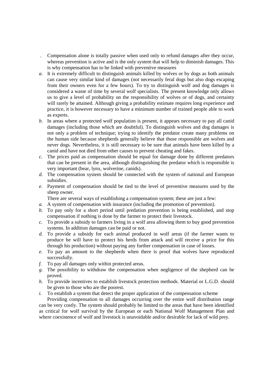- Compensation alone is totally passive when used only to refund damages after they occur, whereas prevention is active and is the only system that will help to diminish damages. This is why compensation has to be linked with preventive measures
- *a.* It is extremely difficult to distinguish animals killed by wolves or by dogs as both animals can cause very similar kind of damages (not necessarily feral dogs but also dogs escaping from their owners even for a few hours). To try to distinguish wolf and dog damages is considered a waste of time by several wolf specialists. The present knowledge only allows us to give a level of probability on the responsibility of wolves or of dogs, and certainty will rarely be attained. Although giving a probability estimate requires long experience and practice, it is however necessary to have a minimum number of trained people able to work as experts.
- *b.* In areas where a protected wolf population is present, it appears necessary to pay all canid damages (including those which are doubtful). To distinguish wolves and dog damages is not only a problem of technique; trying to identify the predator create many problems on the human side because shepherds generally believe that those responsible are wolves and never dogs. Nevertheless, it is still necessary to be sure that animals have been killed by a canid and have not died from other causes to prevent cheating and fakes.
- *c.* The prices paid as compensation should be equal for damage done by different predators that can be present in the area, although distinguishing the predator which is responsible is very important (bear, lynx, wolverine, canids).
- d. The compensation system should be connected with the system of national and European subsidies.
- *e.* Payment of compensation should be tied to the level of preventive measures used by the sheep owner.

There are several ways of establishing a compensation system; these are just a few:

- *a.* A system of compensation with insurance (including the promotion of prevention).
- *b.* To pay only for a short period until predation prevention is being established, and stop compensation if nothing is done by the farmer to protect their livestock.
- *c.* To provide a subsidy to farmers living in a wolf area allowing them to buy good prevention systems. In addition damages can be paid or not.
- *d.* To provide a subsidy for each animal produced in wolf areas (if the farmer wants to produce he will have to protect his herds from attack and will receive a price for this through his production) without paying any further compensation in case of losses.
- *e.* To pay an amount to the shepherds when there is proof that wolves have reproduced successfully.
- *f.* To pay all damages only within protected areas.
- *g.* The possibility to withdraw the compensation when negligence of the shepherd can be proved.
- *h.* To provide incentives to establish livestock protection methods. Material or L.G.D. should be given to those who are the poorest.
- *i.* To establish a system that detect the proper application of the compensation scheme

Providing compensation to all damages occurring over the entire wolf distribution range can be very costly. The system should probably be limited to the areas that have been identified as critical for wolf survival by the European or each National Wolf Management Plan and where coexistence of wolf and livestock is unavoidable and/or desirable for lack of wild prey.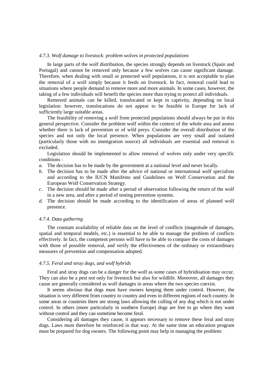#### *4.7.3. Wolf damage to livestock: problem wolves in protected populations*

In large parts of the wolf distribution, the species strongly depends on livestock (Spain and Portugal) and cannot be removed only because a few wolves can cause significant damage. Therefore, when dealing with small or protected wolf populations, it is not acceptable to plan the removal of a wolf simply because it feeds on livestock. In fact, removal could lead to situations where people demand to remove more and more animals. In some cases, however, the taking of a few individuals will benefit the species more than trying to protect all individuals.

Removed animals can be killed, translocated or kept in captivity, depending on local legislation: however, translocations do not appear to be feasible in Europe for lack of sufficiently large suitable areas.

The feasibility of removing a wolf from protected populations should always be put in this general perspective. Consider the problem wolf within the context of the whole area and assess whether there is lack of prevention or of wild preys. Consider the overall distribution of the species and not only the local presence. When populations are very small and isolated (particularly those with no immigration source) all individuals are essential and removal is excluded.

Legislation should be implemented to allow removal of wolves only under very specific conditions :

- *a.* The decision has to be made by the government at a national level and never locally.
- *b*. The decision has to be made after the advice of national or international wolf specialists and according to the IUCN Manifesto and Guidelines on Wolf Conservation and the European Wolf Conservation Strategy.
- *c.* The decision should be made after a period of observation following the return of the wolf in a new area, and after a period of testing prevention systems.
- *d.* The decision should be made according to the identification of areas of planned wolf presence.

#### *4.7.4. Data gathering*

The constant availability of reliable data on the level of conflicts (magnitude of damages, spatial and temporal models, etc.) is essential to be able to manage the problem of conflicts effectively. In fact, the competent persons will have to be able to compare the costs of damages with those of possible removal, and verify the effectiveness of the ordinary or extraordinary measures of prevention and compensation adopted.

#### *4.7.5. Feral and stray dogs, and wolf hybrids*

Feral and stray dogs can be a danger for the wolf as some cases of hybridisation may occur. They can also be a pest not only for livestock but also for wildlife. Moreover, all damages they cause are generally considered as wolf damages in areas where the two species coexist.

It seems obvious that dogs must have owners keeping them under control. However, the situation is very different from country to country and even in different regions of each country. In some areas or countries there are strong laws allowing the culling of any dog which is not under control. In others (more particularly in southern Europe) dogs are free to go where they want without control and they can sometime become feral.

Considering all damages they cause, it appears necessary to remove these feral and stray dogs. Laws must therefore be reinforced in that way. At the same time an education program must be prepared for dog owners. The following point may help in managing the problem: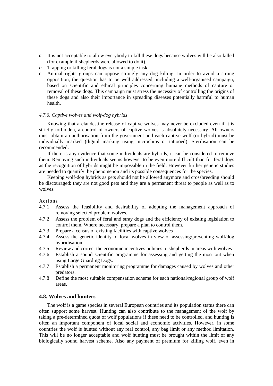- *a.* It is not acceptable to allow everybody to kill these dogs because wolves will be also killed (for example if shepherds were allowed to do it).
- *b.* Trapping or killing feral dogs is not a simple task.
- *c.* Animal rights groups can oppose strongly any dog killing. In order to avoid a strong opposition, the question has to be well addressed, including a well-organised campaign, based on scientific and ethical principles concerning humane methods of capture or removal of these dogs. This campaign must stress the necessity of controlling the origins of these dogs and also their importance in spreading diseases potentially harmful to human health.

#### *4.7.6. Captive wolves and wolf-dog hybrids*

Knowing that a clandestine release of captive wolves may never be excluded even if it is strictly forbidden, a control of owners of captive wolves is absolutely necessary. All owners must obtain an authorisation from the government and each captive wolf (or hybrid) must be individually marked (digital marking using microchips or tattooed). Sterilisation can be recommended.

If there is any evidence that some individuals are hybrids, it can be considered to remove them. Removing such individuals seems however to be even more difficult than for feral dogs as the recognition of hybrids might be impossible in the field. However further genetic studies are needed to quantify the phenomenon and its possible consequences for the species.

Keeping wolf-dog hybrids as pets should not be allowed anymore and crossbreeding should be discouraged: they are not good pets and they are a permanent threat to people as well as to wolves.

#### Actions

- 4.7.1 Assess the feasibility and desirability of adopting the management approach of removing selected problem wolves.
- 4.7.2 Assess the problem of feral and stray dogs and the efficiency of existing legislation to control them. Where necessary, prepare a plan to control them.
- 4.7.3 Prepare a census of existing facilities with captive wolves
- 4.7.4 Assess the genetic identity of local wolves in view of assessing/preventing wolf/dog hybridisation.
- 4.7.5 Review and correct the economic incentives policies to shepherds in areas with wolves
- 4.7.6 Establish a sound scientific programme for assessing and getting the most out when using Large Guarding Dogs.
- 4.7.7 Establish a permanent monitoring programme for damages caused by wolves and other predators.
- 4.7.8 Define the most suitable compensation scheme for each national/regional group of wolf areas.

#### **4.8. Wolves and hunters**

The wolf is a game species in several European countries and its population status there can often support some harvest. Hunting can also contribute to the management of the wolf by taking a pre-determined quota of wolf populations if these need to be controlled, and hunting is often an important component of local social and economic activities. However, in some countries the wolf is hunted without any real control, any bag limit or any method limitation. This will be no longer acceptable and wolf hunting must be brought within the limit of any biologically sound harvest scheme. Also any payment of premium for killing wolf, even in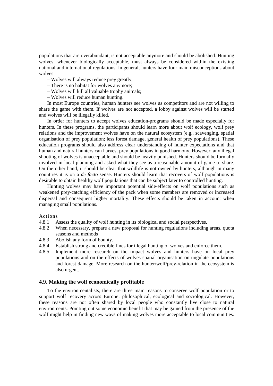populations that are overabundant, is not acceptable anymore and should be abolished. Hunting wolves, whenever biologically acceptable, must always be considered within the existing national and international regulations. In general, hunters have four main misconceptions about wolves:

- Wolves will always reduce prey greatly;
- There is no habitat for wolves anymore;
- Wolves will kill all valuable trophy animals;
- Wolves will reduce human hunting.

In most Europe countries, human hunters see wolves as competitors and are not willing to share the game with them. If wolves are not accepted, a lobby against wolves will be started and wolves will be illegally killed.

In order for hunters to accept wolves education-programs should be made especially for hunters. In these programs, the participants should learn more about wolf ecology, wolf prey relations and the improvement wolves have on the natural ecosystem (e.g., scavenging, spatial organisation of prey population; less forest damage, general health of prey populations). These education programs should also address clear understanding of hunter expectations and that human and natural hunters can harvest prey populations in good harmony. However, any illegal shooting of wolves is unacceptable and should be heavily punished. Hunters should be formally involved in local planning and asked what they see as a reasonable amount of game to share. On the other hand, it should be clear that wildlife is not owned by hunters, although in many countries it is on a *de facto* sense. Hunters should learn that recovers of wolf populations is desirable to obtain healthy wolf populations that can be subject later to controlled hunting.

Hunting wolves may have important potential side-effects on wolf populations such as weakened prey-catching efficiency of the pack when some members are removed or increased dispersal and consequent higher mortality. These effects should be taken in account when managing small populations.

#### Actions

- 4.8.1 Assess the quality of wolf hunting in its biological and social perspectives.
- 4.8.2 When necessary, prepare a new proposal for hunting regulations including areas, quota seasons and methods
- 4.8.3 Abolish any form of bounty.
- 4.8.4 Establish strong and credible fines for illegal hunting of wolves and enforce them.
- 4.8.5 Implement more research on the impact wolves and hunters have on local prey populations and on the effects of wolves spatial organisation on ungulate populations and forest damage. More research on the hunter/wolf/prey-relation in the ecosystem is also urgent.

#### **4.9. Making the wolf economically profitable**

To the environmentalists, there are three main reasons to conserve wolf population or to support wolf recovery across Europe: philosophical, ecological and sociological. However, these reasons are not often shared by local people who constantly live close to natural environments. Pointing out some economic benefit that may be gained from the presence of the wolf might help in finding new ways of making wolves more acceptable to local communities.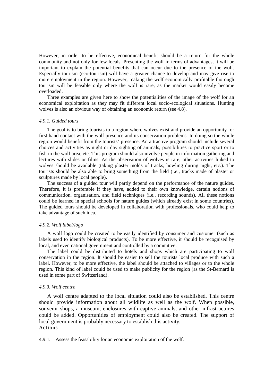However, in order to be effective, economical benefit should be a return for the whole community and not only for few locals. Presenting the wolf in terms of advantages, it will be important to explain the potential benefits that can occur due to the presence of the wolf. Especially tourism (eco-tourism) will have a greater chance to develop and may give rise to more employment in the region. However, making the wolf economically profitable thorough tourism will be feasible only where the wolf is rare, as the market would easily become overloaded.

Three examples are given here to show the potentialities of the image of the wolf for an economical exploitation as they may fit different local socio-ecological situations. Hunting wolves is also an obvious way of obtaining an economic return (see 4.8).

#### *4.9.1. Guided tours*

The goal is to bring tourists to a region where wolves exist and provide an opportunity for first hand contact with the wolf presence and its conservation problems. In doing so the whole region would benefit from the tourists' presence. An attractive program should include several choices and activities as night or day sighting of animals, possibilities to practice sport or to fish in the wolf area, etc. This program should also involve people in information gathering and lectures with slides or films. As the observation of wolves is rare, other activities linked to wolves should be available (taking plaster molds of tracks, howling during night, etc.). The tourists should be also able to bring something from the field (i.e., tracks made of plaster or sculptures made by local people).

The success of a guided tour will partly depend on the performance of the nature guides. Therefore, it is preferable if they have, added to their own knowledge, certain notions of communication, organisation, and field techniques (i.e., recording sounds). All these notions could be learned in special schools for nature guides (which already exist in some countries). The guided tours should be developed in collaboration with professionals, who could help to take advantage of such idea.

#### *4.9.2. Wolf label/logo*

A wolf logo could be created to be easily identified by consumer and customer (such as labels used to identify biological products). To be more effective, it should be recognised by local, and even national government and controlled by a committee.

The label could be distributed to hotels and shops which are participating to wolf conservation in the region. It should be easier to sell the tourists local produce with such a label. However, to be more effective, the label should be attached to villages or to the whole region. This kind of label could be used to make publicity for the region (as the St-Bernard is used in some part of Switzerland).

#### *4.9.3. Wolf centre*

A wolf centre adapted to the local situation could also be established. This centre should provide information about all wildlife as well as the wolf. When possible, souvenir shops, a museum, enclosures with captive animals, and other infrastructures could be added. Opportunities of employment could also be created. The support of local government is probably necessary to establish this activity. Actions

4.9.1. Assess the feasability for an economic exploitation of the wolf.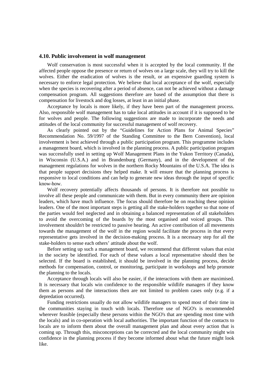#### **4.10. Public involvement in wolf management**

Wolf conservation is most successful when it is accepted by the local community. If the affected people oppose the presence or return of wolves on a large scale, they will try to kill the wolves. Either the eradication of wolves is the result, or an expensive guarding system is necessary to enforce legal protection. We believe that local acceptance of the wolf, especially when the species is recovering after a period of absence, can not be achieved without a damage compensation program. All suggestions therefore are based of the assumption that there is compensation for livestock and dog losses, at least in an initial phase.

Acceptance by locals is more likely, if they have been part of the management process. Also, responsible wolf management has to take local attitudes in account if it is supposed to be for wolves and people. The following suggestions are made to incorporate the needs and attitudes of the local community for successful management of wolf recovery.

As clearly pointed out by the "Guidelines for Action Plans for Animal Species" Recommendation No. 59/1997 of the Standing Committee to the Bern Convention), local involvement is best achieved through a public participation program. This programme includes a management board, which is involved in the planning process. A public participation program was successfully used in setting up Wolf Management Plans in the Yukon Territory (Canada), in Wisconsin (U.S.A.) and in Brandenburg (Germany), and in the development of the management regulations for wolves in the northern Rocky Mountains of the U.S.A. The idea is that people support decisions they helped make. It will ensure that the planning process is responsive to local conditions and can help to generate new ideas through the input of specific know-how.

Wolf recovery potentially affects thousands of persons. It is therefore not possible to involve all these people and communicate with them. But in every community there are opinion leaders, which have much influence. The focus should therefore be on reaching these opinion leaders. One of the most important steps is getting all the stake-holders together so that none of the parties would feel neglected and in obtaining a balanced representation of all stakeholders to avoid the overcoming of the boards by the most organised and voiced groups. This involvement shouldn't be restricted to passive hearing. An active contribution of all movements towards the management of the wolf in the region would facilitate the process in that every representative gets involved in the decision-making process. It is a necessary step for all the stake-holders to sense each others' attitude about the wolf.

Before setting up such a management board, we recommend that different values that exist in the society be identified. For each of these values a local representative should then be selected. If the board is established, it should be involved in the planning process, decide methods for compensation, control, or monitoring, participate in workshops and help promote the planning to the locals.

Acceptance through locals will also be easier, if the interactions with them are maximised. It is necessary that locals win confidence to the responsible wildlife managers if they know them as persons and the interactions then are not limited to problem cases only (e.g. if a depredation occurred).

Funding restrictions usually do not allow wildlife managers to spend most of their time in the communities staying in touch with locals. Therefore use of NGO's is recommended wherever feasible (especially these persons within the NGO's that are spending most time with the locals) and in co-operation with local authorities. The important function of the contacts to locals are to inform them about the overall management plan and about every action that is coming up. Through this, misconceptions can be corrected and the local community might win confidence in the planning process if they become informed about what the future might look like.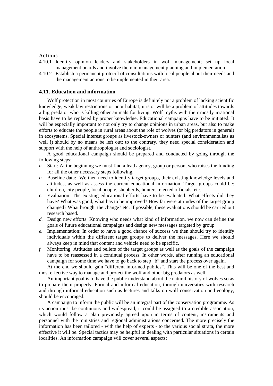#### Actions

- 4.10.1 Identify opinion leaders and stakeholders in wolf management; set up local management boards and involve them in management planning and implementation.
- 4.10.2 Establish a permanent protocol of consultations with local people about their needs and the management actions to be implemented in their area.

#### **4.11. Education and information**

Wolf protection in most countries of Europe is definitely not a problem of lacking scientific knowledge, weak law restrictions or poor habitat; it is or will be a problem of attitudes towards a big predator who is killing other animals for living. Wolf myths with their mostly irrational basis have to be replaced by proper knowledge. Educational campaigns have to be initiated. It will be especially important to not only try to change opinions in urban areas, but also to make efforts to educate the people in rural areas about the role of wolves (or big predators in general) in ecosystems. Special interest groups as livestock-owners or hunters (and environmentalists as well !) should by no means be left out; to the contrary, they need special consideration and support with the help of anthropologist and sociologist.

A good educational campaign should be prepared and conducted by going through the following steps:

- *a.* Start: At the beginning we must find a lead agency, group or person, who raises the funding for all the other necessary steps following.
- *b.* Baseline data: We then need to identify target groups, their existing knowledge levels and attitudes, as well as assess the current educational information. Target groups could be: children, city people, local people, shepherds, hunters, elected officials, etc.
- *c.* Evaluation: The existing educational efforts have to be evaluated: What effects did they have? What was good, what has to be improved? How far were attitudes of the target group changed? What brought the change? etc. If possible, these evaluations should be carried out research based.
- *d.* Design new efforts: Knowing who needs what kind of information, we now can define the goals of future educational campaigns and design new messages targeted by group.
- *e.* Implementation: In order to have a good chance of success we then should try to identify individuals within the different target groups to deliver the messages. Here we should always keep in mind that content and vehicle need to be specific.
- *f.* Monitoring: Attitudes and beliefs of the target groups as well as the goals of the campaign have to be reassessed in a continual process. In other words, after running an educational campaign for some time we have to go back to step "b" and start the process over again.

At the end we should gain "different informed publics". This will be one of the best and most effective way to manage and protect the wolf and other big predators as well.

An important goal is to have the public understand about the natural history of wolves so as to prepare them properly. Formal and informal education, through universities with research and through informal education such as lectures and talks on wolf conservation and ecology, should be encouraged.

A campaign to inform the public will be an integral part of the conservation programme. As its action must be continuous and widespread, it could be assigned to a credible association, which would follow a plan previously agreed upon in terms of content, instruments and personnel with the ministries and regional administrations concerned. The more precisely the information has been tailored - with the help of experts - to the various social strata, the more effective it will be. Special tactics may be helpful in dealing with particular situations in certain localities. An information campaign will cover several aspects: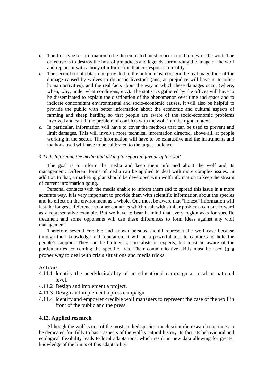- *a.* The first type of information to be disseminated must concern the biology of the wolf. The objective is to destroy the host of prejudices and legends surrounding the image of the wolf and replace it with a body of information that corresponds to reality.
- *b.* The second set of data to be provided to the public must concern the real magnitude of the damage caused by wolves to domestic livestock (and, as prejudice will have it, to other human activities), and the real facts about the way in which these damages occur (where, when, why, under what conditions, etc.). The statistics gathered by the offices will have to be disseminated to explain the distribution of the phenomenon over time and space and to indicate concomitant environmental and socio-economic causes. It will also be helpful to provide the public with better information about the economic and cultural aspects of farming and sheep herding so that people are aware of the socio-economic problems involved and can fit the problem of conflicts with the wolf into the right context.
- *c.* In particular, information will have to cover the methods that can be used to prevent and limit damages. This will involve more technical information directed, above all, at people working in the sector. The information will have to be exhaustive and the instruments and methods used will have to be calibrated to the target audience.

#### *4.11.1. Informing the media and asking to report in favour of the wolf*

The goal is to inform the media and keep them informed about the wolf and its management. Different forms of media can be applied to deal with more complex issues. In addition to that, a marketing plan should be developed with wolf information to keep the stream of current information going.

Personal contacts with the media enable to inform them and to spread this issue in a more accurate way. It is very important to provide them with scientific information about the species and its effect on the environment as a whole. One must be aware that "honest" information will last the longest. Reference to other countries which dealt with similar problems can put forward as a representative example. But we have to bear in mind that every region asks for specific treatment and some opponents will use these differences to form ideas against any wolf management.

Therefore several credible and known persons should represent the wolf case because through their knowledge and reputation, it will be a powerful tool to capture and hold the people's support. They can be biologists, specialists or experts, but must be aware of the particularities concerning the specific area. Their communicative skills must be used in a proper way to deal with crisis situations and media tricks.

#### Actions

- 4.11.1 Identify the need/desirability of an educational campaign at local or national level.
- 4.11.2 Design and implement a project.
- 4.11.3 Design and implement a press campaign.
- 4.11.4 Identify and empower credible wolf managers to represent the case of the wolf in front of the public and the press.

### **4.12. Applied research**

Although the wolf is one of the most studied species, much scientific research continues to be dedicated fruitfully to basic aspects of the wolf's natural history. In fact, its behavioural and ecological flexibility leads to local adaptations, which result in new data allowing for greater knowledge of the limits of this adaptability.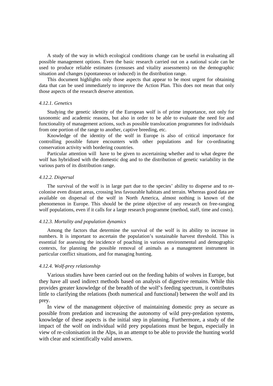A study of the way in which ecological conditions change can be useful in evaluating all possible management options. Even the basic research carried out on a national scale can be used to produce reliable estimates (censuses and vitality assessments) on the demographic situation and changes (spontaneous or induced) in the distribution range.

This document highlights only those aspects that appear to be most urgent for obtaining data that can be used immediately to improve the Action Plan. This does not mean that only those aspects of the research deserve attention.

#### *4.12.1. Genetics*

Studying the genetic identity of the European wolf is of prime importance, not only for taxonomic and academic reasons, but also in order to be able to evaluate the need for and functionality of management actions, such as possible translocation programmes for individuals from one portion of the range to another, captive breeding, etc.

Knowledge of the identity of the wolf in Europe is also of critical importance for controlling possible future encounters with other populations and for co-ordinating conservation activity with bordering countries.

Particular attention will have to be given to ascertaining whether and to what degree the wolf has hybridised with the domestic dog and to the distribution of genetic variability in the various parts of its distribution range.

#### *4.12.2. Dispersal*

The survival of the wolf is in large part due to the species' ability to disperse and to recolonise even distant areas, crossing less favourable habitats and terrain. Whereas good data are available on dispersal of the wolf in North America, almost nothing is known of the phenomenon in Europe. This should be the prime objective of any research on free-ranging wolf populations, even if it calls for a large research programme (method, staff, time and costs).

#### *4.12.3. Mortality and population dynamics*

Among the factors that determine the survival of the wolf is its ability to increase in numbers. It is important to ascertain the population's sustainable harvest threshold. This is essential for assessing the incidence of poaching in various environmental and demographic contexts, for planning the possible removal of animals as a management instrument in particular conflict situations, and for managing hunting.

#### *4.12.4. Wolf-prey relationship*

Various studies have been carried out on the feeding habits of wolves in Europe, but they have all used indirect methods based on analysis of digestive remains. While this provides greater knowledge of the breadth of the wolf's feeding spectrum, it contributes little to clarifying the relations (both numerical and functional) between the wolf and its prey.

In view of the management objective of maintaining domestic prey as secure as possible from predation and increasing the autonomy of wild prey-predation systems, knowledge of these aspects is the initial step in planning. Furthermore, a study of the impact of the wolf on individual wild prey populations must be begun, especially in view of re-colonisation in the Alps, in an attempt to be able to provide the hunting world with clear and scientifically valid answers.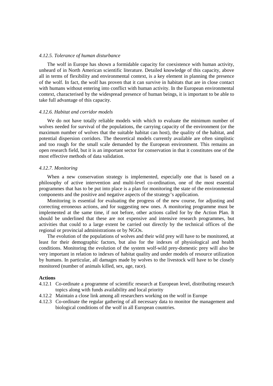#### *4.12.5. Tolerance of human disturbance*

The wolf in Europe has shown a formidable capacity for coexistence with human activity, unheard of in North American scientific literature. Detailed knowledge of this capacity, above all in terms of flexibility and environmental context, is a key element in planning the presence of the wolf. In fact, the wolf has proven that it can survive in habitats that are in close contact with humans without entering into conflict with human activity. In the European environmental context, characterised by the widespread presence of human beings, it is important to be able to take full advantage of this capacity.

#### *4.12.6. Habitat and corridor models*

We do not have totally reliable models with which to evaluate the minimum number of wolves needed for survival of the populations, the carrying capacity of the environment (or the maximum number of wolves that the suitable habitat can host), the quality of the habitat, and potential dispersion corridors. The theoretical models currently available are often simplistic and too rough for the small scale demanded by the European environment. This remains an open research field, but it is an important sector for conservation in that it constitutes one of the most effective methods of data validation.

#### *4.12.7. Monitoring*

When a new conservation strategy is implemented, especially one that is based on a philosophy of active intervention and multi-level co-ordination, one of the most essential programmes that has to be put into place is a plan for monitoring the state of the environmental components and the positive and negative aspects of the strategy's application.

Monitoring is essential for evaluating the progress of the new course, for adjusting and correcting erroneous actions, and for suggesting new ones. A monitoring programme must be implemented at the same time, if not before, other actions called for by the Action Plan. It should be underlined that these are not expensive and intensive research programmes, but activities that could to a large extent be carried out directly by the technical offices of the regional or provincial administrations or by NGOs.

The evolution of the populations of wolves and their wild prey will have to be monitored, at least for their demographic factors, but also for the indexes of physiological and health conditions. Monitoring the evolution of the system wolf-wild prey-domestic prey will also be very important in relation to indexes of habitat quality and under models of resource utilization by humans. In particular, all damages made by wolves to the livestock will have to be closely monitored (number of animals killed, sex, age, race).

#### **Actions**

- 4.12.1 Co-ordinate a programme of scientific research at European level, distributing research topics along with funds availability and local priority
- 4.12.2 Maintain a close link among all researchers working on the wolf in Europe
- 4.12.3 Co-ordinate the regular gathering of all necessary data to monitor the management and biological conditions of the wolf in all European countries.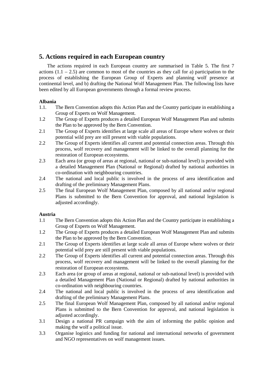# **5. Actions required in each European country**

The actions required in each European country are summarised in Table 5. The first 7 actions  $(1.1 - 2.5)$  are common to most of the countries as they call for a) participation to the process of establishing the European Group of Experts and planning wolf presence at continental level, and b) drafting the National Wolf Management Plan. The following lists have been edited by all European governments through a formal review process.

# **Albania**

- 1.1. The Bern Convention adopts this Action Plan and the Country participate in establishing a Group of Experts on Wolf Management.
- 1.2 The Group of Experts produces a detailed European Wolf Management Plan and submits the Plan to be approved by the Bern Convention.
- 2.1 The Group of Experts identifies at large scale all areas of Europe where wolves or their potential wild prey are still present with viable populations.
- 2.2 The Group of Experts identifies all current and potential connection areas. Through this process, wolf recovery and management will be linked to the overall planning for the restoration of European ecosystems.
- 2.3 Each area (or group of areas at regional, national or sub-national level) is provided with a detailed Management Plan (National or Regional) drafted by national authorities in co-ordination with neighbouring countries.
- 2.4 The national and local public is involved in the process of area identification and drafting of the preliminary Management Plans.
- 2.5 The final European Wolf Management Plan, composed by all national and/or regional Plans is submitted to the Bern Convention for approval, and national legislation is adjusted accordingly.

### **Austria**

- 1.1 The Bern Convention adopts this Action Plan and the Country participate in establishing a Group of Experts on Wolf Management.
- 1.2 The Group of Experts produces a detailed European Wolf Management Plan and submits the Plan to be approved by the Bern Convention.
- 2.1 The Group of Experts identifies at large scale all areas of Europe where wolves or their potential wild prey are still present with viable populations.
- 2.2 The Group of Experts identifies all current and potential connection areas. Through this process, wolf recovery and management will be linked to the overall planning for the restoration of European ecosystems.
- 2.3 Each area (or group of areas at regional, national or sub-national level) is provided with a detailed Management Plan (National or Regional) drafted by national authorities in co-ordination with neighbouring countries.
- 2.4 The national and local public is involved in the process of area identification and drafting of the preliminary Management Plans.
- 2.5 The final European Wolf Management Plan, composed by all national and/or regional Plans is submitted to the Bern Convention for approval, and national legislation is adjusted accordingly.
- 3.1 Design a national PR campaign with the aim of informing the public opinion and making the wolf a political issue.
- 3.3 Organise logistics and funding for national and international networks of government and NGO representatives on wolf management issues.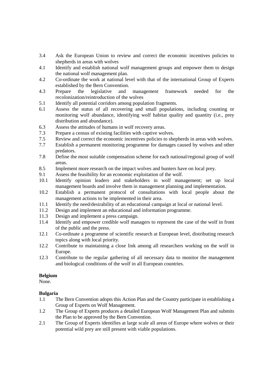- 3.4 Ask the European Union to review and correct the economic incentives policies to shepherds in areas with wolves
- 4.1 Identify and establish national wolf management groups and empower them to design the national wolf management plan.
- 4.2 Co-ordinate the work at national level with that of the international Group of Experts established by the Bern Convention.
- 4.3 Prepare the legislative and management framework needed for the recolonization/reintroduction of the wolves
- 5.1 Identify all potential corridors among population fragments.
- 6.1 Assess the status of all recovering and small populations, including counting or monitoring wolf abundance, identifying wolf habitat quality and quantity (i.e., prey distribution and abundance).
- 6.3 Assess the attitudes of humans in wolf recovery areas.
- 7.3 Prepare a census of existing facilities with captive wolves.
- 7.5 Review and correct the economic incentives policies to shepherds in areas with wolves.
- 7.7 Establish a permanent monitoring programme for damages caused by wolves and other predators.
- 7.8 Define the most suitable compensation scheme for each national/regional group of wolf areas.
- 8.5 Implement more research on the impact wolves and hunters have on local prey.
- 9.1 Assess the feasibility for an economic exploitation of the wolf.
- 10.1 Identify opinion leaders and stakeholders in wolf management; set up local management boards and involve them in management planning and implementation.
- 10.2 Establish a permanent protocol of consultations with local people about the management actions to be implemented in their area.
- 11.1 Identify the need/desirability of an educational campaign at local or national level.
- 11.2 Design and implement an educational and information programme.
- 11.3 Design and implement a press campaign.
- 11.4 Identify and empower credible wolf managers to represent the case of the wolf in front of the public and the press.
- 12.1 Co-ordinate a programme of scientific research at European level, distributing research topics along with local priority.
- 12.2 Contribute to maintaining a close link among all researchers working on the wolf in Europe.
- 12.3 Contribute to the regular gathering of all necessary data to monitor the management and biological conditions of the wolf in all European countries.

# **Belgium**

None.

### **Bulgaria**

- 1.1 The Bern Convention adopts this Action Plan and the Country participate in establishing a Group of Experts on Wolf Management.
- 1.2 The Group of Experts produces a detailed European Wolf Management Plan and submits the Plan to be approved by the Bern Convention.
- 2.1 The Group of Experts identifies at large scale all areas of Europe where wolves or their potential wild prey are still present with viable populations.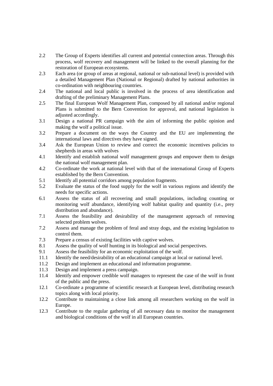- 2.2 The Group of Experts identifies all current and potential connection areas. Through this process, wolf recovery and management will be linked to the overall planning for the restoration of European ecosystems.
- 2.3 Each area (or group of areas at regional, national or sub-national level) is provided with a detailed Management Plan (National or Regional) drafted by national authorities in co-ordination with neighbouring countries.
- 2.4 The national and local public is involved in the process of area identification and drafting of the preliminary Management Plans.
- 2.5 The final European Wolf Management Plan, composed by all national and/or regional Plans is submitted to the Bern Convention for approval, and national legislation is adjusted accordingly.
- 3.1 Design a national PR campaign with the aim of informing the public opinion and making the wolf a political issue.
- 3.2 Prepare a document on the ways the Country and the EU are implementing the international laws and directives they have signed.
- 3.4 Ask the European Union to review and correct the economic incentives policies to shepherds in areas with wolves
- 4.1 Identify and establish national wolf management groups and empower them to design the national wolf management plan.
- 4.2 Co-ordinate the work at national level with that of the international Group of Experts established by the Bern Convention.
- 5.1 Identify all potential corridors among population fragments.
- 5.2 Evaluate the status of the food supply for the wolf in various regions and identify the needs for specific actions.
- 6.1 Assess the status of all recovering and small populations, including counting or monitoring wolf abundance, identifying wolf habitat quality and quantity (i.e., prey distribution and abundance).
- 7.1 Assess the feasibility and desirability of the management approach of removing selected problem wolves.
- 7.2 Assess and manage the problem of feral and stray dogs, and the existing legislation to control them.
- 7.3 Prepare a census of existing facilities with captive wolves.
- 8.1 Assess the quality of wolf hunting in its biological and social perspectives.
- 9.1 Assess the feasibility for an economic exploitation of the wolf.
- 11.1 Identify the need/desirability of an educational campaign at local or national level.
- 11.2 Design and implement an educational and information programme.
- 11.3 Design and implement a press campaign.
- 11.4 Identify and empower credible wolf managers to represent the case of the wolf in front of the public and the press.
- 12.1 Co-ordinate a programme of scientific research at European level, distributing research topics along with local priority.
- 12.2 Contribute to maintaining a close link among all researchers working on the wolf in Europe.
- 12.3 Contribute to the regular gathering of all necessary data to monitor the management and biological conditions of the wolf in all European countries.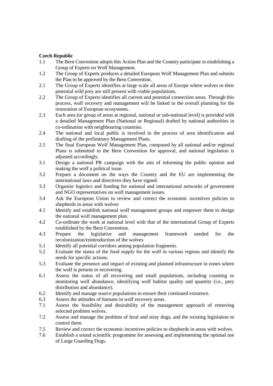# **Czech Republic**

- 1.1 The Bern Convention adopts this Action Plan and the Country participate in establishing a Group of Experts on Wolf Management.
- 1.2 The Group of Experts produces a detailed European Wolf Management Plan and submits the Plan to be approved by the Bern Convention.
- 2.1 The Group of Experts identifies at large scale all areas of Europe where wolves or their potential wild prey are still present with viable populations.
- 2.2 The Group of Experts identifies all current and potential connection areas. Through this process, wolf recovery and management will be linked to the overall planning for the restoration of European ecosystems.
- 2.3 Each area (or group of areas at regional, national or sub-national level) is provided with a detailed Management Plan (National or Regional) drafted by national authorities in co-ordination with neighbouring countries.
- 2.4 The national and local public is involved in the process of area identification and drafting of the preliminary Management Plans.
- 2.5 The final European Wolf Management Plan, composed by all national and/or regional Plans is submitted to the Bern Convention for approval, and national legislation is adjusted accordingly.
- 3.1 Design a national PR campaign with the aim of informing the public opinion and making the wolf a political issue.
- 3.2 Prepare a document on the ways the Country and the EU are implementing the international laws and directives they have signed.
- 3.3 Organise logistics and funding for national and international networks of government and NGO representatives on wolf management issues.
- 3.4 Ask the European Union to review and correct the economic incentives policies to shepherds in areas with wolves
- 4.1 Identify and establish national wolf management groups and empower them to design the national wolf management plan.
- 4.2 Co-ordinate the work at national level with that of the international Group of Experts established by the Bern Convention.
- 4.3 Prepare the legislative and management framework needed for the recolonization/reintroduction of the wolves
- 5.1 Identify all potential corridors among population fragments.
- 5.2 Evaluate the status of the food supply for the wolf in various regions and identify the needs for specific actions.
- 5.3 Evaluate the presence and impact of existing and planned infrastructure in zones where the wolf is present or recovering.
- 6.1 Assess the status of all recovering and small populations, including counting or monitoring wolf abundance, identifying wolf habitat quality and quantity (i.e., prey distribution and abundance).
- 6.2 Identify and manage source populations to ensure their continued existence.
- 6.3 Assess the attitudes of humans in wolf recovery areas.
- 7.1 Assess the feasibility and desirability of the management approach of removing selected problem wolves.
- 7.2 Assess and manage the problem of feral and stray dogs, and the existing legislation to control them.
- 7.5 Review and correct the economic incentives policies to shepherds in areas with wolves.
- 7.6 Establish a sound scientific programme for assessing and implementing the optimal use of Large Guarding Dogs.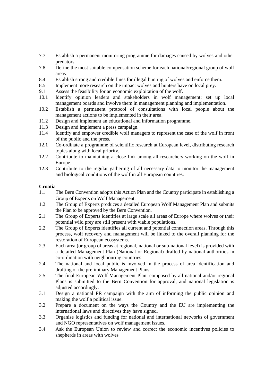- 7.7 Establish a permanent monitoring programme for damages caused by wolves and other predators.
- 7.8 Define the most suitable compensation scheme for each national/regional group of wolf areas.
- 8.4 Establish strong and credible fines for illegal hunting of wolves and enforce them.
- 8.5 Implement more research on the impact wolves and hunters have on local prey.
- 9.1 Assess the feasibility for an economic exploitation of the wolf.
- 10.1 Identify opinion leaders and stakeholders in wolf management; set up local management boards and involve them in management planning and implementation.
- 10.2 Establish a permanent protocol of consultations with local people about the management actions to be implemented in their area.
- 11.2 Design and implement an educational and information programme.
- 11.3 Design and implement a press campaign.
- 11.4 Identify and empower credible wolf managers to represent the case of the wolf in front of the public and the press.
- 12.1 Co-ordinate a programme of scientific research at European level, distributing research topics along with local priority.
- 12.2 Contribute to maintaining a close link among all researchers working on the wolf in Europe.
- 12.3 Contribute to the regular gathering of all necessary data to monitor the management and biological conditions of the wolf in all European countries.

### **Croatia**

- 1.1 The Bern Convention adopts this Action Plan and the Country participate in establishing a Group of Experts on Wolf Management.
- 1.2 The Group of Experts produces a detailed European Wolf Management Plan and submits the Plan to be approved by the Bern Convention.
- 2.1 The Group of Experts identifies at large scale all areas of Europe where wolves or their potential wild prey are still present with viable populations.
- 2.2 The Group of Experts identifies all current and potential connection areas. Through this process, wolf recovery and management will be linked to the overall planning for the restoration of European ecosystems.
- 2.3 Each area (or group of areas at regional, national or sub-national level) is provided with a detailed Management Plan (National or Regional) drafted by national authorities in co-ordination with neighbouring countries.
- 2.4 The national and local public is involved in the process of area identification and drafting of the preliminary Management Plans.
- 2.5 The final European Wolf Management Plan, composed by all national and/or regional Plans is submitted to the Bern Convention for approval, and national legislation is adjusted accordingly.
- 3.1 Design a national PR campaign with the aim of informing the public opinion and making the wolf a political issue.
- 3.2 Prepare a document on the ways the Country and the EU are implementing the international laws and directives they have signed.
- 3.3 Organise logistics and funding for national and international networks of government and NGO representatives on wolf management issues.
- 3.4 Ask the European Union to review and correct the economic incentives policies to shepherds in areas with wolves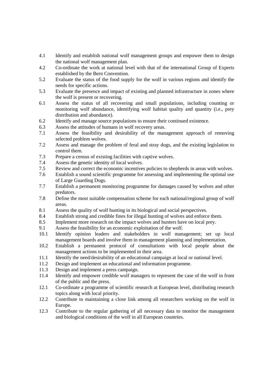- 4.1 Identify and establish national wolf management groups and empower them to design the national wolf management plan.
- 4.2 Co-ordinate the work at national level with that of the international Group of Experts established by the Bern Convention.
- 5.2 Evaluate the status of the food supply for the wolf in various regions and identify the needs for specific actions.
- 5.3 Evaluate the presence and impact of existing and planned infrastructure in zones where the wolf is present or recovering.
- 6.1 Assess the status of all recovering and small populations, including counting or monitoring wolf abundance, identifying wolf habitat quality and quantity (i.e., prey distribution and abundance).
- 6.2 Identify and manage source populations to ensure their continued existence.
- 6.3 Assess the attitudes of humans in wolf recovery areas.
- 7.1 Assess the feasibility and desirability of the management approach of removing selected problem wolves.
- 7.2 Assess and manage the problem of feral and stray dogs, and the existing legislation to control them.
- 7.3 Prepare a census of existing facilities with captive wolves.
- 7.4 Assess the genetic identity of local wolves.
- 7.5 Review and correct the economic incentives policies to shepherds in areas with wolves.
- 7.6 Establish a sound scientific programme for assessing and implementing the optimal use of Large Guarding Dogs.
- 7.7 Establish a permanent monitoring programme for damages caused by wolves and other predators.
- 7.8 Define the most suitable compensation scheme for each national/regional group of wolf areas.
- 8.1 Assess the quality of wolf hunting in its biological and social perspectives.
- 8.4 Establish strong and credible fines for illegal hunting of wolves and enforce them.
- 8.5 Implement more research on the impact wolves and hunters have on local prey.
- 9.1 Assess the feasibility for an economic exploitation of the wolf.
- 10.1 Identify opinion leaders and stakeholders in wolf management; set up local management boards and involve them in management planning and implementation.
- 10.2 Establish a permanent protocol of consultations with local people about the management actions to be implemented in their area.
- 11.1 Identify the need/desirability of an educational campaign at local or national level.
- 11.2 Design and implement an educational and information programme.
- 11.3 Design and implement a press campaign.
- 11.4 Identify and empower credible wolf managers to represent the case of the wolf in front of the public and the press.
- 12.1 Co-ordinate a programme of scientific research at European level, distributing research topics along with local priority.
- 12.2 Contribute to maintaining a close link among all researchers working on the wolf in Europe.
- 12.3 Contribute to the regular gathering of all necessary data to monitor the management and biological conditions of the wolf in all European countries.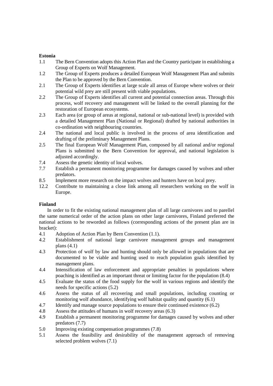# **Estonia**

- 1.1 The Bern Convention adopts this Action Plan and the Country participate in establishing a Group of Experts on Wolf Management.
- 1.2 The Group of Experts produces a detailed European Wolf Management Plan and submits the Plan to be approved by the Bern Convention.
- 2.1 The Group of Experts identifies at large scale all areas of Europe where wolves or their potential wild prey are still present with viable populations.
- 2.2 The Group of Experts identifies all current and potential connection areas. Through this process, wolf recovery and management will be linked to the overall planning for the restoration of European ecosystems.
- 2.3 Each area (or group of areas at regional, national or sub-national level) is provided with a detailed Management Plan (National or Regional) drafted by national authorities in co-ordination with neighbouring countries.
- 2.4 The national and local public is involved in the process of area identification and drafting of the preliminary Management Plans.
- 2.5 The final European Wolf Management Plan, composed by all national and/or regional Plans is submitted to the Bern Convention for approval, and national legislation is adjusted accordingly.
- 7.4 Assess the genetic identity of local wolves.
- 7.7 Establish a permanent monitoring programme for damages caused by wolves and other predators.
- 8.5 Implement more research on the impact wolves and hunters have on local prey.
- 12.2 Contribute to maintaining a close link among all researchers working on the wolf in Europe.

### **Finland**

In order to fit the existing national management plan of all large carnivores and to parellel the same numerical order of the action plans on other large carnivores, Finland preferred the national actions to be reworded as follows (corresponding actions of the present plan are in bracket):

- 4.1 Adoption of Action Plan by Bern Convention (1.1).
- 4.2 Establishment of national large carnivore management groups and management plans  $(4.1)$
- 4.3 Protection of wolf by law and hunting should only be allowed in populations that are documented to be viable and hunting used to reach population goals identified by management plans.
- 4.4 Intensification of law enforcement and appropriate penalties in populations where poaching is identified as an important threat or limiting factor for the population (8.4)
- 4.5 Evaluate the status of the food supply for the wolf in various regions and identify the needs for specific actions (5.2)
- 4.6 Assess the status of all recovering and small populations, including counting or monitoring wolf abundance, identifying wolf habitat quality and quantity (6.1)
- 4.7 Identify and manage source populations to ensure their continued existence (6.2)
- 4.8 Assess the attitudes of humans in wolf recovery areas (6.3)
- 4.9 Establish a permanent monitoring programme for damages caused by wolves and other predators (7.7)
- 5.0 Improving existing compensation programmes (7.8)
- 5.1 Assess the feasibility and desirability of the management approach of removing selected problem wolves (7.1)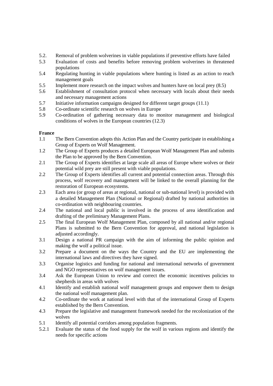- 5.2. Removal of problem wolverines in viable populations if preventive efforts have failed
- 5.3 Evaluation of costs and benefits before removing problem wolverines in threatened populations
- 5.4 Regulating hunting in viable populations where hunting is listed as an action to reach management goals
- 5.5 Implement more research on the impact wolves and hunters have on local prey (8.5)
- 5.6 Establishment of consultation protocol when necessary with locals about their needs and necessary management actions
- 5.7 Initiative information campaigns designed for different target groups (11.1)
- 5.8 Co-ordinate scientific research on wolves in Europe
- 5.9 Co-ordination of gathering necessary data to monitor management and biological conditions of wolves in the European countries (12.3)

# **France**

- 1.1 The Bern Convention adopts this Action Plan and the Country participate in establishing a Group of Experts on Wolf Management.
- 1.2 The Group of Experts produces a detailed European Wolf Management Plan and submits the Plan to be approved by the Bern Convention.
- 2.1 The Group of Experts identifies at large scale all areas of Europe where wolves or their potential wild prey are still present with viable populations.
- 2.2 The Group of Experts identifies all current and potential connection areas. Through this process, wolf recovery and management will be linked to the overall planning for the restoration of European ecosystems.
- 2.3 Each area (or group of areas at regional, national or sub-national level) is provided with a detailed Management Plan (National or Regional) drafted by national authorities in co-ordination with neighbouring countries.
- 2.4 The national and local public is involved in the process of area identification and drafting of the preliminary Management Plans.
- 2.5 The final European Wolf Management Plan, composed by all national and/or regional Plans is submitted to the Bern Convention for approval, and national legislation is adjusted accordingly.
- 3.1 Design a national PR campaign with the aim of informing the public opinion and making the wolf a political issue.
- 3.2 Prepare a document on the ways the Country and the EU are implementing the international laws and directives they have signed.
- 3.3 Organise logistics and funding for national and international networks of government and NGO representatives on wolf management issues.
- 3.4 Ask the European Union to review and correct the economic incentives policies to shepherds in areas with wolves
- 4.1 Identify and establish national wolf management groups and empower them to design the national wolf management plan.
- 4.2 Co-ordinate the work at national level with that of the international Group of Experts established by the Bern Convention.
- 4.3 Prepare the legislative and management framework needed for the recolonization of the wolves
- 5.1 Identify all potential corridors among population fragments.
- 5.2.1 Evaluate the status of the food supply for the wolf in various regions and identify the needs for specific actions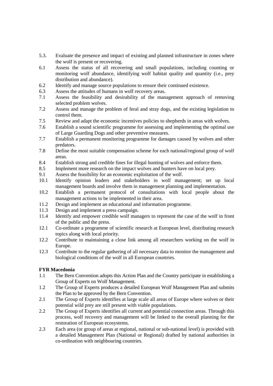- 5.3. Evaluate the presence and impact of existing and planned infrastructure in zones where the wolf is present or recovering.
- 6.1 Assess the status of all recovering and small populations, including counting or monitoring wolf abundance, identifying wolf habitat quality and quantity (i.e., prey distribution and abundance).
- 6.2 Identify and manage source populations to ensure their continued existence.
- 6.3 Assess the attitudes of humans in wolf recovery areas.
- 7.1 Assess the feasibility and desirability of the management approach of removing selected problem wolves.
- 7.2 Assess and manage the problem of feral and stray dogs, and the existing legislation to control them.
- 7.5 Review and adapt the economic incentives policies to shepherds in areas with wolves.
- 7.6 Establish a sound scientific programme for assessing and implementing the optimal use of Large Guarding Dogs and other preventive measures.
- 7.7 Establish a permanent monitoring programme for damages caused by wolves and other predators.
- 7.8 Define the most suitable compensation scheme for each national/regional group of wolf areas.
- 8.4 Establish strong and credible fines for illegal hunting of wolves and enforce them.
- 8.5 Implement more research on the impact wolves and hunters have on local prey.
- 9.1 Assess the feasibility for an economic exploitation of the wolf.
- 10.1 Identify opinion leaders and stakeholders in wolf management; set up local management boards and involve them in management planning and implementation.
- 10.2 Establish a permanent protocol of consultations with local people about the management actions to be implemented in their area.
- 11.2 Design and implement an educational and information programme.
- 11.3 Design and implement a press campaign.
- 11.4 Identify and empower credible wolf managers to represent the case of the wolf in front of the public and the press.
- 12.1 Co-ordinate a programme of scientific research at European level, distributing research topics along with local priority.
- 12.2 Contribute to maintaining a close link among all researchers working on the wolf in Europe.
- 12.3 Contribute to the regular gathering of all necessary data to monitor the management and biological conditions of the wolf in all European countries.

### **FYR Macedonia**

- 1.1 The Bern Convention adopts this Action Plan and the Country participate in establishing a Group of Experts on Wolf Management.
- 1.2 The Group of Experts produces a detailed European Wolf Management Plan and submits the Plan to be approved by the Bern Convention.
- 2.1 The Group of Experts identifies at large scale all areas of Europe where wolves or their potential wild prey are still present with viable populations.
- 2.2 The Group of Experts identifies all current and potential connection areas. Through this process, wolf recovery and management will be linked to the overall planning for the restoration of European ecosystems.
- 2.3 Each area (or group of areas at regional, national or sub-national level) is provided with a detailed Management Plan (National or Regional) drafted by national authorities in co-ordination with neighbouring countries.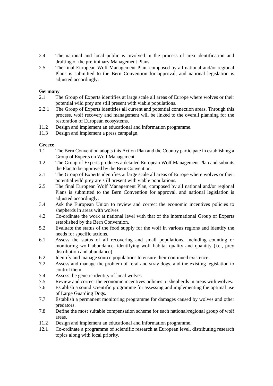- 2.4 The national and local public is involved in the process of area identification and drafting of the preliminary Management Plans.
- 2.5 The final European Wolf Management Plan, composed by all national and/or regional Plans is submitted to the Bern Convention for approval, and national legislation is adjusted accordingly.

# **Germany**

- 2.1 The Group of Experts identifies at large scale all areas of Europe where wolves or their potential wild prey are still present with viable populations.
- 2.2.1 The Group of Experts identifies all current and potential connection areas. Through this process, wolf recovery and management will be linked to the overall planning for the restoration of European ecosystems.
- 11.2 Design and implement an educational and information programme.
- 11.3 Design and implement a press campaign.

# **Greece**

- 1.1 The Bern Convention adopts this Action Plan and the Country participate in establishing a Group of Experts on Wolf Management.
- 1.2 The Group of Experts produces a detailed European Wolf Management Plan and submits the Plan to be approved by the Bern Convention.
- 2.1 The Group of Experts identifies at large scale all areas of Europe where wolves or their potential wild prey are still present with viable populations.
- 2.5 The final European Wolf Management Plan, composed by all national and/or regional Plans is submitted to the Bern Convention for approval, and national legislation is adjusted accordingly.
- 3.4 Ask the European Union to review and correct the economic incentives policies to shepherds in areas with wolves
- 4.2 Co-ordinate the work at national level with that of the international Group of Experts established by the Bern Convention.
- 5.2 Evaluate the status of the food supply for the wolf in various regions and identify the needs for specific actions.
- 6.1 Assess the status of all recovering and small populations, including counting or monitoring wolf abundance, identifying wolf habitat quality and quantity (i.e., prey distribution and abundance).
- 6.2 Identify and manage source populations to ensure their continued existence.
- 7.2 Assess and manage the problem of feral and stray dogs, and the existing legislation to control them.
- 7.4 Assess the genetic identity of local wolves.
- 7.5 Review and correct the economic incentives policies to shepherds in areas with wolves.
- 7.6 Establish a sound scientific programme for assessing and implementing the optimal use of Large Guarding Dogs.
- 7.7 Establish a permanent monitoring programme for damages caused by wolves and other predators.
- 7.8 Define the most suitable compensation scheme for each national/regional group of wolf areas.
- 11.2 Design and implement an educational and information programme.
- 12.1 Co-ordinate a programme of scientific research at European level, distributing research topics along with local priority.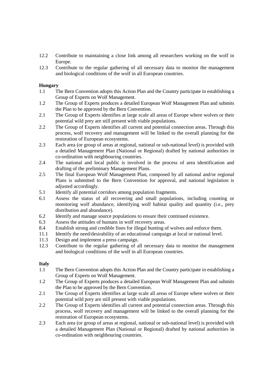- 12.2 Contribute to maintaining a close link among all researchers working on the wolf in Europe.
- 12.3 Contribute to the regular gathering of all necessary data to monitor the management and biological conditions of the wolf in all European countries.

## **Hungary**

- 1.1 The Bern Convention adopts this Action Plan and the Country participate in establishing a Group of Experts on Wolf Management.
- 1.2 The Group of Experts produces a detailed European Wolf Management Plan and submits the Plan to be approved by the Bern Convention.
- 2.1 The Group of Experts identifies at large scale all areas of Europe where wolves or their potential wild prey are still present with viable populations.
- 2.2 The Group of Experts identifies all current and potential connection areas. Through this process, wolf recovery and management will be linked to the overall planning for the restoration of European ecosystems.
- 2.3 Each area (or group of areas at regional, national or sub-national level) is provided with a detailed Management Plan (National or Regional) drafted by national authorities in co-ordination with neighbouring countries.
- 2.4 The national and local public is involved in the process of area identification and drafting of the preliminary Management Plans.
- 2.5 The final European Wolf Management Plan, composed by all national and/or regional Plans is submitted to the Bern Convention for approval, and national legislation is adjusted accordingly.
- 5.1 Identify all potential corridors among population fragments.
- 6.1 Assess the status of all recovering and small populations, including counting or monitoring wolf abundance, identifying wolf habitat quality and quantity (i.e., prey distribution and abundance).
- 6.2 Identify and manage source populations to ensure their continued existence.
- 6.3 Assess the attitudes of humans in wolf recovery areas.
- 8.4 Establish strong and credible fines for illegal hunting of wolves and enforce them.
- 11.1 Identify the need/desirability of an educational campaign at local or national level.
- 11.3 Design and implement a press campaign.
- 12.3 Contribute to the regular gathering of all necessary data to monitor the management and biological conditions of the wolf in all European countries.

### **Italy**

- 1.1 The Bern Convention adopts this Action Plan and the Country participate in establishing a Group of Experts on Wolf Management.
- 1.2 The Group of Experts produces a detailed European Wolf Management Plan and submits the Plan to be approved by the Bern Convention.
- 2.1 The Group of Experts identifies at large scale all areas of Europe where wolves or their potential wild prey are still present with viable populations.
- 2.2 The Group of Experts identifies all current and potential connection areas. Through this process, wolf recovery and management will be linked to the overall planning for the restoration of European ecosystems.
- 2.3 Each area (or group of areas at regional, national or sub-national level) is provided with a detailed Management Plan (National or Regional) drafted by national authorities in co-ordination with neighbouring countries.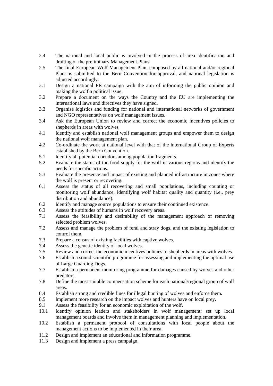- 2.4 The national and local public is involved in the process of area identification and drafting of the preliminary Management Plans.
- 2.5 The final European Wolf Management Plan, composed by all national and/or regional Plans is submitted to the Bern Convention for approval, and national legislation is adjusted accordingly.
- 3.1 Design a national PR campaign with the aim of informing the public opinion and making the wolf a political issue.
- 3.2 Prepare a document on the ways the Country and the EU are implementing the international laws and directives they have signed.
- 3.3 Organise logistics and funding for national and international networks of government and NGO representatives on wolf management issues.
- 3.4 Ask the European Union to review and correct the economic incentives policies to shepherds in areas with wolves
- 4.1 Identify and establish national wolf management groups and empower them to design the national wolf management plan.
- 4.2 Co-ordinate the work at national level with that of the international Group of Experts established by the Bern Convention.
- 5.1 Identify all potential corridors among population fragments.
- 5.2 Evaluate the status of the food supply for the wolf in various regions and identify the needs for specific actions.
- 5.3 Evaluate the presence and impact of existing and planned infrastructure in zones where the wolf is present or recovering.
- 6.1 Assess the status of all recovering and small populations, including counting or monitoring wolf abundance, identifying wolf habitat quality and quantity (i.e., prey distribution and abundance).
- 6.2 Identify and manage source populations to ensure their continued existence.
- 6.3 Assess the attitudes of humans in wolf recovery areas.
- 7.1 Assess the feasibility and desirability of the management approach of removing selected problem wolves.
- 7.2 Assess and manage the problem of feral and stray dogs, and the existing legislation to control them.
- 7.3 Prepare a census of existing facilities with captive wolves.
- 7.4 Assess the genetic identity of local wolves.
- 7.5 Review and correct the economic incentives policies to shepherds in areas with wolves.
- 7.6 Establish a sound scientific programme for assessing and implementing the optimal use of Large Guarding Dogs.
- 7.7 Establish a permanent monitoring programme for damages caused by wolves and other predators.
- 7.8 Define the most suitable compensation scheme for each national/regional group of wolf areas.
- 8.4 Establish strong and credible fines for illegal hunting of wolves and enforce them.
- 8.5 Implement more research on the impact wolves and hunters have on local prey.
- 9.1 Assess the feasibility for an economic exploitation of the wolf.
- 10.1 Identify opinion leaders and stakeholders in wolf management; set up local management boards and involve them in management planning and implementation.
- 10.2 Establish a permanent protocol of consultations with local people about the management actions to be implemented in their area.
- 11.2 Design and implement an educational and information programme.
- 11.3 Design and implement a press campaign.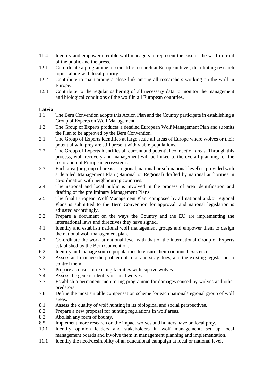- 11.4 Identify and empower credible wolf managers to represent the case of the wolf in front of the public and the press.
- 12.1 Co-ordinate a programme of scientific research at European level, distributing research topics along with local priority.
- 12.2 Contribute to maintaining a close link among all researchers working on the wolf in Europe.
- 12.3 Contribute to the regular gathering of all necessary data to monitor the management and biological conditions of the wolf in all European countries.

### **Latvia**

- 1.1 The Bern Convention adopts this Action Plan and the Country participate in establishing a Group of Experts on Wolf Management.
- 1.2 The Group of Experts produces a detailed European Wolf Management Plan and submits the Plan to be approved by the Bern Convention.
- 2.1 The Group of Experts identifies at large scale all areas of Europe where wolves or their potential wild prey are still present with viable populations.
- 2.2 The Group of Experts identifies all current and potential connection areas. Through this process, wolf recovery and management will be linked to the overall planning for the restoration of European ecosystems.
- 2.3 Each area (or group of areas at regional, national or sub-national level) is provided with a detailed Management Plan (National or Regional) drafted by national authorities in co-ordination with neighbouring countries.
- 2.4 The national and local public is involved in the process of area identification and drafting of the preliminary Management Plans.
- 2.5 The final European Wolf Management Plan, composed by all national and/or regional Plans is submitted to the Bern Convention for approval, and national legislation is adjusted accordingly.
- 3.2 Prepare a document on the ways the Country and the EU are implementing the international laws and directives they have signed.
- 4.1 Identify and establish national wolf management groups and empower them to design the national wolf management plan.
- 4.2 Co-ordinate the work at national level with that of the international Group of Experts established by the Bern Convention.
- 6.2 Identify and manage source populations to ensure their continued existence.
- 7.2 Assess and manage the problem of feral and stray dogs, and the existing legislation to control them.
- 7.3 Prepare a census of existing facilities with captive wolves.
- 7.4 Assess the genetic identity of local wolves.
- 7.7 Establish a permanent monitoring programme for damages caused by wolves and other predators.
- 7.8 Define the most suitable compensation scheme for each national/regional group of wolf areas.
- 8.1 Assess the quality of wolf hunting in its biological and social perspectives.
- 8.2 Prepare a new proposal for hunting regulations in wolf areas.
- 8.3 Abolish any form of bounty.
- 8.5 Implement more research on the impact wolves and hunters have on local prey.
- 10.1 Identify opinion leaders and stakeholders in wolf management; set up local management boards and involve them in management planning and implementation.
- 11.1 Identify the need/desirability of an educational campaign at local or national level.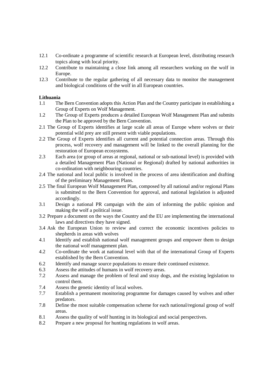- 12.1 Co-ordinate a programme of scientific research at European level, distributing research topics along with local priority.
- 12.2 Contribute to maintaining a close link among all researchers working on the wolf in Europe.
- 12.3 Contribute to the regular gathering of all necessary data to monitor the management and biological conditions of the wolf in all European countries.

### **Lithuania**

- 1.1 The Bern Convention adopts this Action Plan and the Country participate in establishing a Group of Experts on Wolf Management.
- 1.2 The Group of Experts produces a detailed European Wolf Management Plan and submits the Plan to be approved by the Bern Convention.
- 2.1 The Group of Experts identifies at large scale all areas of Europe where wolves or their potential wild prey are still present with viable populations.
- 2.2 The Group of Experts identifies all current and potential connection areas. Through this process, wolf recovery and management will be linked to the overall planning for the restoration of European ecosystems.
- 2.3 Each area (or group of areas at regional, national or sub-national level) is provided with a detailed Management Plan (National or Regional) drafted by national authorities in co-ordination with neighbouring countries.
- 2.4 The national and local public is involved in the process of area identification and drafting of the preliminary Management Plans.
- 2.5 The final European Wolf Management Plan, composed by all national and/or regional Plans is submitted to the Bern Convention for approval, and national legislation is adjusted accordingly.
- 3.1 Design a national PR campaign with the aim of informing the public opinion and making the wolf a political issue.
- 3.2 Prepare a document on the ways the Country and the EU are implementing the international laws and directives they have signed.
- 3.4 Ask the European Union to review and correct the economic incentives policies to shepherds in areas with wolves
- 4.1 Identify and establish national wolf management groups and empower them to design the national wolf management plan.
- 4.2 Co-ordinate the work at national level with that of the international Group of Experts established by the Bern Convention.
- 6.2 Identify and manage source populations to ensure their continued existence.
- 6.3 Assess the attitudes of humans in wolf recovery areas.
- 7.2 Assess and manage the problem of feral and stray dogs, and the existing legislation to control them.
- 7.4 Assess the genetic identity of local wolves.
- 7.7 Establish a permanent monitoring programme for damages caused by wolves and other predators.
- 7.8 Define the most suitable compensation scheme for each national/regional group of wolf areas.
- 8.1 Assess the quality of wolf hunting in its biological and social perspectives.
- 8.2 Prepare a new proposal for hunting regulations in wolf areas.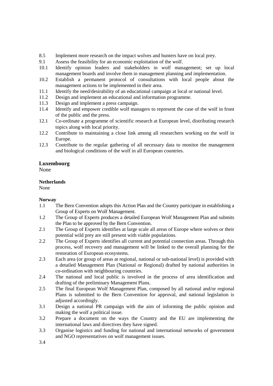- 8.5 Implement more research on the impact wolves and hunters have on local prey.
- 9.1 Assess the feasibility for an economic exploitation of the wolf.
- 10.1 Identify opinion leaders and stakeholders in wolf management; set up local management boards and involve them in management planning and implementation.
- 10.2 Establish a permanent protocol of consultations with local people about the management actions to be implemented in their area.
- 11.1 Identify the need/desirability of an educational campaign at local or national level.
- 11.2 Design and implement an educational and information programme.
- 11.3 Design and implement a press campaign.
- 11.4 Identify and empower credible wolf managers to represent the case of the wolf in front of the public and the press.
- 12.1 Co-ordinate a programme of scientific research at European level, distributing research topics along with local priority.
- 12.2 Contribute to maintaining a close link among all researchers working on the wolf in Europe.
- 12.3 Contribute to the regular gathering of all necessary data to monitor the management and biological conditions of the wolf in all European countries.

# **Luxembourg**

None

# **Netherlands**

None

# **Norway**

- 1.1 The Bern Convention adopts this Action Plan and the Country participate in establishing a Group of Experts on Wolf Management.
- 1.2 The Group of Experts produces a detailed European Wolf Management Plan and submits the Plan to be approved by the Bern Convention.
- 2.1 The Group of Experts identifies at large scale all areas of Europe where wolves or their potential wild prey are still present with viable populations.
- 2.2 The Group of Experts identifies all current and potential connection areas. Through this process, wolf recovery and management will be linked to the overall planning for the restoration of European ecosystems.
- 2.3 Each area (or group of areas at regional, national or sub-national level) is provided with a detailed Management Plan (National or Regional) drafted by national authorities in co-ordination with neighbouring countries.
- 2.4 The national and local public is involved in the process of area identification and drafting of the preliminary Management Plans.
- 2.5 The final European Wolf Management Plan, composed by all national and/or regional Plans is submitted to the Bern Convention for approval, and national legislation is adjusted accordingly.
- 3.1 Design a national PR campaign with the aim of informing the public opinion and making the wolf a political issue.
- 3.2 Prepare a document on the ways the Country and the EU are implementing the international laws and directives they have signed.
- 3.3 Organise logistics and funding for national and international networks of government and NGO representatives on wolf management issues.
- 3.4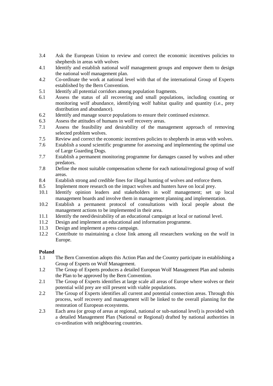- 3.4 Ask the European Union to review and correct the economic incentives policies to shepherds in areas with wolves
- 4.1 Identify and establish national wolf management groups and empower them to design the national wolf management plan.
- 4.2 Co-ordinate the work at national level with that of the international Group of Experts established by the Bern Convention.
- 5.1 Identify all potential corridors among population fragments.
- 6.1 Assess the status of all recovering and small populations, including counting or monitoring wolf abundance, identifying wolf habitat quality and quantity (i.e., prey distribution and abundance).
- 6.2 Identify and manage source populations to ensure their continued existence.
- 6.3 Assess the attitudes of humans in wolf recovery areas.
- 7.1 Assess the feasibility and desirability of the management approach of removing selected problem wolves.
- 7.5 Review and correct the economic incentives policies to shepherds in areas with wolves.
- 7.6 Establish a sound scientific programme for assessing and implementing the optimal use of Large Guarding Dogs.
- 7.7 Establish a permanent monitoring programme for damages caused by wolves and other predators.
- 7.8 Define the most suitable compensation scheme for each national/regional group of wolf areas.
- 8.4 Establish strong and credible fines for illegal hunting of wolves and enforce them.
- 8.5 Implement more research on the impact wolves and hunters have on local prey.
- 10.1 Identify opinion leaders and stakeholders in wolf management; set up local management boards and involve them in management planning and implementation.
- 10.2 Establish a permanent protocol of consultations with local people about the management actions to be implemented in their area.
- 11.1 Identify the need/desirability of an educational campaign at local or national level.
- 11.2 Design and implement an educational and information programme.
- 11.3 Design and implement a press campaign.<br>12.2 Contribute to maintaining a close link a
- 12.2 Contribute to maintaining a close link among all researchers working on the wolf in Europe.

### **Poland**

- 1.1 The Bern Convention adopts this Action Plan and the Country participate in establishing a Group of Experts on Wolf Management.
- 1.2 The Group of Experts produces a detailed European Wolf Management Plan and submits the Plan to be approved by the Bern Convention.
- 2.1 The Group of Experts identifies at large scale all areas of Europe where wolves or their potential wild prey are still present with viable populations.
- 2.2 The Group of Experts identifies all current and potential connection areas. Through this process, wolf recovery and management will be linked to the overall planning for the restoration of European ecosystems.
- 2.3 Each area (or group of areas at regional, national or sub-national level) is provided with a detailed Management Plan (National or Regional) drafted by national authorities in co-ordination with neighbouring countries.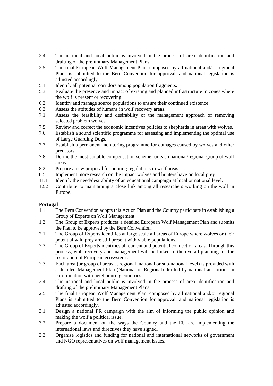- 2.4 The national and local public is involved in the process of area identification and drafting of the preliminary Management Plans.
- 2.5 The final European Wolf Management Plan, composed by all national and/or regional Plans is submitted to the Bern Convention for approval, and national legislation is adjusted accordingly.
- 5.1 Identify all potential corridors among population fragments.
- 5.3 Evaluate the presence and impact of existing and planned infrastructure in zones where the wolf is present or recovering.
- 6.2 Identify and manage source populations to ensure their continued existence.
- 6.3 Assess the attitudes of humans in wolf recovery areas.
- 7.1 Assess the feasibility and desirability of the management approach of removing selected problem wolves.
- 7.5 Review and correct the economic incentives policies to shepherds in areas with wolves.
- 7.6 Establish a sound scientific programme for assessing and implementing the optimal use of Large Guarding Dogs.
- 7.7 Establish a permanent monitoring programme for damages caused by wolves and other predators.
- 7.8 Define the most suitable compensation scheme for each national/regional group of wolf areas.
- 8.2 Prepare a new proposal for hunting regulations in wolf areas.
- 8.5 Implement more research on the impact wolves and hunters have on local prey.
- 11.1 Identify the need/desirability of an educational campaign at local or national level.
- 12.2 Contribute to maintaining a close link among all researchers working on the wolf in Europe.

### **Portugal**

- 1.1 The Bern Convention adopts this Action Plan and the Country participate in establishing a Group of Experts on Wolf Management.
- 1.2 The Group of Experts produces a detailed European Wolf Management Plan and submits the Plan to be approved by the Bern Convention.
- 2.1 The Group of Experts identifies at large scale all areas of Europe where wolves or their potential wild prey are still present with viable populations.
- 2.2 The Group of Experts identifies all current and potential connection areas. Through this process, wolf recovery and management will be linked to the overall planning for the restoration of European ecosystems.
- 2.3 Each area (or group of areas at regional, national or sub-national level) is provided with a detailed Management Plan (National or Regional) drafted by national authorities in co-ordination with neighbouring countries.
- 2.4 The national and local public is involved in the process of area identification and drafting of the preliminary Management Plans.
- 2.5 The final European Wolf Management Plan, composed by all national and/or regional Plans is submitted to the Bern Convention for approval, and national legislation is adjusted accordingly.
- 3.1 Design a national PR campaign with the aim of informing the public opinion and making the wolf a political issue.
- 3.2 Prepare a document on the ways the Country and the EU are implementing the international laws and directives they have signed.
- 3.3 Organise logistics and funding for national and international networks of government and NGO representatives on wolf management issues.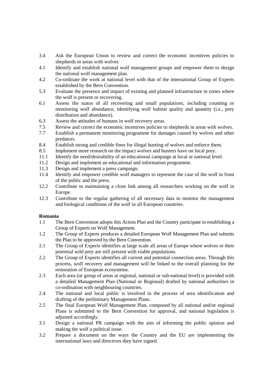- 3.4 Ask the European Union to review and correct the economic incentives policies to shepherds in areas with wolves
- 4.1 Identify and establish national wolf management groups and empower them to design the national wolf management plan.
- 4.2 Co-ordinate the work at national level with that of the international Group of Experts established by the Bern Convention.
- 5.3 Evaluate the presence and impact of existing and planned infrastructure in zones where the wolf is present or recovering.
- 6.1 Assess the status of all recovering and small populations, including counting or monitoring wolf abundance, identifying wolf habitat quality and quantity (i.e., prey distribution and abundance).
- 6.3 Assess the attitudes of humans in wolf recovery areas.
- 7.5 Review and correct the economic incentives policies to shepherds in areas with wolves.
- 7.7 Establish a permanent monitoring programme for damages caused by wolves and other predators.
- 8.4 Establish strong and credible fines for illegal hunting of wolves and enforce them.
- 8.5 Implement more research on the impact wolves and hunters have on local prey.
- 11.1 Identify the need/desirability of an educational campaign at local or national level.
- 11.2 Design and implement an educational and information programme.
- 11.3 Design and implement a press campaign.
- 11.4 Identify and empower credible wolf managers to represent the case of the wolf in front of the public and the press.
- 12.2 Contribute to maintaining a close link among all researchers working on the wolf in Europe.
- 12.3 Contribute to the regular gathering of all necessary data to monitor the management and biological conditions of the wolf in all European countries.

### **Romania**

- 1.1 The Bern Convention adopts this Action Plan and the Country participate in establishing a Group of Experts on Wolf Management.
- 1.2 The Group of Experts produces a detailed European Wolf Management Plan and submits the Plan to be approved by the Bern Convention.
- 2.1 The Group of Experts identifies at large scale all areas of Europe where wolves or their potential wild prey are still present with viable populations.
- 2.2 The Group of Experts identifies all current and potential connection areas. Through this process, wolf recovery and management will be linked to the overall planning for the restoration of European ecosystems.
- 2.3 Each area (or group of areas at regional, national or sub-national level) is provided with a detailed Management Plan (National or Regional) drafted by national authorities in co-ordination with neighbouring countries.
- 2.4 The national and local public is involved in the process of area identification and drafting of the preliminary Management Plans.
- 2.5 The final European Wolf Management Plan, composed by all national and/or regional Plans is submitted to the Bern Convention for approval, and national legislation is adjusted accordingly.
- 3.1 Design a national PR campaign with the aim of informing the public opinion and making the wolf a political issue.
- 3.2 Prepare a document on the ways the Country and the EU are implementing the international laws and directives they have signed.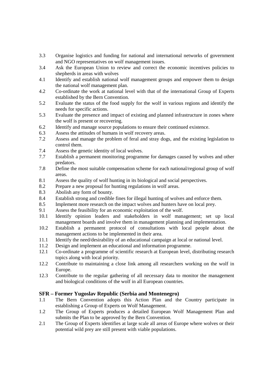- 3.3 Organise logistics and funding for national and international networks of government and NGO representatives on wolf management issues.
- 3.4 Ask the European Union to review and correct the economic incentives policies to shepherds in areas with wolves
- 4.1 Identify and establish national wolf management groups and empower them to design the national wolf management plan.
- 4.2 Co-ordinate the work at national level with that of the international Group of Experts established by the Bern Convention.
- 5.2 Evaluate the status of the food supply for the wolf in various regions and identify the needs for specific actions.
- 5.3 Evaluate the presence and impact of existing and planned infrastructure in zones where the wolf is present or recovering.
- 6.2 Identify and manage source populations to ensure their continued existence.
- 6.3 Assess the attitudes of humans in wolf recovery areas.
- 7.2 Assess and manage the problem of feral and stray dogs, and the existing legislation to control them.
- 7.4 Assess the genetic identity of local wolves.
- 7.7 Establish a permanent monitoring programme for damages caused by wolves and other predators.
- 7.8 Define the most suitable compensation scheme for each national/regional group of wolf areas.
- 8.1 Assess the quality of wolf hunting in its biological and social perspectives.
- 8.2 Prepare a new proposal for hunting regulations in wolf areas.
- 8.3 Abolish any form of bounty.
- 8.4 Establish strong and credible fines for illegal hunting of wolves and enforce them.
- 8.5 Implement more research on the impact wolves and hunters have on local prey.
- 9.1 Assess the feasibility for an economic exploitation of the wolf.
- 10.1 Identify opinion leaders and stakeholders in wolf management; set up local management boards and involve them in management planning and implementation.
- 10.2 Establish a permanent protocol of consultations with local people about the management actions to be implemented in their area.
- 11.1 Identify the need/desirability of an educational campaign at local or national level.
- 11.2 Design and implement an educational and information programme.
- 12.1 Co-ordinate a programme of scientific research at European level, distributing research topics along with local priority.
- 12.2 Contribute to maintaining a close link among all researchers working on the wolf in Europe.
- 12.3 Contribute to the regular gathering of all necessary data to monitor the management and biological conditions of the wolf in all European countries.

# **SFR – Former Yugoslav Republic (Serbia and Montenegro)**

- 1.1 The Bern Convention adopts this Action Plan and the Country participate in establishing a Group of Experts on Wolf Management.
- 1.2 The Group of Experts produces a detailed European Wolf Management Plan and submits the Plan to be approved by the Bern Convention.
- 2.1 The Group of Experts identifies at large scale all areas of Europe where wolves or their potential wild prey are still present with viable populations.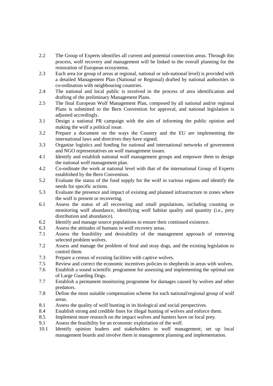- 2.2 The Group of Experts identifies all current and potential connection areas. Through this process, wolf recovery and management will be linked to the overall planning for the restoration of European ecosystems.
- 2.3 Each area (or group of areas at regional, national or sub-national level) is provided with a detailed Management Plan (National or Regional) drafted by national authorities in co-ordination with neighbouring countries.
- 2.4 The national and local public is involved in the process of area identification and drafting of the preliminary Management Plans.
- 2.5 The final European Wolf Management Plan, composed by all national and/or regional Plans is submitted to the Bern Convention for approval, and national legislation is adjusted accordingly.
- 3.1 Design a national PR campaign with the aim of informing the public opinion and making the wolf a political issue.
- 3.2 Prepare a document on the ways the Country and the EU are implementing the international laws and directives they have signed.
- 3.3 Organise logistics and funding for national and international networks of government and NGO representatives on wolf management issues.
- 4.1 Identify and establish national wolf management groups and empower them to design the national wolf management plan.
- 4.2 Co-ordinate the work at national level with that of the international Group of Experts established by the Bern Convention.
- 5.2 Evaluate the status of the food supply for the wolf in various regions and identify the needs for specific actions.
- 5.3 Evaluate the presence and impact of existing and planned infrastructure in zones where the wolf is present or recovering.
- 6.1 Assess the status of all recovering and small populations, including counting or monitoring wolf abundance, identifying wolf habitat quality and quantity (i.e., prey distribution and abundance).
- 6.2 Identify and manage source populations to ensure their continued existence.
- 6.3 Assess the attitudes of humans in wolf recovery areas.<br>7.1 Assess the feasibility and desirability of the manu-
- Assess the feasibility and desirability of the management approach of removing selected problem wolves.
- 7.2 Assess and manage the problem of feral and stray dogs, and the existing legislation to control them.
- 7.3 Prepare a census of existing facilities with captive wolves.
- 7.5 Review and correct the economic incentives policies to shepherds in areas with wolves.
- 7.6 Establish a sound scientific programme for assessing and implementing the optimal use of Large Guarding Dogs.
- 7.7 Establish a permanent monitoring programme for damages caused by wolves and other predators.
- 7.8 Define the most suitable compensation scheme for each national/regional group of wolf areas.
- 8.1 Assess the quality of wolf hunting in its biological and social perspectives.
- 8.4 Establish strong and credible fines for illegal hunting of wolves and enforce them.
- 8.5 Implement more research on the impact wolves and hunters have on local prey.
- 9.1 Assess the feasibility for an economic exploitation of the wolf.
- 10.1 Identify opinion leaders and stakeholders in wolf management; set up local management boards and involve them in management planning and implementation.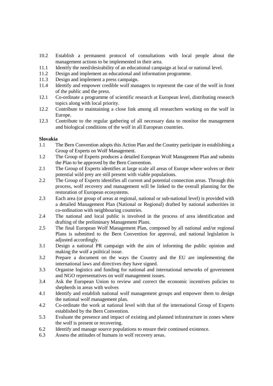- 10.2 Establish a permanent protocol of consultations with local people about the management actions to be implemented in their area.
- 11.1 Identify the need/desirability of an educational campaign at local or national level.
- 11.2 Design and implement an educational and information programme.
- 11.3 Design and implement a press campaign.
- 11.4 Identify and empower credible wolf managers to represent the case of the wolf in front of the public and the press.
- 12.1 Co-ordinate a programme of scientific research at European level, distributing research topics along with local priority.
- 12.2 Contribute to maintaining a close link among all researchers working on the wolf in Europe.
- 12.3 Contribute to the regular gathering of all necessary data to monitor the management and biological conditions of the wolf in all European countries.

### **Slovakia**

- 1.1 The Bern Convention adopts this Action Plan and the Country participate in establishing a Group of Experts on Wolf Management.
- 1.2 The Group of Experts produces a detailed European Wolf Management Plan and submits the Plan to be approved by the Bern Convention.
- 2.1 The Group of Experts identifies at large scale all areas of Europe where wolves or their potential wild prey are still present with viable populations.
- 2.2 The Group of Experts identifies all current and potential connection areas. Through this process, wolf recovery and management will be linked to the overall planning for the restoration of European ecosystems.
- 2.3 Each area (or group of areas at regional, national or sub-national level) is provided with a detailed Management Plan (National or Regional) drafted by national authorities in co-ordination with neighbouring countries.
- 2.4 The national and local public is involved in the process of area identification and drafting of the preliminary Management Plans.
- 2.5 The final European Wolf Management Plan, composed by all national and/or regional Plans is submitted to the Bern Convention for approval, and national legislation is adjusted accordingly.
- 3.1 Design a national PR campaign with the aim of informing the public opinion and making the wolf a political issue.
- 3.2 Prepare a document on the ways the Country and the EU are implementing the international laws and directives they have signed.
- 3.3 Organise logistics and funding for national and international networks of government and NGO representatives on wolf management issues.
- 3.4 Ask the European Union to review and correct the economic incentives policies to shepherds in areas with wolves
- 4.1 Identify and establish national wolf management groups and empower them to design the national wolf management plan.
- 4.2 Co-ordinate the work at national level with that of the international Group of Experts established by the Bern Convention.
- 5.3 Evaluate the presence and impact of existing and planned infrastructure in zones where the wolf is present or recovering.
- 6.2 Identify and manage source populations to ensure their continued existence.
- 6.3 Assess the attitudes of humans in wolf recovery areas.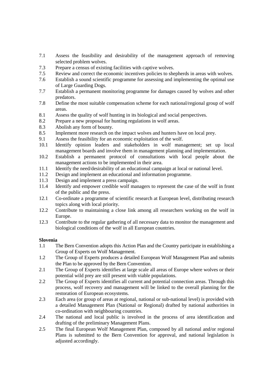- 7.1 Assess the feasibility and desirability of the management approach of removing selected problem wolves.
- 7.3 Prepare a census of existing facilities with captive wolves.
- 7.5 Review and correct the economic incentives policies to shepherds in areas with wolves.
- 7.6 Establish a sound scientific programme for assessing and implementing the optimal use of Large Guarding Dogs.
- 7.7 Establish a permanent monitoring programme for damages caused by wolves and other predators.
- 7.8 Define the most suitable compensation scheme for each national/regional group of wolf areas.
- 8.1 Assess the quality of wolf hunting in its biological and social perspectives.
- 8.2 Prepare a new proposal for hunting regulations in wolf areas.
- 8.3 Abolish any form of bounty.
- 8.5 Implement more research on the impact wolves and hunters have on local prey.
- 9.1 Assess the feasibility for an economic exploitation of the wolf.
- 10.1 Identify opinion leaders and stakeholders in wolf management; set up local management boards and involve them in management planning and implementation.
- 10.2 Establish a permanent protocol of consultations with local people about the management actions to be implemented in their area.
- 11.1 Identify the need/desirability of an educational campaign at local or national level.
- 11.2 Design and implement an educational and information programme.
- 11.3 Design and implement a press campaign.
- 11.4 Identify and empower credible wolf managers to represent the case of the wolf in front of the public and the press.
- 12.1 Co-ordinate a programme of scientific research at European level, distributing research topics along with local priority.
- 12.2 Contribute to maintaining a close link among all researchers working on the wolf in Europe.
- 12.3 Contribute to the regular gathering of all necessary data to monitor the management and biological conditions of the wolf in all European countries.

### **Slovenia**

- 1.1 The Bern Convention adopts this Action Plan and the Country participate in establishing a Group of Experts on Wolf Management.
- 1.2 The Group of Experts produces a detailed European Wolf Management Plan and submits the Plan to be approved by the Bern Convention.
- 2.1 The Group of Experts identifies at large scale all areas of Europe where wolves or their potential wild prey are still present with viable populations.
- 2.2 The Group of Experts identifies all current and potential connection areas. Through this process, wolf recovery and management will be linked to the overall planning for the restoration of European ecosystems.
- 2.3 Each area (or group of areas at regional, national or sub-national level) is provided with a detailed Management Plan (National or Regional) drafted by national authorities in co-ordination with neighbouring countries.
- 2.4 The national and local public is involved in the process of area identification and drafting of the preliminary Management Plans.
- 2.5 The final European Wolf Management Plan, composed by all national and/or regional Plans is submitted to the Bern Convention for approval, and national legislation is adjusted accordingly.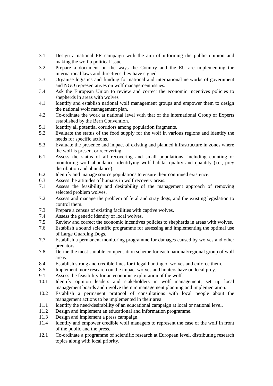- 3.1 Design a national PR campaign with the aim of informing the public opinion and making the wolf a political issue.
- 3.2 Prepare a document on the ways the Country and the EU are implementing the international laws and directives they have signed.
- 3.3 Organise logistics and funding for national and international networks of government and NGO representatives on wolf management issues.
- 3.4 Ask the European Union to review and correct the economic incentives policies to shepherds in areas with wolves
- 4.1 Identify and establish national wolf management groups and empower them to design the national wolf management plan.
- 4.2 Co-ordinate the work at national level with that of the international Group of Experts established by the Bern Convention.
- 5.1 Identify all potential corridors among population fragments.
- 5.2 Evaluate the status of the food supply for the wolf in various regions and identify the needs for specific actions.
- 5.3 Evaluate the presence and impact of existing and planned infrastructure in zones where the wolf is present or recovering.
- 6.1 Assess the status of all recovering and small populations, including counting or monitoring wolf abundance, identifying wolf habitat quality and quantity (i.e., prey distribution and abundance).
- 6.2 Identify and manage source populations to ensure their continued existence.
- 6.3 Assess the attitudes of humans in wolf recovery areas.
- 7.1 Assess the feasibility and desirability of the management approach of removing selected problem wolves.
- 7.2 Assess and manage the problem of feral and stray dogs, and the existing legislation to control them.
- 7.3 Prepare a census of existing facilities with captive wolves.
- 7.4 Assess the genetic identity of local wolves.
- 7.5 Review and correct the economic incentives policies to shepherds in areas with wolves.
- 7.6 Establish a sound scientific programme for assessing and implementing the optimal use of Large Guarding Dogs.
- 7.7 Establish a permanent monitoring programme for damages caused by wolves and other predators.
- 7.8 Define the most suitable compensation scheme for each national/regional group of wolf areas.
- 8.4 Establish strong and credible fines for illegal hunting of wolves and enforce them.
- 8.5 Implement more research on the impact wolves and hunters have on local prey.
- 9.1 Assess the feasibility for an economic exploitation of the wolf.
- 10.1 Identify opinion leaders and stakeholders in wolf management; set up local management boards and involve them in management planning and implementation.
- 10.2 Establish a permanent protocol of consultations with local people about the management actions to be implemented in their area.
- 11.1 Identify the need/desirability of an educational campaign at local or national level.
- 11.2 Design and implement an educational and information programme.
- 11.3 Design and implement a press campaign.
- 11.4 Identify and empower credible wolf managers to represent the case of the wolf in front of the public and the press.
- 12.1 Co-ordinate a programme of scientific research at European level, distributing research topics along with local priority.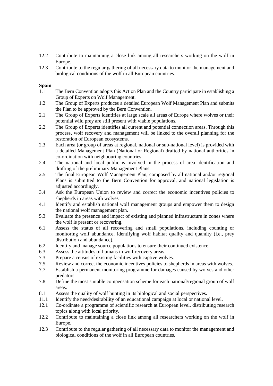- 12.2 Contribute to maintaining a close link among all researchers working on the wolf in Europe.
- 12.3 Contribute to the regular gathering of all necessary data to monitor the management and biological conditions of the wolf in all European countries.

## **Spain**

- 1.1 The Bern Convention adopts this Action Plan and the Country participate in establishing a Group of Experts on Wolf Management.
- 1.2 The Group of Experts produces a detailed European Wolf Management Plan and submits the Plan to be approved by the Bern Convention.
- 2.1 The Group of Experts identifies at large scale all areas of Europe where wolves or their potential wild prey are still present with viable populations.
- 2.2 The Group of Experts identifies all current and potential connection areas. Through this process, wolf recovery and management will be linked to the overall planning for the restoration of European ecosystems.
- 2.3 Each area (or group of areas at regional, national or sub-national level) is provided with a detailed Management Plan (National or Regional) drafted by national authorities in co-ordination with neighbouring countries.
- 2.4 The national and local public is involved in the process of area identification and drafting of the preliminary Management Plans.
- 2.5 The final European Wolf Management Plan, composed by all national and/or regional Plans is submitted to the Bern Convention for approval, and national legislation is adjusted accordingly.
- 3.4 Ask the European Union to review and correct the economic incentives policies to shepherds in areas with wolves
- 4.1 Identify and establish national wolf management groups and empower them to design the national wolf management plan.
- 5.3 Evaluate the presence and impact of existing and planned infrastructure in zones where the wolf is present or recovering.
- 6.1 Assess the status of all recovering and small populations, including counting or monitoring wolf abundance, identifying wolf habitat quality and quantity (i.e., prey distribution and abundance).
- 6.2 Identify and manage source populations to ensure their continued existence.
- 6.3 Assess the attitudes of humans in wolf recovery areas.
- 7.3 Prepare a census of existing facilities with captive wolves.
- 7.5 Review and correct the economic incentives policies to shepherds in areas with wolves.
- 7.7 Establish a permanent monitoring programme for damages caused by wolves and other predators.
- 7.8 Define the most suitable compensation scheme for each national/regional group of wolf areas.
- 8.1 Assess the quality of wolf hunting in its biological and social perspectives.
- 11.1 Identify the need/desirability of an educational campaign at local or national level.
- 12.1 Co-ordinate a programme of scientific research at European level, distributing research topics along with local priority.
- 12.2 Contribute to maintaining a close link among all researchers working on the wolf in Europe.
- 12.3 Contribute to the regular gathering of all necessary data to monitor the management and biological conditions of the wolf in all European countries.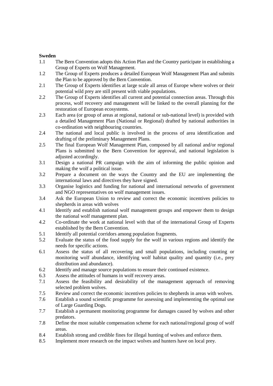## **Sweden**

- 1.1 The Bern Convention adopts this Action Plan and the Country participate in establishing a Group of Experts on Wolf Management.
- 1.2 The Group of Experts produces a detailed European Wolf Management Plan and submits the Plan to be approved by the Bern Convention.
- 2.1 The Group of Experts identifies at large scale all areas of Europe where wolves or their potential wild prey are still present with viable populations.
- 2.2 The Group of Experts identifies all current and potential connection areas. Through this process, wolf recovery and management will be linked to the overall planning for the restoration of European ecosystems.
- 2.3 Each area (or group of areas at regional, national or sub-national level) is provided with a detailed Management Plan (National or Regional) drafted by national authorities in co-ordination with neighbouring countries.
- 2.4 The national and local public is involved in the process of area identification and drafting of the preliminary Management Plans.
- 2.5 The final European Wolf Management Plan, composed by all national and/or regional Plans is submitted to the Bern Convention for approval, and national legislation is adjusted accordingly.
- 3.1 Design a national PR campaign with the aim of informing the public opinion and making the wolf a political issue.
- 3.2 Prepare a document on the ways the Country and the EU are implementing the international laws and directives they have signed.
- 3.3 Organise logistics and funding for national and international networks of government and NGO representatives on wolf management issues.
- 3.4 Ask the European Union to review and correct the economic incentives policies to shepherds in areas with wolves
- 4.1 Identify and establish national wolf management groups and empower them to design the national wolf management plan.
- 4.2 Co-ordinate the work at national level with that of the international Group of Experts established by the Bern Convention.
- 5.1 Identify all potential corridors among population fragments.
- 5.2 Evaluate the status of the food supply for the wolf in various regions and identify the needs for specific actions.
- 6.1 Assess the status of all recovering and small populations, including counting or monitoring wolf abundance, identifying wolf habitat quality and quantity (i.e., prey distribution and abundance).
- 6.2 Identify and manage source populations to ensure their continued existence.
- 6.3 Assess the attitudes of humans in wolf recovery areas.
- 7.1 Assess the feasibility and desirability of the management approach of removing selected problem wolves.
- 7.5 Review and correct the economic incentives policies to shepherds in areas with wolves.
- 7.6 Establish a sound scientific programme for assessing and implementing the optimal use of Large Guarding Dogs.
- 7.7 Establish a permanent monitoring programme for damages caused by wolves and other predators.
- 7.8 Define the most suitable compensation scheme for each national/regional group of wolf areas.
- 8.4 Establish strong and credible fines for illegal hunting of wolves and enforce them.
- 8.5 Implement more research on the impact wolves and hunters have on local prey.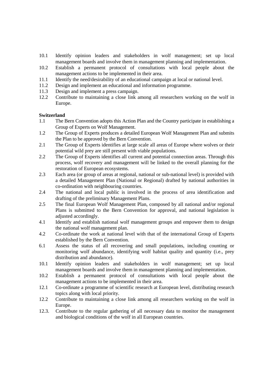- 10.1 Identify opinion leaders and stakeholders in wolf management; set up local management boards and involve them in management planning and implementation.
- 10.2 Establish a permanent protocol of consultations with local people about the management actions to be implemented in their area.
- 11.1 Identify the need/desirability of an educational campaign at local or national level.
- 11.2 Design and implement an educational and information programme.
- 11.3 Design and implement a press campaign.
- 12.2 Contribute to maintaining a close link among all researchers working on the wolf in Europe.

### **Switzerland**

- 1.1 The Bern Convention adopts this Action Plan and the Country participate in establishing a Group of Experts on Wolf Management.
- 1.2 The Group of Experts produces a detailed European Wolf Management Plan and submits the Plan to be approved by the Bern Convention.
- 2.1 The Group of Experts identifies at large scale all areas of Europe where wolves or their potential wild prey are still present with viable populations.
- 2.2 The Group of Experts identifies all current and potential connection areas. Through this process, wolf recovery and management will be linked to the overall planning for the restoration of European ecosystems.
- 2.3 Each area (or group of areas at regional, national or sub-national level) is provided with a detailed Management Plan (National or Regional) drafted by national authorities in co-ordination with neighbouring countries.
- 2.4 The national and local public is involved in the process of area identification and drafting of the preliminary Management Plans.
- 2.5 The final European Wolf Management Plan, composed by all national and/or regional Plans is submitted to the Bern Convention for approval, and national legislation is adjusted accordingly.
- 4.1 Identify and establish national wolf management groups and empower them to design the national wolf management plan.
- 4.2 Co-ordinate the work at national level with that of the international Group of Experts established by the Bern Convention.
- 6.1 Assess the status of all recovering and small populations, including counting or monitoring wolf abundance, identifying wolf habitat quality and quantity (i.e., prey distribution and abundance).
- 10.1 Identify opinion leaders and stakeholders in wolf management; set up local management boards and involve them in management planning and implementation.
- 10.2 Establish a permanent protocol of consultations with local people about the management actions to be implemented in their area.
- 12.1 Co-ordinate a programme of scientific research at European level, distributing research topics along with local priority.
- 12.2 Contribute to maintaining a close link among all researchers working on the wolf in Europe.
- 12.3. Contribute to the regular gathering of all necessary data to monitor the management and biological conditions of the wolf in all European countries.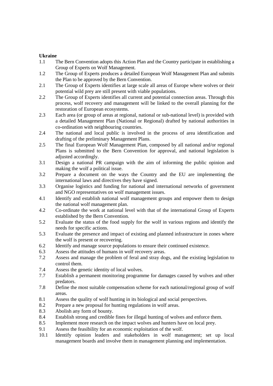## **Ukraine**

- 1.1 The Bern Convention adopts this Action Plan and the Country participate in establishing a Group of Experts on Wolf Management.
- 1.2 The Group of Experts produces a detailed European Wolf Management Plan and submits the Plan to be approved by the Bern Convention.
- 2.1 The Group of Experts identifies at large scale all areas of Europe where wolves or their potential wild prey are still present with viable populations.
- 2.2 The Group of Experts identifies all current and potential connection areas. Through this process, wolf recovery and management will be linked to the overall planning for the restoration of European ecosystems.
- 2.3 Each area (or group of areas at regional, national or sub-national level) is provided with a detailed Management Plan (National or Regional) drafted by national authorities in co-ordination with neighbouring countries.
- 2.4 The national and local public is involved in the process of area identification and drafting of the preliminary Management Plans.
- 2.5 The final European Wolf Management Plan, composed by all national and/or regional Plans is submitted to the Bern Convention for approval, and national legislation is adjusted accordingly.
- 3.1 Design a national PR campaign with the aim of informing the public opinion and making the wolf a political issue.
- 3.2 Prepare a document on the ways the Country and the EU are implementing the international laws and directives they have signed.
- 3.3 Organise logistics and funding for national and international networks of government and NGO representatives on wolf management issues.
- 4.1 Identify and establish national wolf management groups and empower them to design the national wolf management plan.
- 4.2 Co-ordinate the work at national level with that of the international Group of Experts established by the Bern Convention.
- 5.2 Evaluate the status of the food supply for the wolf in various regions and identify the needs for specific actions.
- 5.3 Evaluate the presence and impact of existing and planned infrastructure in zones where the wolf is present or recovering.
- 6.2 Identify and manage source populations to ensure their continued existence.
- 6.3 Assess the attitudes of humans in wolf recovery areas.
- 7.2 Assess and manage the problem of feral and stray dogs, and the existing legislation to control them.
- 7.4 Assess the genetic identity of local wolves.
- 7.7 Establish a permanent monitoring programme for damages caused by wolves and other predators.
- 7.8 Define the most suitable compensation scheme for each national/regional group of wolf areas.
- 8.1 Assess the quality of wolf hunting in its biological and social perspectives.
- 8.2 Prepare a new proposal for hunting regulations in wolf areas.
- 8.3 Abolish any form of bounty.
- 8.4 Establish strong and credible fines for illegal hunting of wolves and enforce them.
- 8.5 Implement more research on the impact wolves and hunters have on local prey.
- 9.1 Assess the feasibility for an economic exploitation of the wolf.
- 10.1 Identify opinion leaders and stakeholders in wolf management; set up local management boards and involve them in management planning and implementation.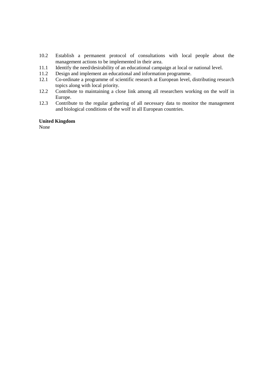- 10.2 Establish a permanent protocol of consultations with local people about the management actions to be implemented in their area.
- 11.1 Identify the need/desirability of an educational campaign at local or national level.
- 11.2 Design and implement an educational and information programme.
- 12.1 Co-ordinate a programme of scientific research at European level, distributing research topics along with local priority.
- 12.2 Contribute to maintaining a close link among all researchers working on the wolf in Europe.
- 12.3 Contribute to the regular gathering of all necessary data to monitor the management and biological conditions of the wolf in all European countries.

#### **United Kingdom**

None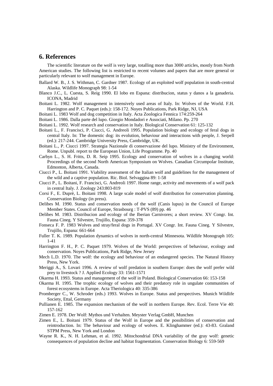## **6. References**

The scientific literature on the wolf is very large, totalling more than 3000 articles, mostly from North American studies. The following list is restricted to recent volumes and papers that are more general or particularly relevant to wolf management in Europe.

- Ballard W. B., J. S. Withman, C. Gardner 1987. Ecology of an exploited wolf population in south-central Alaska. Wildlife Monograph 98: 1-54
- Blanco J.C., L. Cuesta, S. Reig 1990. El lobo en Espana: distribucion, status y danos a la ganaderia. ICONA, Madrid
- Boitani L. 1982. Wolf management in intensively used areas of Italy. In: Wolves of the World. F.H. Harrington and P. C. Paquet (eds.): 158-172. Noyes Publications, Park Ridge, NJ, USA
- Boitani L. 1983 Wolf and dog competition in Italy. Acta Zoologica Fennica 174:259-264
- Boitani L. 1986. Dalla parte del lupo. Giorgio Mondadori e Associati, Milano. Pp. 270
- Boitani L. 1992. Wolf research and conservation in Italy. Biological Conservation 61: 125-132
- Boitani L., F. Francisci, P. Ciucci, G. Andreoli 1995. Population biology and ecology of feral dogs in central Italy. In: The domestic dog: its evolution, behaviour and interactions with people, J. Serpell (ed.): 217-244. Cambridge University Press, Cambridge, UK.
- Boitani L., P. Ciucci 1997. Strategia Nazionale di conservazione del lupo. Ministry of the Environment, Rome. Unpubl. report to the European Union, Life Programme. Pp. 40
- Carbyn L., S. H. Fritts, D. R. Seip 1995. Ecology and conservation of wolves in a changing world: Proceedings of the second North American Symposium on Wolves. Canadian Circumpolar Institute, Edmonton, Alberta, Canada.
- Ciucci P., L. Boitani 1991. Viability assessment of the Italian wolf and guidelines for the management of the wild and a captive population. Ric. Biol. Selvaggina 89: 1-58
- Ciucci P., L. Boitani, F. Francisci, G. Andreoli 1997. Home range, activity and movements of a wolf pack in central Italy. J. Zoology 243:803-819
- Corsi F., E. Duprè, L. Boitani 1998. A large scale model of wolf distribution for conservation planning. Conservation Biology (in press).
- Delibes M. 1990. Status and conservation needs of the wolf (Canis lupus) in the Council of Europe Member States. Council of Europe, Strasbourg : T-PVS (89) pp. 46
- Delibes M. 1983. Distribucion and ecology of the Iberian Carnivores; a short review. XV Congr. Int. Fauna Cineg. Y Silvestre, Trujillo, Espana: 359-378
- Fonseca F. P. 1983 Wolves and stray/feral dogs in Portugal. XV Congr. Int. Fauna Cineg. Y Silvestre, Trujillo, Espana: 661-664
- Fuller T. K. 1989. Population dynamics of wolves in north-central Minnesota. Wildlife Monograph 105: 1-41
- Harrington F. H., P. C. Paquet 1979. Wolves of the World: perspectives of behaviour, ecology and conservation. Noyes Publications, Park Ridge, New Jersey
- Mech L.D. 1970. The wolf: the ecology and behaviour of an endangered species. The Natural History Press, New York.
- Meriggi A., S. Lovari 1996. A review of wolf predation in southern Europe: does the wolf prefer wild prey to livestock ? J. Applied Ecology 33: 1561-1571
- Okarma H. 1993. Status and management of the wolf in Poland. Biological Conservation 66: 153-158
- Okarma H. 1995. The trophic ecology of wolves and their predatory role in ungulate communities of forest ecosystems in Europe. Acta Theriologica 40: 335-386
- Promberger C., W. Schroder (eds.) 1993. Wolves in Europe. Status and perspectives. Munich Wildlife Society, Ettal, Germany
- Pullianen E. 1985. The expansion mechanism of the wolf in northern Europe. Rev. Ecol. Terre Vie 40: 157-162
- Zimen E. 1978. Der Wolf: Mythos und Verhalten. Meyster Verlag GmbH, Munchen
- Zimen E., L. Boitani 1979. Status of the Wolf in Europe and the possibilities of conservation and reintroduction. In: The behaviour and ecology of wolves. E. Klinghammer (ed.): 43-83. Graland STPM Press, New York and London
- Wayne R. K., N. H. Lehman, et al. 1992. Mitochondrial DNA variability of the gray wolf: genetic consequences of population decline and habitat fragmentation. Conservation Biology 6: 559-569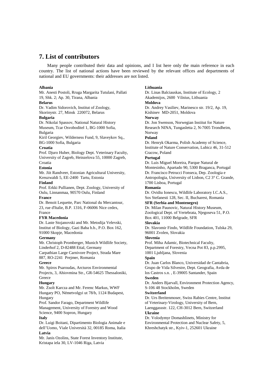# **7. List of contributors**

Many people contributed their data and opinions, and I list here only the main reference in each country. The list of national actions have been reviewed by the relevant offices and departments of national and EU governments: their addresses are not listed.

#### **Albania**

Mr. Anesti Postoli, Rruga Margarita Tutulani, Pallati 19, Shk. 2; Ap. 30, Tirana, Albania **Belarus**  Dr. Vadim Sidorovich, Institut of Zoology, Skorinystr. 27, Minsk 220072, Belarus **Bulgaria**  Dr. Nikolai Spassov, National Natural History Museum, Tcar Osvoboditel 1, BG-1000 Sofia, Bulgaria Kiril Georgiev, Wilderness Fund, 9, Slaveykov Sq., BG-1000 Sofia, Bulgaria **Croatia**  Prof. Djuro Huber, Biology Dept. Veterinary Faculty, University of Zagreb, Heinzelova 55, 10000 Zagreb, Croatia **Estonia**  Mr. Jiit Randveer, Estonian Agricultural University, Kreuzwaldi 5, EE-2400 Tartu, Estonia **Finland**  Prof. Erkki Pullianen, Dept. Zoology, University of Oulu, Linnanmaa, 90570 Oulu, Finland **France**  Dr. Benoit Lequette, Parc National du Mercantour, 23, rue d'Italie, B.P. 1316, F-06006 Nice cedex, France **FYR Macedonia**  Dr. Laste Stojanovski and Mr. Metodija Velevski, Institut of Biology, Gazi Baba b.b., P.O. Box 162, 91000 Skopje, Macedonia **Germany**  Mr. Christoph Promberger, Munich Wildlife Society, Linderhof 2, D-82488 Ettal, Germany Carpathian Large Carnivore Project, Strada Mare 887, RO-2241 Prejmer, Romania **Greece**  Mr. Spiros Psaroudas, Arcturos Environmental Projects, 3, Ahiovmina Str., GR-54625 Thessaloniki, Greece **Hungary**  Mr. Zsolt Karcza and Mr. Ferenc Markus, WWF Hungary PO, Németvolgyi ut 78/b, 1124 Budapest, Hungary Prof. Sandor Farago, Department Wildlife Management, University of Forestry and Wood Science, 9400 Sopron, Hungary **Italy**  Dr. Luigi Boitani, Dipartimento Biologia Animale e dell'Uomo, Viale Università 32, 00185 Roma, Italia **Latvia** 

Mr. Janis Ozolins, State Forest Inventory Institute, Kristapa iela 30, LV-1046 Riga, Latvia

#### **Lithuania**

Dr. Linas Balciauskas, Institute of Ecology, 2 Akademijos, 2600 Vilnius, Lithuania **Moldova**  Dr. Andrey Vasiliev, Marinesco str. 19/2, Ap. 19, Kishinev MD-2051, Moldova **Norway** 

Dr. Jon Swenson, Norwegian Institut for Nature Research NINA, Tungasletta 2, N-7005 Trondheim, Norway

#### **Poland**

Dr. Henryk Okarma, Polish Academy of Science, Institute of Nature Conservation, Lubicz 46, 31-512 Cracow, Poland

#### **Portugal**

Dr. Luis Miguel Moreira, Parque Natural de Montesinho, Apartado 90, 5300 Braganca, Portugal Dr. Francisco Petrucci Fonseca, Dep. Zoologia e Antropologia, University of Lisbon, C2 3° C. Grande, 1700 Lisboa, Portugal

#### **Romania**

Dr. Ovidiu Ionescu, Wildlife Laboratory I.C.A.S., Sos Stefanesti 128, Sec. II, Bucharest, Romania

# **SFR (Serbia and Montenegro)**

Dr. Milan Paunovic, Natural History Museum, Zoological Dept. of Vertebrata, Njegoseva 51, P.O. Box 401, 11000 Belgrade, SFR

#### **Slovakia**

Dr. Slavomir Findo, Wildlife Foundation, Tulska 29, 96001 Zvolen, Slovakia

#### **Slovenia**

Prof. Miha Adamic, Biotechnical Faculty, Department of Forestry, Vecna Pot 83, p.p.2995, 1001 Ljubljana, Slovenia

#### **Spain**

Dr. Juan Carlos Blanco, Universidad de Cantabria, Grupo de Vida Silvestre, Dept. Geografia, Avda de los Castros s.n. , E-39005 Santander, Spain

#### **Sweden**

Dr. Anders Bjarvall, Environment Protection Agency, S-106 48 Stockholm, Sweden

#### **Switzerland**

Dr. Urs Breitenmoser, Swiss Rabies Centre, Institut of Veterinary-Virology, University of Bern, Laenggassstr. 122, CH-3012 Bern, Switzerland **Ukraine** 

Dr. Volodymyr Domashlinets, Ministry for Environmental Protection and Nuclear Safety, 5, Khreshchatyk str., Kyiv-1, 252601 Ukraine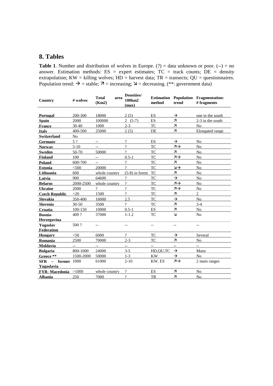# **8. Tables**

**Table 1**. Number and distribution of wolves in Europe. (?) = data unknown or poor.  $(-) =$  no answer. Estimation methods:  $ES = expert$  estimates;  $TC = track$  counts;  $DE = density$ extrapolation; KW = killing wolves; HD = harvest data;  $TR$  = transects; QU = questionnaires. Population trend:  $\rightarrow$  = stable;  $\rightarrow$  = increasing;  $\Delta$  = decreasing. (\*\*: government data)

| Country                               | # wolves  | <b>Total</b><br>area<br>(Km2) | Densities/<br>100km2<br>(max) | method                   | trend                           | <b>Estimation Population Fragmentation:</b><br># fragments |
|---------------------------------------|-----------|-------------------------------|-------------------------------|--------------------------|---------------------------------|------------------------------------------------------------|
|                                       |           | 18000                         |                               | <b>ES</b>                |                                 |                                                            |
| Portugal                              | 200-300   |                               | 2(5)                          |                          | $\rightarrow$<br>$\overline{z}$ | one in the south                                           |
| <b>Spain</b>                          | 2000      | 100000                        | $2(5-7)$                      | ES                       |                                 | 2-3 in the south                                           |
| <b>France</b>                         | $30 - 40$ | 1000                          | $2 - 3$                       | TC                       | $\overline{\mathcal{A}}$        | No                                                         |
| <b>Italy</b>                          | 400-500   | 25000                         | 2(5)                          | DE                       | $\overline{\mathcal{A}}$        | Elongated range                                            |
| <b>Switzerland</b>                    | No        |                               |                               |                          |                                 |                                                            |
| <b>Germany</b>                        | 5?        | $\overline{\phantom{m}}$      | $\overline{?}$                | <b>ES</b>                | $\rightarrow$                   | No                                                         |
| <b>Norway</b>                         | $5-10$    | $\overline{\phantom{a}}$      | $\gamma$                      | TC                       | スー                              | N <sub>o</sub>                                             |
| <b>Sweden</b>                         | 50-70     | 50000                         | $\gamma$                      | <b>TC</b>                | $\overline{\mathcal{A}}$        | N <sub>0</sub>                                             |
| <b>Finland</b>                        | 100       | $\overline{a}$                | $0.5 - 1$                     | TC                       | ヵ→                              | N <sub>o</sub>                                             |
| Poland                                | 600-700   | $\overline{\phantom{a}}$      | $\overline{\mathcal{L}}$      | TC                       | $\overline{\mathcal{A}}$        | N <sub>0</sub>                                             |
| <b>Estonia</b>                        | $<$ 500   | 20000                         | $\gamma$                      | <b>TC</b>                | メート                             | N <sub>o</sub>                                             |
| Lithuania                             | 600       | whole country                 | $(5-8)$ in forest             | TC                       | 71                              | N <sub>o</sub>                                             |
| Latvia                                | 900       | 64600                         | $\overline{\cdot}$            | TC                       | $\rightarrow$                   | N <sub>o</sub>                                             |
| <b>Belarus</b>                        | 2000-2500 | whole country                 | $\gamma$                      | <b>TC</b>                | $7\rightarrow$                  | N <sub>o</sub>                                             |
| <b>Ukraine</b>                        | 2000      | $\gamma$                      | $\overline{?}$                | TC                       | 7→                              | N <sub>o</sub>                                             |
| <b>Czech Republic</b>                 | $<$ 20    | 1500                          | $\gamma$                      | TC                       | $\overline{\mathcal{A}}$        | $\overline{2}$                                             |
| Slovakia                              | 350-400   | 16000                         | 2.5                           | <b>TC</b>                | $\rightarrow$                   | N <sub>0</sub>                                             |
| <b>Slovenia</b>                       | $30 - 50$ | 3500                          | $\gamma$                      | <b>TC</b>                | $\overline{\mathcal{A}}$        | $3-4$                                                      |
| Croatia                               | 100-150   | 10000                         | $0.5 - 1$                     | ES                       | 71                              | N <sub>o</sub>                                             |
| Bosnia-                               | 400?      | 37000                         | $1 - 1.2$                     | <b>TC</b>                | $\overline{\mathbf{v}}$         | N <sub>o</sub>                                             |
| Herzegovina                           |           |                               |                               |                          |                                 |                                                            |
| Yugoslav<br><b>Federation</b>         | 500 ?     | $-$                           | $-$                           | --                       | $-$                             | $-$                                                        |
| <b>Hungary</b>                        | < 50      | 6000                          | $\gamma$                      | <b>TC</b>                | →                               | Several                                                    |
| Romania                               | 2500      | 70000                         | $2 - 3$                       | TC                       | $\overline{z}$                  | N <sub>o</sub>                                             |
| Moldavia                              | $-$       | $-\,-$                        | $\overline{\phantom{a}}$      | $\overline{\phantom{m}}$ | $-\, -$                         | $\overline{\phantom{a}}$                                   |
| <b>Bulgaria</b>                       | 800-1000  | 24000                         | $3 - 5$                       | HD, QU, TC               | $\rightarrow$                   | Many                                                       |
| Greece **                             | 1500-2000 | 50000                         | $1 - 3$                       | <b>KW</b>                | $\rightarrow$                   | N <sub>0</sub>                                             |
| <b>SFR</b><br>former 1000<br>$\equiv$ |           | 61000                         | $2 - 10$                      | KW, ES                   | ヵ→                              | 2 main ranges                                              |
| Yugoslavia                            |           |                               |                               |                          |                                 |                                                            |
| FYR-Macedonia >1000                   |           | whole country                 | $\overline{\mathcal{L}}$      | <b>ES</b>                | $\overline{\mathcal{A}}$        | N <sub>o</sub>                                             |
| <b>Albania</b>                        | 250       | 7000                          | $\gamma$                      | <b>TR</b>                | $\overline{\mathcal{A}}$        | N <sub>o</sub>                                             |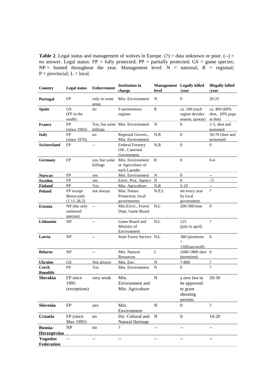**Table 2**. Legal status and management of wolves in Europe.  $(?)$  = data unknown or poor.  $(-)$  = no answer. Legal status:  $FP = fully$  protected;  $PP =$  partially protected;  $GS =$  game species;  $NP =$  hunted throughout the year. Management level:  $N =$  national;  $R =$  regional;  $P =$  provincial;  $L =$  local.

| Country                         | <b>Legal status</b>                      | <b>Enforcement</b>        | <b>Institution</b> in<br>charge                         | level        | <b>Management</b> Legally killed<br>/vear                      | <b>Illegally killed</b><br>/vear           |  |  |
|---------------------------------|------------------------------------------|---------------------------|---------------------------------------------------------|--------------|----------------------------------------------------------------|--------------------------------------------|--|--|
| Portugal                        | FP                                       | only in some<br>areas     | Min. Environment                                        | N            | $\overline{0}$                                                 | $20 - 25$                                  |  |  |
| <b>Spain</b>                    | GS<br>(FP in the<br>south)               | no                        | 9 autonomous<br>regions                                 | $\mathbb{R}$ | ca. 100 (each<br>region decides<br>season, quotas)             | ca. 400 (60%)<br>shot, 20% pups<br>at den) |  |  |
| <b>France</b>                   | <b>FP</b><br>(since 1993)                | killings                  | Yes, but some Min. Environment                          | N            | $\overline{0}$                                                 | 1-5, shot and<br>poisoned                  |  |  |
| <b>Italy</b>                    | FP<br>(since 1976)                       | no                        | Regional Govern.,<br>Min. Environment                   | N, R         | $\overline{0}$                                                 | 50-70 (shot and<br>poisoned)               |  |  |
| <b>Switzerland</b>              | FP                                       | --                        | <b>Federal Forestry</b><br>Off., Cantonal<br>Governmens | N, R         | $\mathbf{0}$                                                   | $\mathbf{0}$                               |  |  |
| <b>Germany</b>                  | FP                                       | yes, but some<br>killings | Min. Environment<br>or Agriculture of<br>each Laender   | R            | $\overline{0}$                                                 | $0 - 4$                                    |  |  |
| <b>Norway</b>                   | FP                                       | yes                       | Min. Environment                                        | N            | $\overline{0}$                                                 | $\overline{\phantom{a}}$                   |  |  |
| <b>Sweden</b>                   | FP                                       | yes                       | Envir. Prot. Agency N                                   |              | $\boldsymbol{0}$                                               | $<$ 5                                      |  |  |
| <b>Finland</b>                  | PP                                       | Yes                       | Min. Agriculture                                        | $N_{R}$      | $5-10$                                                         | $\overline{\phantom{a}}$                   |  |  |
| Poland                          | FP except<br>Bieszczady<br>$(1.11-28.2)$ | not always                | Min. Nature<br>Protection, local<br>governments         | N, P, L      | set every year<br>by local<br>government.                      | $\overline{?}$                             |  |  |
| <b>Estonia</b>                  | NP (the only<br>outlawed<br>species)     | ÷.                        | Min.Envir., Forest<br>Dept, Game Board                  | N.L          | $200-300$ /year                                                | $\mathbf{0}$                               |  |  |
| Lithuania                       | NP                                       |                           | Game Board and<br>Ministry of<br>Environment            | N,L          | 125<br>(july to april)                                         | $\gamma$                                   |  |  |
| Latvia                          | NP                                       | --                        | State Forest Service N,L                                |              | 380 (premium<br>$=$<br>110Euro/wolf)                           | $\overline{0}$                             |  |  |
| <b>Belarus</b>                  | NP                                       | --                        | Min. Natural<br>Resources                               | L            | 1600-1800 shot 0<br>(premium)                                  |                                            |  |  |
| <b>Ukraine</b>                  | <b>GS</b>                                | Not always                | Min. Env.                                               | N            | 7-800                                                          | $\overline{\cdot}$                         |  |  |
| <b>Czech</b><br><b>Republic</b> | FP                                       | Yes                       | Min. Environment                                        | N            | $\overline{0}$                                                 | $\overline{?}$                             |  |  |
| Slovakia                        | FP since<br>1995<br>(exceptions)         | very weak                 | Min.<br>Environment and<br>Min. Agriculture             | $\mathbf N$  | a new law to<br>be approved<br>to grant<br>shooting<br>permits | $20 - 30$                                  |  |  |
| Slovenia                        | FP                                       | yes                       | Min.<br>Environment                                     | $\mathbf N$  | $\boldsymbol{0}$                                               | $\gamma$                                   |  |  |
| Croatia                         | FP (since<br>May 1995)                   | no                        | Dir. Cultural and<br>Natural Heritage                   | ${\bf N}$    | $\boldsymbol{0}$                                               | $10 - 20$                                  |  |  |
| Bosnia-<br>Herzegovina          | NP                                       | no                        | $\overline{?}$                                          |              |                                                                |                                            |  |  |
| Yugoslav<br><b>Federation</b>   |                                          |                           |                                                         |              |                                                                |                                            |  |  |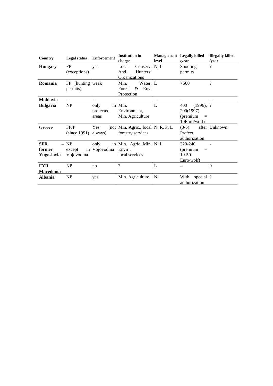| Country                 | Legal status                 | <b>Enforcement</b>         | <b>Institution</b> in<br>charge                            | level | <b>Management</b> Legally killed<br>/vear                            | <b>Illegally killed</b><br>/vear |  |  |  |
|-------------------------|------------------------------|----------------------------|------------------------------------------------------------|-------|----------------------------------------------------------------------|----------------------------------|--|--|--|
| <b>Hungary</b>          | FP<br>(exceptions)           | yes                        | Conserv. N, L<br>Local<br>Hunters'<br>And<br>Organizations |       | Shooting<br>permits                                                  | ?                                |  |  |  |
| Romania                 | FP (hunting weak<br>permits) |                            | Min.<br>Water, L<br>$\&$ Env.<br>Forest<br>Protection      |       | >500                                                                 | $\gamma$                         |  |  |  |
| Moldavia                | $-$                          |                            |                                                            |       |                                                                      |                                  |  |  |  |
| <b>Bulgaria</b>         | <b>NP</b>                    | only<br>protected<br>areas | in Min.<br>Environment,<br>Min. Agriculture                | L     | (1996), ?<br>400<br>200(1997)<br>(premium<br>$\equiv$<br>10Euro/wolf |                                  |  |  |  |
| Greece                  | FP/P<br>(since 1991)         | Yes<br>always)             | (not Min. Agric., local N, R, P, L)<br>forestry services   |       | $(3-5)$<br>Prefect<br>authorization                                  | after Unknown                    |  |  |  |
| <b>SFR</b>              | $- NP$                       | only                       | in Min. Agric, Min. N, L                                   |       | 220-240                                                              |                                  |  |  |  |
| former<br>Yugoslavia    | except<br>Vojovodina         | in Vojovodina              | Envir.,<br>local services                                  |       | (premium<br>$=$<br>$10-50$<br>Euro/wolf)                             |                                  |  |  |  |
| <b>FYR</b><br>Macedonia | <b>NP</b>                    | no                         | $\gamma$                                                   | L     |                                                                      | $\Omega$                         |  |  |  |
| <b>Albania</b>          | <b>NP</b>                    | yes                        | Min. Agriculture                                           | N     | With<br>special?<br>authorization                                    |                                  |  |  |  |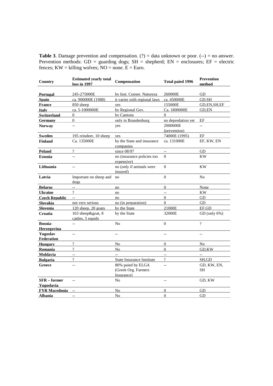**Table 3**. Damage prevention and compensation. (?) = data unknown or poor.  $(-)$  = no answer. Prevention methods: GD = guarding dogs; SH = shepherd;  $EN =$  enclosures;  $EF =$  electric fences;  $KW =$  killing wolves;  $NO =$  none.  $E =$  Euro.

| <b>Country</b>             | <b>Estimated yearly total</b><br>loss in 1997 | Compensation                                           | <b>Total paied 1996</b>  | <b>Prevention</b><br>method |  |  |  |
|----------------------------|-----------------------------------------------|--------------------------------------------------------|--------------------------|-----------------------------|--|--|--|
| Portugal                   | 245-275000E                                   | by Inst. Conser. Natureza                              | 260000E                  | GD                          |  |  |  |
| <b>Spain</b>               | ca. 900000E (1988)                            | it varies with regional laws                           | ca. 450000E              | GD, SH                      |  |  |  |
| <b>France</b>              | 850 sheep                                     | yes                                                    | 155000E                  | GD, EN, SH, EF              |  |  |  |
| <b>Italy</b>               | ca. 5-1000000E                                | by Regional Gov.                                       | Ca. 1800000E             | GD,EN                       |  |  |  |
| <b>Switzerland</b>         | $\overline{0}$                                | by Cantons                                             | $\overline{0}$           |                             |  |  |  |
| <b>Germany</b>             | $\overline{0}$                                | only in Brandenburg                                    | no depredation yet       | EF                          |  |  |  |
| <b>Norway</b>              | LL.                                           | yes                                                    | 2000000E<br>(prevention) | $\overline{a}$              |  |  |  |
| <b>Sweden</b>              | 195 reindeer, 10 sheep                        | yes                                                    | 74000E (1995)            | EF                          |  |  |  |
| <b>Finland</b>             | Ca. 135000E                                   | by the State and insurance<br>companies                | ca. 131000E              | EF, KW, EN                  |  |  |  |
| Poland                     | $\overline{\cdot}$                            | since 08/97                                            | $\overline{\phantom{a}}$ | GD                          |  |  |  |
| <b>Estonia</b>             | --                                            | no (insurance policies too<br>expensive)               | $\overline{0}$           | <b>KW</b>                   |  |  |  |
| Lithuania                  | $\overline{\phantom{a}}$                      | no (only if animals were<br>insured)                   | $\overline{0}$           | <b>KW</b>                   |  |  |  |
| Latvia                     | Important on sheep and<br>dogs                | no                                                     | $\mathbf{0}$             | N <sub>o</sub>              |  |  |  |
| <b>Belarus</b>             | $\overline{\phantom{a}}$                      | no                                                     | $\overline{0}$           | None                        |  |  |  |
| <b>Ukraine</b>             | $\overline{\mathcal{L}}$                      | no                                                     | $\overline{a}$           | <b>KW</b>                   |  |  |  |
| <b>Czech Republic</b>      | ΞĒ,                                           | no                                                     | $\boldsymbol{0}$         | GD                          |  |  |  |
| Slovakia                   | not very serious                              | no (in preparation)                                    | $\overline{0}$           | GD                          |  |  |  |
| Slovenia                   | 120 sheep, 20 goats                           | by the State                                           | 21000E                   | EF,GD                       |  |  |  |
| Croatia                    | 163 sheep&goat, 8<br>cattles, 5 equids        | by the State                                           | 32000E                   | $GD$ (only $6\%$ )          |  |  |  |
| Bosnia-<br>Herzegovina     | u.                                            | No                                                     | $\overline{0}$           | $\overline{?}$              |  |  |  |
| Yugoslav<br>Federation     | u.                                            | $\overline{a}$                                         | $\overline{\phantom{a}}$ | $\overline{\phantom{a}}$    |  |  |  |
| <b>Hungary</b>             | $\overline{?}$                                | No                                                     | $\overline{0}$           | N <sub>o</sub>              |  |  |  |
| Romania                    | $\overline{\mathcal{C}}$                      | N <sub>o</sub>                                         | $\boldsymbol{0}$         | GD,KW                       |  |  |  |
| Moldavia                   | $\overline{a}$                                |                                                        | $\overline{a}$           | $-$                         |  |  |  |
| <b>Bulgaria</b>            | $\overline{\mathcal{L}}$                      | State Insurance Institute                              | $\overline{\mathcal{L}}$ | SH, GD                      |  |  |  |
| Greece                     | --                                            | 80% paied by ELGA<br>(Greek Org. Farmers<br>Insurance) | $\overline{a}$           | GD, KW, EN,<br>SН           |  |  |  |
| SFR - former<br>Yugoslavia |                                               | N <sub>0</sub>                                         | $-$                      | GD, KW                      |  |  |  |
| <b>FYR Macedonia</b>       | $\overline{\phantom{a}}$                      | No                                                     | $\boldsymbol{0}$         | GD                          |  |  |  |
| Albania                    | $\overline{a}$                                | N <sub>o</sub>                                         | $\Omega$                 | GD                          |  |  |  |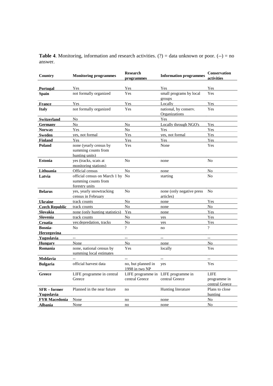**Table 4**. Monitoring, information and research activities.  $(?) = \text{data unknown or poor. } (-) = \text{no}$ answer.

| Country                           | <b>Monitoring programmes</b>                                              | <b>Research</b><br>programmes        | <b>Information programmes</b>                         | <b>Conservation</b><br>activities             |  |  |
|-----------------------------------|---------------------------------------------------------------------------|--------------------------------------|-------------------------------------------------------|-----------------------------------------------|--|--|
|                                   |                                                                           |                                      |                                                       |                                               |  |  |
| Portugal                          | Yes                                                                       | Yes                                  | Yes                                                   | Yes                                           |  |  |
| Spain                             | not formally organized                                                    | Yes                                  | small programs by local<br>groups                     | Yes                                           |  |  |
| <b>France</b>                     | Yes                                                                       | Yes                                  | Locally                                               | Yes                                           |  |  |
| <b>Italy</b>                      | not formally organized                                                    | Yes                                  | national, by conserv.<br>Organizations                | Yes                                           |  |  |
| <b>Switzerland</b>                | No                                                                        |                                      | Yes                                                   |                                               |  |  |
| <b>Germany</b>                    | No                                                                        | N <sub>o</sub>                       | Locally through NGO's                                 | Yes                                           |  |  |
| <b>Norway</b>                     | Yes                                                                       | No                                   | Yes                                                   | Yes                                           |  |  |
| <b>Sweden</b>                     | yes, not formal                                                           | Yes                                  | yes, not formal                                       | Yes                                           |  |  |
| <b>Finland</b>                    | Yes                                                                       | Yes                                  | Yes                                                   | Yes                                           |  |  |
| Poland                            | none (yearly census by<br>summing counts from<br>hunting units)           | Yes                                  | None                                                  | Yes                                           |  |  |
| <b>Estonia</b>                    | yes (tracks, scats at<br>monitoring stations)                             | No                                   | none                                                  | No                                            |  |  |
| Lithuania                         | Official census                                                           | N <sub>o</sub>                       | none                                                  | No                                            |  |  |
| Latvia                            | official census on March 1 by No<br>summing counts from<br>forestry units |                                      | starting                                              | N <sub>o</sub>                                |  |  |
| <b>Belarus</b>                    | yes, yearly snowtracking<br>census in February                            | N <sub>o</sub>                       | none (only negative press<br>articles)                | No                                            |  |  |
| <b>Ukraine</b>                    | track counts                                                              | N <sub>o</sub>                       | none                                                  | Yes                                           |  |  |
| <b>Czech Republic</b>             | track counts                                                              | N <sub>o</sub>                       | none                                                  | No                                            |  |  |
| Slovakia                          | none (only hunting statistics)                                            | Yes                                  | none                                                  | Yes                                           |  |  |
| Slovenia                          | track counts                                                              | N <sub>o</sub>                       | yes                                                   | Yes                                           |  |  |
| Croatia                           | yes: depredation, tracks                                                  | No                                   | yes                                                   | Yes                                           |  |  |
| Bosnia-                           | N <sub>0</sub>                                                            | $\gamma$                             | no                                                    | $\overline{?}$                                |  |  |
| Herzegovina                       |                                                                           |                                      |                                                       |                                               |  |  |
| Yugoslavia                        | $\overline{a}$                                                            | $\overline{a}$                       | $\overline{a}$                                        | $-$                                           |  |  |
| <b>Hungary</b>                    | None                                                                      | No                                   | none                                                  | No                                            |  |  |
| Romania                           | none, national census by<br>summing local estimates                       | Yes                                  | locally                                               | Yes                                           |  |  |
| Moldavia                          |                                                                           |                                      | $\overline{\phantom{a}}$                              |                                               |  |  |
| <b>Bulgaria</b>                   | official harvest data                                                     | no, but planned in<br>1998 in two NP | yes                                                   | Yes                                           |  |  |
| Greece                            | LIFE programme in central<br>Greece                                       | central Greece                       | LIFE programme in LIFE programme in<br>central Greece | <b>LIFE</b><br>programme in<br>central Greece |  |  |
| <b>SFR</b> – former<br>Yugoslavia | Planned in the near future                                                | no                                   | Hunting literature                                    | Plans to close<br>hunting                     |  |  |
| <b>FYR Macedonia</b>              | None                                                                      | no                                   | none                                                  | No                                            |  |  |
| <b>Albania</b>                    | None                                                                      | no                                   | none                                                  | N <sub>o</sub>                                |  |  |
|                                   |                                                                           |                                      |                                                       |                                               |  |  |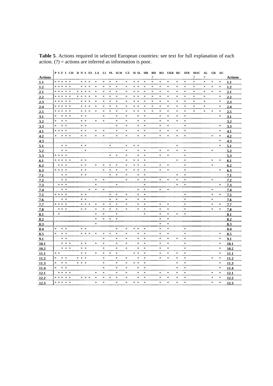**Table 5**. Actions required in selected European countries: see text for full explanation of each action.  $(?)$  = actions are inferred as information is poor.

|                |                              |         |              |     |       |               |      |                                          |                  |                  |                                   |                             |      |                             |                  |                                          |                  |                                       |                                   |                                                        | FPSFICH DNSES LA LIPL SLW CZ H SL HR BH RO UKR BU SFR MAC AL GR AU |        |                    |                                   |         |
|----------------|------------------------------|---------|--------------|-----|-------|---------------|------|------------------------------------------|------------------|------------------|-----------------------------------|-----------------------------|------|-----------------------------|------------------|------------------------------------------|------------------|---------------------------------------|-----------------------------------|--------------------------------------------------------|--------------------------------------------------------------------|--------|--------------------|-----------------------------------|---------|
| <b>Actions</b> |                              |         |              |     |       |               |      |                                          |                  |                  |                                   |                             |      |                             |                  |                                          |                  |                                       |                                   |                                                        |                                                                    | 9      |                    |                                   | Actions |
| <b>1.1</b>     | * * *                        |         | $*$          | 水   | * *   |               | - de | ×                                        | $\ast$           | $\ast$           | *                                 | $\frac{1}{2}$               |      | * *                         | $\ast$           | *                                        | $\ast$           | sk.                                   | *                                 | $\frac{1}{2}$                                          | $\ast$                                                             | $\ast$ | $\ast$             | 家                                 | 1.1     |
| 1.2            | * * * * *                    |         |              |     |       | * * *         |      | 冰                                        | $\ast$           | $\ast$           | *                                 | $\ast$                      |      | * *                         | $\ast$           | *<br>                                    | $\ast$           | ∗<br>.                                | *<br><b>CONTRACTO</b>             | *                                                      | $\ast$                                                             | *      | $\ast$             | *                                 | 1.2     |
| 2.1            | * * *                        |         |              | * * | * * * |               | -k   | 冰                                        | $\ast$           | $*$              | *                                 | $\ast$                      |      | * *                         | $\ast$           | *<br>                                    | $*$              | 冰                                     | *                                 | *                                                      | $\ast$                                                             | $\ast$ | $\ast$             | 冰                                 | 2.1     |
| 2,2            | * *                          | *       |              | * * | * *   | *             | 木    | $\frac{1}{2}$                            | $\ast$           | $\frac{1}{2}$    | *                                 | $\ast$                      |      | * *                         | $\frac{1}{2}$    | *<br>.                                   | $\ast$           | $\frac{1}{2\pi}$                      | $\frac{1}{2}$                     | $\ast$                                                 | $\ast$                                                             | $\ast$ | .                  | $\frac{1}{20}$                    | 2.2     |
| 2.3            | * * * * *                    |         |              |     |       | * * *         |      | 冰                                        | $\ast$           | $\frac{1}{2\pi}$ | *                                 | $\frac{1}{2}$               |      | * *                         | $\frac{1}{26}$   | $\frac{d\mathbf{x}}{d\mathbf{x}}$<br>--- | $\frac{1}{2\pi}$ | $\frac{1}{2\pi}$<br><b>TELEVISION</b> | $\frac{1}{2}$<br><b>CONTRACTO</b> | $\frac{d\mathbf{x}}{d\mathbf{x}}$                      | $\frac{1}{2\pi}$                                                   | $\ast$ |                    | 家                                 | 2.3     |
| 2.4            | * * * * *                    |         |              |     |       | * * *         |      | ×                                        | $\ast$           | $\frac{1}{26}$   | 永                                 | $\ast$                      | u mu | * *                         | $\ast$           | *<br>                                    | $\ast$           | $*$                                   | 冰                                 | $\ast$                                                 | $\ast$                                                             | $\ast$ |                    | 冰                                 | 2.4     |
| 2.5            | * * * * *                    |         |              |     |       | * * *         |      | $\frac{1}{2}$                            | $\frac{1}{2\pi}$ | $\ast$           | $\frac{d\mathbf{x}}{d\mathbf{x}}$ | $\ast$                      |      | * *                         | $\ast$           | $\frac{1}{2\pi}$                         | $\ast$           | $\ast$<br>.                           | $\ast$<br>an man                  | $\frac{1}{2}$                                          | $\ast$                                                             | $\ast$ | 冰                  | $\frac{1}{2}$                     | 2.5     |
| 3.1            | $\frac{1}{26}$               |         | * * *        |     | * *   |               |      |                                          | $\ast$           |                  | *                                 | $\ast$                      |      | $\frac{1}{2}$               | $\ast$           |                                          | $\ast$           | $\ast$                                | *                                 | $\frac{1}{2}$                                          |                                                                    |        |                    | $\frac{1}{2}$                     | 3.1     |
| 3.2            | $\ast$                       |         | * *          |     | * *   |               |      | ∗                                        | ∗                |                  | *                                 | $\ast$                      |      | *                           | $\ast$           |                                          | $\ast$           | *                                     | *                                 | $\ast$                                                 |                                                                    |        |                    |                                   | 3.2     |
| <u>3.3</u>     | $\ast$                       |         | * *          |     | * *   |               |      |                                          |                  |                  | ∗                                 | $\ast$                      |      | *                           | $\ast$           |                                          | $*$              | 冰                                     |                                   | $\ast$                                                 |                                                                    |        |                    |                                   | 3.3     |
| 4.1            | * * * *                      |         |              |     | * *   |               |      | sk.                                      | $\ast$           |                  | $\frac{1}{2}$                     | $\ast$                      |      | *                           | $\ast$           |                                          | $\ast$           | $\ast$                                | $\ast$                            | $\mathcal{H}$                                          |                                                                    |        |                    | $\frac{1}{20}$                    | 4.1     |
| 4.2            | $\gg$                        |         | * * *        |     | * *   |               |      | $\frac{1}{2}$                            | $\ast$           |                  | $\frac{d\mathbf{r}}{d\mathbf{r}}$ | $\ast$                      |      | *                           | $\frac{1}{2\pi}$ |                                          | $\ast$           | $\frac{1}{2\pi}$                      | $\ast$                            | *                                                      |                                                                    |        | $\ast$             | $\frac{1}{2}$                     | 4.2     |
| 4.3            |                              |         |              |     |       |               |      |                                          |                  |                  |                                   |                             |      |                             |                  |                                          |                  |                                       | .                                 |                                                        |                                                                    |        |                    | $\frac{1}{2\pi}$                  | 4.3     |
| 5.1            |                              | * *     |              |     | * *   |               |      |                                          |                  | $\ast$           |                                   | $\frac{1}{26}$              |      | * *                         |                  |                                          |                  |                                       | ×.<br>u man                       |                                                        |                                                                    |        |                    | 冰                                 | 5.1     |
| 5.2            |                              |         | * *          |     |       | $\frac{1}{2}$ |      |                                          |                  |                  |                                   | $\ast$                      |      | $\frac{1}{2}$               | $\ast$           |                                          | $\ast$           | $\ast$                                | $\ast$                            | $\frac{1}{2}$                                          |                                                                    |        | $\ast$             |                                   | 5.2     |
| 5.3            | * * * *                      |         |              |     |       |               |      |                                          |                  | $\ast$           | $\frac{1}{2}$                     | $\ast$                      |      | *                           | ∗                |                                          | $\ast$           | $\frac{1}{2\pi}$                      |                                   | $\frac{1}{2}$                                          |                                                                    |        |                    |                                   | 5.3     |
| 6.1            | * * * * *                    |         |              |     | * *   |               |      |                                          |                  |                  |                                   | $\ast$                      |      | * *                         | $\frac{1}{2}$    |                                          |                  |                                       | *                                 | $\ast$                                                 |                                                                    |        | $\frac{1}{2}$      | 宗                                 | 6.1     |
| 6.2            |                              | * * *   |              |     | * *   |               |      |                                          | $\ast$           | $\frac{1}{2}$    | $\frac{1}{2^k}$                   | $\ast$                      | 永    | 未                           | $\ast$           |                                          | $\frac{1}{2}$    | $\ast$                                |                                   | 宋                                                      |                                                                    |        | $\frac{1}{2}$      |                                   | 6.2     |
| 6.3            | * * * *                      |         |              |     | * *   |               |      |                                          | *                | $\frac{1}{2}$    | *                                 | $\ast$                      |      | * *                         | $\ast$           |                                          | $\star$          | $\frac{1}{2\pi}$                      |                                   | $\mathcal{R}$                                          |                                                                    |        |                    | $\frac{1}{2}$                     | 6.3     |
| 7.1            |                              | * *     |              |     | * *   |               |      |                                          |                  | $\frac{1}{2}$    | *                                 | $\ast$                      |      | $\ast$                      | $\ast$           |                                          |                  |                                       |                                   | $\gg$                                                  |                                                                    |        |                    |                                   | 7.1     |
| 7.2            |                              | $* *$   |              |     |       |               |      | 家                                        | $\ast$           |                  |                                   | $\ast$                      |      | $\frac{1}{2}$               | $\ast$           |                                          | $\ast$           | sk.                                   | $\frac{1}{2}$                     | $\ast$                                                 |                                                                    |        | sk.                |                                   | 7.2     |
| 7.3            |                              | * * *   |              |     |       |               |      | .<br>$\frac{1}{2}$                       |                  |                  | *                                 |                             |      |                             | $\ast$           |                                          |                  |                                       | $*$                               | $\frac{1}{2}$                                          |                                                                    |        |                    | $\frac{1}{2}$                     | 7.3     |
| 7.4            |                              | * *     |              |     |       |               | *    | ,,,,,,,,,,,,,,,,,,,,,,,<br>$\frac{1}{2}$ | $\ast$           |                  |                                   |                             |      | *                           | $\ast$           |                                          | $\ast$           | $\ast$                                |                                   |                                                        |                                                                    |        | $\ast$             |                                   | 7.4     |
| 7.5            | * * * *                      |         |              |     | * *   |               |      |                                          |                  | $\ast$           | $\frac{1}{2}$                     | $\ast$                      |      | <b>STATISTICS</b><br>$\ast$ | $\ast$           |                                          |                  |                                       |                                   | $\frac{1}{2}$                                          |                                                                    |        | $\ast$             | $\ast$                            | 7.5     |
| 7.6            |                              |         | * *          |     | * *   |               |      |                                          |                  | $\ast$           | $\frac{1}{2}$                     | $\ast$                      |      | $\frac{1}{2}$               | $\ast$           |                                          |                  |                                       |                                   | $\frac{d\mathbf{r}}{d\mathbf{r}}$                      |                                                                    |        | $\ast$             |                                   | 7.6     |
| 7.7            | * * * *                      |         |              |     |       | * * *         |      | 冰                                        | $\ast$           | $\ast$           | *                                 | $\ast$                      |      | $\frac{1}{2}$               | $\ast$           |                                          | $\ast$           | $\ast$                                |                                   | $\pm$                                                  |                                                                    |        | $\mathbf{R}$       | $\frac{d\mathbf{r}}{d\mathbf{r}}$ | 7.7     |
| 7.8            |                              | $* * *$ |              |     | * *   |               |      | 冰                                        | *                | $\ast$           | *                                 | $\ast$                      |      | $\ast$                      | $\ast$           |                                          | $\ast$           | $\frac{1}{2\pi}$                      |                                   | ----<br>$\frac{d\mathbf{r}}{d\mathbf{r}}$              |                                                                    |        | .<br>$\frac{1}{2}$ | *                                 | 7.8     |
| 8.1            | $\ast$                       |         |              |     |       |               |      | <b>Maria Corpora</b><br>$\frac{1}{2}$    | $\ast$           |                  | $\frac{d\mathbf{x}}{d\mathbf{x}}$ |                             |      |                             | $\ast$           |                                          | $\ast$           | <b>TELEPHONE</b><br>$\frac{1}{2}$     | <b>TELEVISION</b><br>$\ast$       | $\ast$                                                 |                                                                    |        |                    |                                   | 8.1     |
| 8.2            |                              |         |              |     |       |               |      | .<br>$\frac{d\mathbf{r}}{d\mathbf{r}}$   | $\ast$           | $\mathbf{R}$     | $\frac{1}{2}$                     |                             |      |                             |                  |                                          | $\ast$           | $\frac{1}{2}$                         |                                   |                                                        |                                                                    |        |                    |                                   | 8.2     |
| 8.3            |                              |         |              |     |       |               |      | .<br>*                                   |                  |                  |                                   |                             |      |                             |                  |                                          | $\ast$           | $\ast$                                |                                   |                                                        |                                                                    |        |                    |                                   | 8.3     |
| <u>8.4</u>     | $\ast$                       |         | * *          |     | * *   |               |      |                                          |                  |                  | *                                 | $\ast$                      |      | * *                         | $\ast$           |                                          | $\ast$           | <b>TELES</b><br>$\ast$                |                                   | $\frac{1}{2}$                                          |                                                                    |        |                    |                                   | 8.4     |
| 8.5            | <b>DOM:</b><br>$\frac{1}{2}$ |         | * *          |     |       | * * *         |      | ,,,,,,,,,,,,,,,,,<br>家                   | $\ast$           | sk.              | $\frac{d\mathbf{r}}{d\mathbf{r}}$ | $\ast$                      |      | $\frac{1}{2}$               | $\ast$           |                                          | $\ast$           | n ma<br>$\frac{1}{2}$                 |                                   | $\frac{1}{2\pi}$                                       |                                                                    |        |                    |                                   | 8.5     |
| 9.1            |                              |         | * *          |     |       |               |      |                                          | $\ast$           |                  | *                                 | $\ast$                      |      | $\frac{1}{2}$               | $\ast$           |                                          | $\ast$           | $\frac{1}{26}$                        | 冰                                 | $\pm$                                                  |                                                                    |        |                    | 宋                                 | 9.1     |
| 10.1           |                              |         | * * *        |     | * *   |               |      | 冰                                        | ∗                |                  | *                                 | $\ast$                      |      | *                           | $\ast$           |                                          | $*$              | $*$                                   |                                   | 宋                                                      |                                                                    |        |                    |                                   | 10.1    |
| 10.2           |                              |         | * * *        |     | * *   |               |      |                                          | $\ast$           |                  | *                                 | <b>STATISTICS</b><br>$\ast$ |      | <b>DOMESTIC</b><br>宋        | $*$              |                                          | $\ast$           | .<br>$*$                              |                                   | <b>The Common</b><br>$\frac{d\mathbf{x}}{d\mathbf{x}}$ |                                                                    |        |                    | ×                                 | 10.2    |
| <u>11.1</u>    | * *                          |         |              |     | * *   |               |      | ∗                                        | $\ast$           | $\frac{1}{2}$    | $\frac{1}{2}$                     |                             |      | * *                         | $\ast$           |                                          | $\ast$           | $\ast$                                | *                                 | $\frac{1}{2}$                                          |                                                                    |        |                    | $\frac{1}{2}$                     | 11.1    |
| 11.2           | $\ast$                       |         | $*$ $\;$ $*$ |     | * * * |               |      |                                          | $\ast$           |                  | *                                 | $\ast$                      |      | $\ast$                      | $\ast$           |                                          | $\ast$           | $\ast$                                | $\ast$                            | $\frac{1}{2}$                                          |                                                                    |        | ∗                  | $\frac{1}{2}$                     | 11.2    |
| 11.3           | $\ast$                       |         | * *          |     | * * * |               |      |                                          | ∗                |                  | *                                 | $\ast$                      |      | * *                         | ∗                |                                          |                  |                                       | *                                 | $\ast$                                                 |                                                                    |        |                    | 宋                                 | 11.3    |
| 11.4           | $\ast$                       | * *     |              |     |       |               |      |                                          | ∗                |                  | ∗                                 | $\ast$                      |      | $\frac{1}{2}$               | ∗                |                                          |                  |                                       | mana a<br>*                       | $\ast$                                                 |                                                                    |        |                    | $\frac{1}{2}$                     | 11.4    |
|                |                              | * * * * |              |     |       |               |      | 冰                                        | $\ast$           |                  | *                                 | $\ast$                      |      | $\ast$                      | $\ast$           |                                          | $\ast$           | $\ast$                                | $\ast$                            | $\gg$                                                  |                                                                    |        | $\frac{1}{26}$     | $\ast$                            | 12.1    |
| 12.1           | * * * * *                    |         |              |     |       | * * *         |      | 宋                                        | $\ast$           | $*$              | *                                 | $\ast$                      |      | *                           | 冰                |                                          | $\ast$           | $\ast$                                | .<br>*                            | *                                                      |                                                                    |        | $\ast$             | ∗                                 | 12.2    |
| 12.2           | * * * * *                    |         |              |     |       |               |      | .<br>$\frac{1}{2\pi}$                    | $\ast$           |                  | *                                 | $\ast$                      |      | * *                         | $\ast$           |                                          | $\ast$           | $\frac{1}{2\pi}$                      | $\overline{a}$<br>$\ast$          | $\frac{1}{2}$                                          |                                                                    |        | $\ast$             | $\frac{1}{2}$                     |         |
| 12.3           |                              |         |              |     |       |               |      |                                          |                  |                  |                                   |                             |      |                             |                  |                                          |                  |                                       |                                   |                                                        |                                                                    |        |                    |                                   | 12.3    |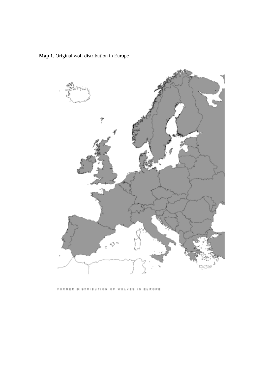**Map 1**. Original wolf distribution in Europe



 $\mathsf{R}\oplus\mathsf{P}\subseteq$  $F \oplus \emptyset$  $\Omega$  $\bar{u}$  $T + O$  N  $\odot$   $\beta$  $W \otimes L \vee E \otimes$ Ŕ  $+10$  $\bar{\Xi}$ ú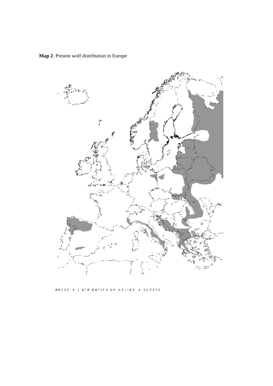**Map 2**. Present wolf distribution in Europe



PROSCIT SIGTRICUTISH OF WOLVES IN OURDED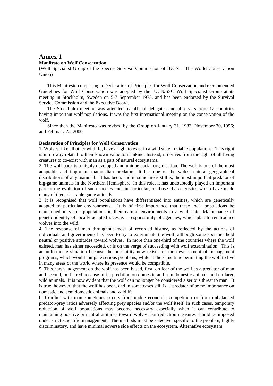# **Annex 1 Manifesto on Wolf Conservation**

(Wolf Specialist Group of the Species Survival Commission of IUCN – The World Conservation Union)

This Manifesto comprising a Declaration of Principles for Wolf Conservation and recommended Guidelines for Wolf Conservation was adopted by the IUCN/SSC Wolf Specialist Group at its meeting in Stockholm, Sweden on 5-7 September 1973, and has been endorsed by the Survival Service Commission and the Executive Board.

The Stockholm meeting was attended by official delegates and observers from 12 countries having important wolf populations. It was the first international meeting on the conservation of the wolf.

Since then the Manifesto was revised by the Group on January 31, 1983; November 20, 1996; and February 23, 2000.

## **Declaration of Principles for Wolf Conservation**

1. Wolves, like all other wildlife, have a right to exist in a wild state in viable populations. This right is in no way related to their known value to mankind. Instead, it derives from the right of all living creatures to co-exist with man as a part of natural ecosystems.

2. The wolf pack is a highly developed and unique social organisation. The wolf is one of the most adaptable and important mammalian predators. It has one of the widest natural geographical distributions of any mammal. It has been, and in some areas still is, the most important predator of big-game animals in the Northern Hemisphere. In this role, it has undoubtedly played an important part in the evolution of such species and, in particular, of those characteristics which have made many of them desirable game animals.

3. It is recognised that wolf populations have differentiated into entities, which are genetically adapted to particular environments. It is of first importance that these local populations be maintained in viable populations in their natural environments in a wild state. Maintenance of genetic identity of locally adapted races is a responsibility of agencies, which plan to reintroduce wolves into the wild.

4. The response of man throughout most of recorded history, as reflected by the actions of individuals and governments has been to try to exterminate the wolf, although some societies held neutral or positive attitudes toward wolves. In more than one-third of the countries where the wolf existed, man has either succeeded, or is on the verge of succeeding with wolf extermination. This is an unfortunate situation because the possibility now exists for the development of management programs, which would mitigate serious problems, while at the same time permitting the wolf to live in many areas of the world where its presence would be compatible.

5. This harsh judgement on the wolf has been based, first, on fear of the wolf as a predator of man and second, on hatred because of its predation on domestic and semidomestic animals and on large wild animals. It is now evident that the wolf can no longer be considered a serious threat to man. It is true, however, that the wolf has been, and in some cases still is, a predator of some importance on domestic and semidomestic animals and wildlife.

6. Conflict with man sometimes occurs from undue economic competition or from imbalanced predator-prey ratios adversely affecting prey species and/or the wolf itself. In such cases, temporary reduction of wolf populations may become necessary especially when it can contribute to maintaining positive or neutral attitudes toward wolves, but reduction measures should be imposed under strict scientific management. The methods must be selective, specific to the problem, highly discriminatory, and have minimal adverse side effects on the ecosystem. Alternative ecosystem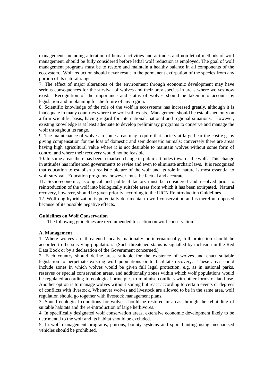management, including alteration of human activities and attitudes and non-lethal methods of wolf management, should be fully considered before lethal wolf reduction is employed. The goal of wolf management programs must be to restore and maintain a healthy balance in all components of the ecosystem. Wolf reduction should never result in the permanent extirpation of the species from any portion of its natural range.

7. The effect of major alterations of the environment through economic development may have serious consequences for the survival of wolves and their prey species in areas where wolves now exist. Recognition of the importance and status of wolves should be taken into account by legislation and in planning for the future of any region.

8. Scientific knowledge of the role of the wolf in ecosystems has increased greatly, although it is inadequate in many countries where the wolf still exists. Management should be established only on a firm scientific basis, having regard for international, national and regional situations. However, existing knowledge is at least adequate to develop preliminary programs to conserve and manage the wolf throughout its range.

9. The maintenance of wolves in some areas may require that society at large bear the cost e.g. by giving compensation for the loss of domestic and semidomestic animals; conversely there are areas having high agricultural value where it is not desirable to maintain wolves without some form of control and where their recovery would not be feasible.

10. In some areas there has been a marked change in public attitudes towards the wolf. This change in attitudes has influenced governments to revise and even to eliminate archaic laws. It is recognized that education to establish a realistic picture of the wolf and its role in nature is most essential to wolf survival. Education programs, however, must be factual and accurate.

11. Socio-economic, ecological and political factors must be considered and resolved prior to reintroduction of the wolf into biologically suitable areas from which it has been extirpated. Natural recovery, however, should be given priority according to the IUCN Reintroduction Guidelines.

12. Wolf-dog hybridization is potentially detrimental to wolf conservation and is therefore opposed because of its possible negative effects.

### **Guidelines on Wolf Conservation**

The following guidelines are recommended for action on wolf conservation.

#### **A. Management**

1. Where wolves are threatened locally, nationally or internationally, full protection should be accorded to the surviving population. (Such threatened status is signalled by inclusion in the Red Data Book or by a declaration of the Government concerned.)

2. Each country should define areas suitable for the existence of wolves and enact suitable legislation to perpetuate existing wolf populations or to facilitate recovery. These areas could include zones in which wolves would be given full legal protection, e.g. as in national parks, reserves or special conservation areas, and additionally zones within which wolf populations would be regulated according to ecological principles to minimise conflicts with other forms of land use. Another option is to manage wolves without zoning but react according to certain events or degrees of conflicts with livestock. Whenever wolves and livestock are allowed to be in the same area, wolf regulation should go together with livestock management plans.

3. Sound ecological conditions for wolves should be restored in areas through the rebuilding of suitable habitats and the re-introduction of large herbivores.

4. In specifically designated wolf conservation areas, extensive economic development likely to be detrimental to the wolf and its habitat should be excluded.

5. In wolf management programs, poisons, bounty systems and sport hunting using mechanised vehicles should be prohibited.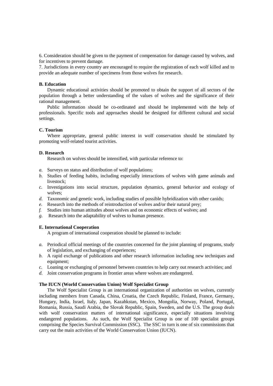6. Consideration should be given to the payment of compensation for damage caused by wolves, and for incentives to prevent damage.

7. Jurisdictions in every country are encouraged to require the registration of each wolf killed and to provide an adequate number of specimens from those wolves for research.

#### **B. Education**

Dynamic educational activities should be promoted to obtain the support of all sectors of the population through a better understanding of the values of wolves and the significance of their rational management.

Public information should be co-ordinated and should be implemented with the help of professionals. Specific tools and approaches should be designed for different cultural and social settings.

#### **C. Tourism**

Where appropriate, general public interest in wolf conservation should be stimulated by promoting wolf-related tourist activities.

#### **D. Research**

Research on wolves should be intensified, with particular reference to:

- *a.* Surveys on status and distribution of wolf populations;
- *b.* Studies of feeding habits, including especially interactions of wolves with game animals and livestock;
- *c.* Investigations into social structure, population dynamics, general behavior and ecology of wolves;
- *d.* Taxonomic and genetic work, including studies of possible hybridization with other canids;
- *e.* Research into the methods of reintroduction of wolves and/or their natural prey;
- *f.* Studies into human attitudes about wolves and on economic effects of wolves; and
- *g.* Research into the adaptability of wolves to human presence.

#### **E. International Cooperation**

A program of international cooperation should be planned to include:

- *a.* Periodical official meetings of the countries concerned for the joint planning of programs, study of legislation, and exchanging of experiences;
- *b.* A rapid exchange of publications and other research information including new techniques and equipment;
- *c.* Loaning or exchanging of personnel between countries to help carry out research activities; and
- *d.* Joint conservation programs in frontier areas where wolves are endangered.

#### **The IUCN (World Conservation Union) Wolf Specialist Group**

The Wolf Specialist Group is an international organization of authorities on wolves, currently including members from Canada, China, Croatia, the Czech Republic, Finland, France, Germany, Hungary, India, Israel, Italy, Japan, Kazahkstan, Mexico, Mongolia, Norway, Poland, Portugal, Romania, Russia, Saudi Arabia, the Slovak Republic, Spain, Sweden, and the U.S. The group deals with wolf conservation matters of international significance, especially situations involving endangered populations. As such, the Wolf Specialist Group is one of 100 specialist groups comprising the Species Survival Commission (SSC). The SSC in turn is one of six commissions that carry out the main activities of the World Conservation Union (IUCN).